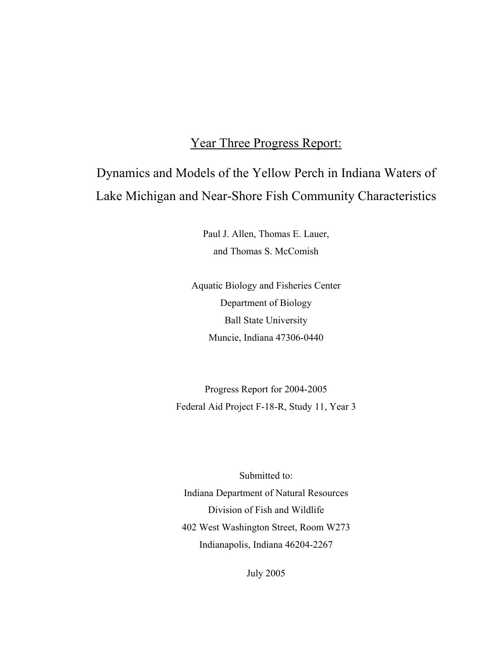# Year Three Progress Report:

# Dynamics and Models of the Yellow Perch in Indiana Waters of Lake Michigan and Near-Shore Fish Community Characteristics

Paul J. Allen, Thomas E. Lauer, and Thomas S. McComish

Aquatic Biology and Fisheries Center Department of Biology Ball State University Muncie, Indiana 47306-0440

Progress Report for 2004-2005 Federal Aid Project F-18-R, Study 11, Year 3

Submitted to: Indiana Department of Natural Resources Division of Fish and Wildlife 402 West Washington Street, Room W273 Indianapolis, Indiana 46204-2267

July 2005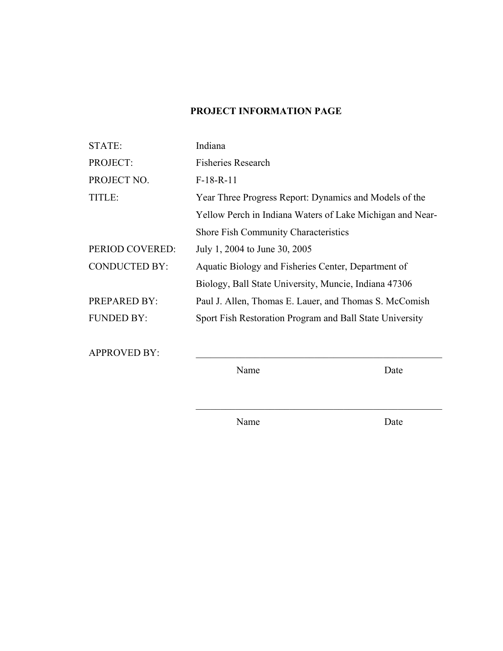# **PROJECT INFORMATION PAGE**

| STATE:               | Indiana                                                   |
|----------------------|-----------------------------------------------------------|
| PROJECT:             | <b>Fisheries Research</b>                                 |
| PROJECT NO.          | $F-18-R-11$                                               |
| TITLE:               | Year Three Progress Report: Dynamics and Models of the    |
|                      | Yellow Perch in Indiana Waters of Lake Michigan and Near- |
|                      | <b>Shore Fish Community Characteristics</b>               |
| PERIOD COVERED:      | July 1, 2004 to June 30, 2005                             |
| <b>CONDUCTED BY:</b> | Aquatic Biology and Fisheries Center, Department of       |
|                      | Biology, Ball State University, Muncie, Indiana 47306     |
| <b>PREPARED BY:</b>  | Paul J. Allen, Thomas E. Lauer, and Thomas S. McComish    |
| <b>FUNDED BY:</b>    | Sport Fish Restoration Program and Ball State University  |
|                      |                                                           |

APPROVED BY:

Name Date

Name Date

 $\mathcal{L}_\text{max} = \mathcal{L}_\text{max} = \mathcal{L}_\text{max} = \mathcal{L}_\text{max} = \mathcal{L}_\text{max} = \mathcal{L}_\text{max} = \mathcal{L}_\text{max} = \mathcal{L}_\text{max} = \mathcal{L}_\text{max} = \mathcal{L}_\text{max} = \mathcal{L}_\text{max} = \mathcal{L}_\text{max} = \mathcal{L}_\text{max} = \mathcal{L}_\text{max} = \mathcal{L}_\text{max} = \mathcal{L}_\text{max} = \mathcal{L}_\text{max} = \mathcal{L}_\text{max} = \mathcal{$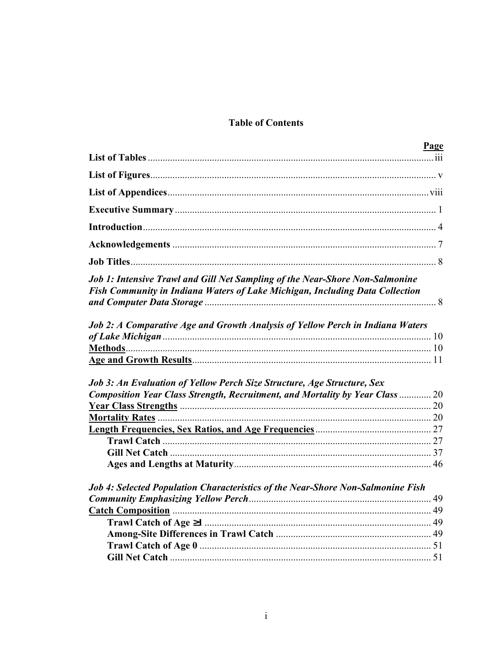# **Table of Contents**

|                                                                                                                                                              | <b>Page</b> |
|--------------------------------------------------------------------------------------------------------------------------------------------------------------|-------------|
|                                                                                                                                                              |             |
|                                                                                                                                                              |             |
|                                                                                                                                                              |             |
|                                                                                                                                                              |             |
|                                                                                                                                                              |             |
|                                                                                                                                                              |             |
|                                                                                                                                                              |             |
| Job 1: Intensive Trawl and Gill Net Sampling of the Near-Shore Non-Salmonine<br>Fish Community in Indiana Waters of Lake Michigan, Including Data Collection |             |
| Job 2: A Comparative Age and Growth Analysis of Yellow Perch in Indiana Waters                                                                               |             |
|                                                                                                                                                              |             |
|                                                                                                                                                              |             |
| Job 3: An Evaluation of Yellow Perch Size Structure, Age Structure, Sex                                                                                      |             |
| Composition Year Class Strength, Recruitment, and Mortality by Year Class  20                                                                                |             |
|                                                                                                                                                              |             |
|                                                                                                                                                              |             |
|                                                                                                                                                              |             |
|                                                                                                                                                              |             |
|                                                                                                                                                              |             |
| Job 4: Selected Population Characteristics of the Near-Shore Non-Salmonine Fish                                                                              |             |
|                                                                                                                                                              |             |
|                                                                                                                                                              |             |
|                                                                                                                                                              |             |
|                                                                                                                                                              |             |
|                                                                                                                                                              |             |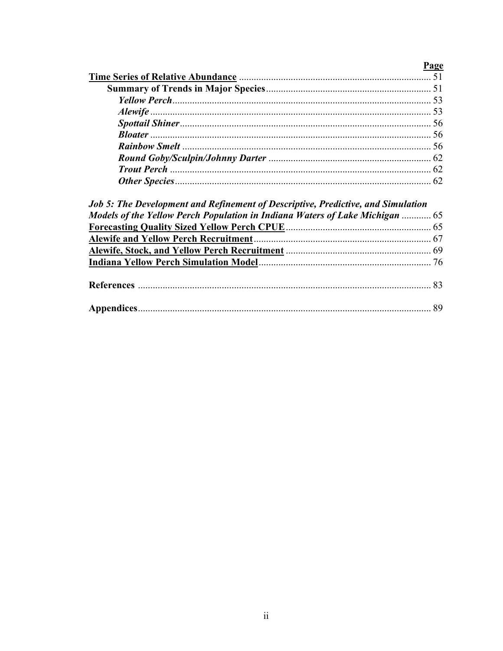# Page

| Job 5: The Development and Kefinement of Descriptive, Predictive, and Simulation |
|----------------------------------------------------------------------------------|
| Models of the Yellow Perch Population in Indiana Waters of Lake Michigan  65     |
|                                                                                  |
|                                                                                  |
|                                                                                  |
|                                                                                  |
|                                                                                  |
|                                                                                  |
|                                                                                  |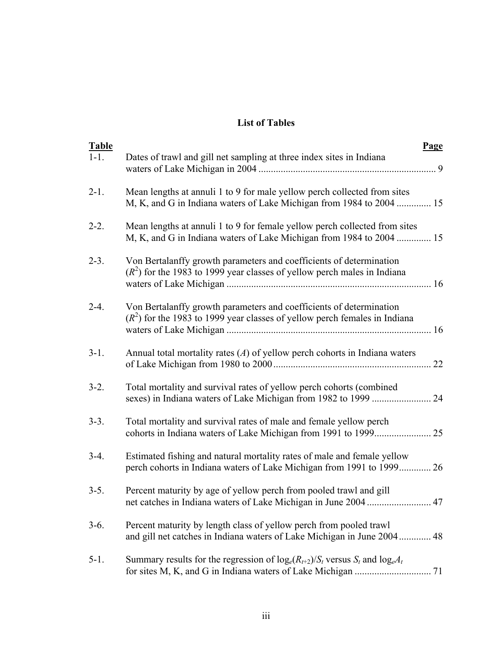## **List of Tables**

| <b>Table</b><br>$1-1.$ | <b>Page</b><br>Dates of trawl and gill net sampling at three index sites in Indiana                                                                |
|------------------------|----------------------------------------------------------------------------------------------------------------------------------------------------|
| $2 - 1$ .              | Mean lengths at annuli 1 to 9 for male yellow perch collected from sites<br>M, K, and G in Indiana waters of Lake Michigan from 1984 to 2004  15   |
| $2 - 2$ .              | Mean lengths at annuli 1 to 9 for female yellow perch collected from sites<br>M, K, and G in Indiana waters of Lake Michigan from 1984 to 2004  15 |
| $2 - 3$ .              | Von Bertalanffy growth parameters and coefficients of determination<br>$(R2)$ for the 1983 to 1999 year classes of yellow perch males in Indiana   |
| $2 - 4$ .              | Von Bertalanffy growth parameters and coefficients of determination<br>$(R2)$ for the 1983 to 1999 year classes of yellow perch females in Indiana |
| $3-1.$                 | Annual total mortality rates $(A)$ of yellow perch cohorts in Indiana waters<br>22                                                                 |
| $3-2.$                 | Total mortality and survival rates of yellow perch cohorts (combined                                                                               |
| $3-3.$                 | Total mortality and survival rates of male and female yellow perch                                                                                 |
| $3-4.$                 | Estimated fishing and natural mortality rates of male and female yellow<br>perch cohorts in Indiana waters of Lake Michigan from 1991 to 1999 26   |
| $3-5.$                 | Percent maturity by age of yellow perch from pooled trawl and gill                                                                                 |
| $3-6.$                 | Percent maturity by length class of yellow perch from pooled trawl<br>and gill net catches in Indiana waters of Lake Michigan in June 2004<br>48   |
| $5-1.$                 | Summary results for the regression of $log_e(R_{t+2})/S_t$ versus $S_t$ and $log_eA_t$<br>71                                                       |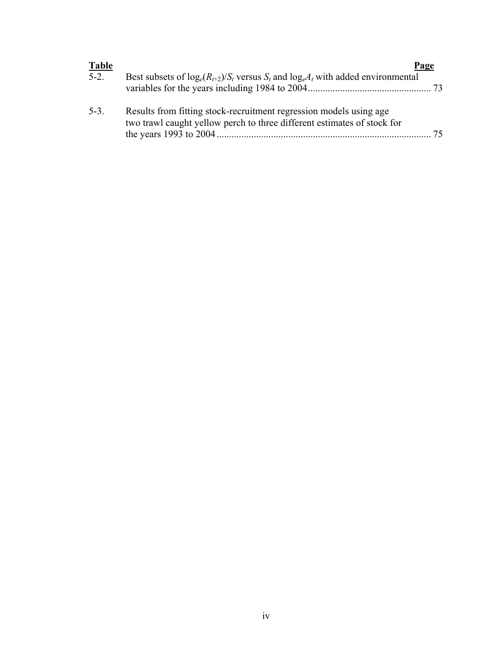| <b>Table</b> |                                                                                                                                               | Page |
|--------------|-----------------------------------------------------------------------------------------------------------------------------------------------|------|
| $5-2.$       | Best subsets of $log_e(R_{t+2})/S_t$ versus $S_t$ and $log_eA_t$ with added environmental                                                     |      |
| $5-3.$       | Results from fitting stock-recruitment regression models using age<br>two trawl caught yellow perch to three different estimates of stock for | 75   |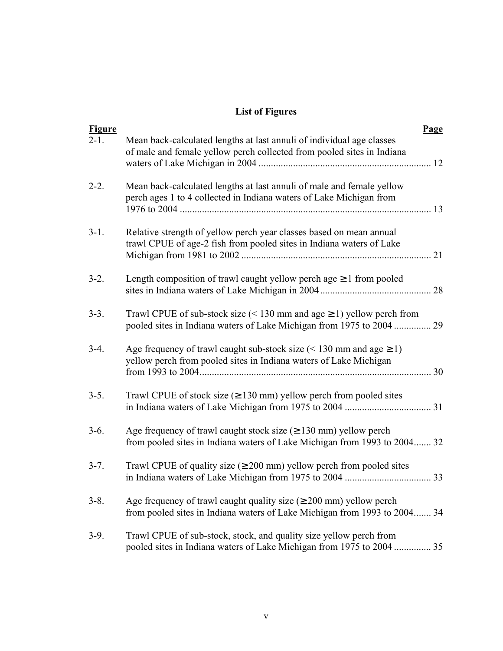# **List of Figures**

| <b>Figure</b><br>$2-1.$ | Mean back-calculated lengths at last annuli of individual age classes<br>of male and female yellow perch collected from pooled sites in Indiana              | Page |
|-------------------------|--------------------------------------------------------------------------------------------------------------------------------------------------------------|------|
| $2 - 2$ .               | Mean back-calculated lengths at last annuli of male and female yellow<br>perch ages 1 to 4 collected in Indiana waters of Lake Michigan from                 |      |
| $3-1.$                  | Relative strength of yellow perch year classes based on mean annual<br>trawl CPUE of age-2 fish from pooled sites in Indiana waters of Lake                  |      |
| $3-2.$                  | Length composition of trawl caught yellow perchage $\geq 1$ from pooled                                                                                      |      |
| $3-3.$                  | Trawl CPUE of sub-stock size (< 130 mm and age $\geq$ 1) yellow perch from<br>pooled sites in Indiana waters of Lake Michigan from 1975 to 2004              | 29   |
| $3-4.$                  | Age frequency of trawl caught sub-stock size $(< 130$ mm and age $\geq 1$ )<br>yellow perch from pooled sites in Indiana waters of Lake Michigan             |      |
| $3-5.$                  | Trawl CPUE of stock size ( $\geq$ 130 mm) yellow perch from pooled sites                                                                                     |      |
| $3-6.$                  | Age frequency of trawl caught stock size $( \geq 130 \text{ mm})$ yellow perch<br>from pooled sites in Indiana waters of Lake Michigan from 1993 to 2004 32  |      |
| $3 - 7$ .               | Trawl CPUE of quality size ( $\geq 200$ mm) yellow perch from pooled sites                                                                                   |      |
| $3 - 8$ .               | Age frequency of trawl caught quality size $(\geq 200 \text{ mm})$ yellow perch<br>from pooled sites in Indiana waters of Lake Michigan from 1993 to 2004 34 |      |
| $3-9.$                  | Trawl CPUE of sub-stock, stock, and quality size yellow perch from<br>pooled sites in Indiana waters of Lake Michigan from 1975 to 2004  35                  |      |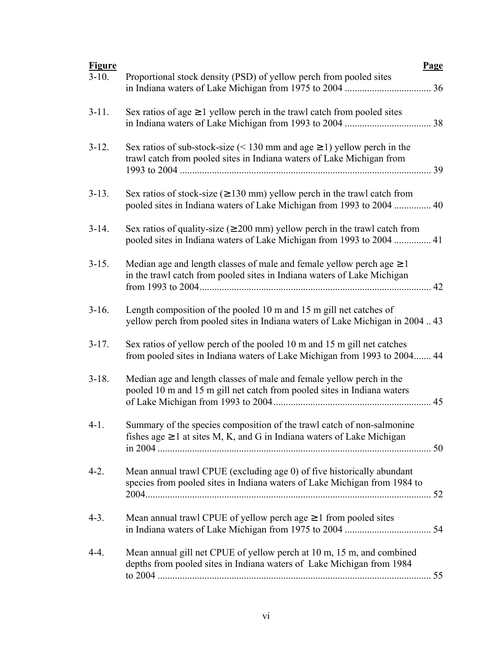| Sex ratios of age $\geq 1$ yellow perch in the trawl catch from pooled sites<br>$3-11.$<br>Sex ratios of sub-stock-size (< 130 mm and age $\geq$ 1) yellow perch in the<br>$3-12.$<br>trawl catch from pooled sites in Indiana waters of Lake Michigan from<br>Sex ratios of stock-size ( $\geq$ 130 mm) yellow perch in the trawl catch from<br>$3-13.$<br>pooled sites in Indiana waters of Lake Michigan from 1993 to 2004<br>40<br>Sex ratios of quality-size ( $\geq 200$ mm) yellow perch in the trawl catch from<br>$3-14.$<br>pooled sites in Indiana waters of Lake Michigan from 1993 to 2004  41<br>Median age and length classes of male and female yellow perchage $\geq 1$<br>$3 - 15$ .<br>in the trawl catch from pooled sites in Indiana waters of Lake Michigan<br>42<br>Length composition of the pooled 10 m and 15 m gill net catches of<br>$3-16.$<br>yellow perch from pooled sites in Indiana waters of Lake Michigan in 200443<br>Sex ratios of yellow perch of the pooled 10 m and 15 m gill net catches<br>$3-17.$<br>from pooled sites in Indiana waters of Lake Michigan from 1993 to 2004 44<br>Median age and length classes of male and female yellow perch in the<br>$3-18.$<br>pooled 10 m and 15 m gill net catch from pooled sites in Indiana waters<br>45<br>Summary of the species composition of the trawl catch of non-salmonine<br>$4-1.$<br>fishes age $\geq 1$ at sites M, K, and G in Indiana waters of Lake Michigan<br>Mean annual trawl CPUE (excluding age 0) of five historically abundant<br>$4-2.$<br>species from pooled sites in Indiana waters of Lake Michigan from 1984 to<br>Mean annual trawl CPUE of yellow perchage $\geq 1$ from pooled sites<br>$4-3.$<br>Mean annual gill net CPUE of yellow perch at 10 m, 15 m, and combined<br>$4-4.$<br>depths from pooled sites in Indiana waters of Lake Michigan from 1984 | <b>Figure</b> | <b>Page</b>                                                        |
|----------------------------------------------------------------------------------------------------------------------------------------------------------------------------------------------------------------------------------------------------------------------------------------------------------------------------------------------------------------------------------------------------------------------------------------------------------------------------------------------------------------------------------------------------------------------------------------------------------------------------------------------------------------------------------------------------------------------------------------------------------------------------------------------------------------------------------------------------------------------------------------------------------------------------------------------------------------------------------------------------------------------------------------------------------------------------------------------------------------------------------------------------------------------------------------------------------------------------------------------------------------------------------------------------------------------------------------------------------------------------------------------------------------------------------------------------------------------------------------------------------------------------------------------------------------------------------------------------------------------------------------------------------------------------------------------------------------------------------------------------------------------------------------------------------------------------------------------------------------------------------|---------------|--------------------------------------------------------------------|
|                                                                                                                                                                                                                                                                                                                                                                                                                                                                                                                                                                                                                                                                                                                                                                                                                                                                                                                                                                                                                                                                                                                                                                                                                                                                                                                                                                                                                                                                                                                                                                                                                                                                                                                                                                                                                                                                                  | $3-10.$       | Proportional stock density (PSD) of yellow perch from pooled sites |
|                                                                                                                                                                                                                                                                                                                                                                                                                                                                                                                                                                                                                                                                                                                                                                                                                                                                                                                                                                                                                                                                                                                                                                                                                                                                                                                                                                                                                                                                                                                                                                                                                                                                                                                                                                                                                                                                                  |               |                                                                    |
|                                                                                                                                                                                                                                                                                                                                                                                                                                                                                                                                                                                                                                                                                                                                                                                                                                                                                                                                                                                                                                                                                                                                                                                                                                                                                                                                                                                                                                                                                                                                                                                                                                                                                                                                                                                                                                                                                  |               |                                                                    |
|                                                                                                                                                                                                                                                                                                                                                                                                                                                                                                                                                                                                                                                                                                                                                                                                                                                                                                                                                                                                                                                                                                                                                                                                                                                                                                                                                                                                                                                                                                                                                                                                                                                                                                                                                                                                                                                                                  |               |                                                                    |
|                                                                                                                                                                                                                                                                                                                                                                                                                                                                                                                                                                                                                                                                                                                                                                                                                                                                                                                                                                                                                                                                                                                                                                                                                                                                                                                                                                                                                                                                                                                                                                                                                                                                                                                                                                                                                                                                                  |               |                                                                    |
|                                                                                                                                                                                                                                                                                                                                                                                                                                                                                                                                                                                                                                                                                                                                                                                                                                                                                                                                                                                                                                                                                                                                                                                                                                                                                                                                                                                                                                                                                                                                                                                                                                                                                                                                                                                                                                                                                  |               |                                                                    |
|                                                                                                                                                                                                                                                                                                                                                                                                                                                                                                                                                                                                                                                                                                                                                                                                                                                                                                                                                                                                                                                                                                                                                                                                                                                                                                                                                                                                                                                                                                                                                                                                                                                                                                                                                                                                                                                                                  |               |                                                                    |
|                                                                                                                                                                                                                                                                                                                                                                                                                                                                                                                                                                                                                                                                                                                                                                                                                                                                                                                                                                                                                                                                                                                                                                                                                                                                                                                                                                                                                                                                                                                                                                                                                                                                                                                                                                                                                                                                                  |               |                                                                    |
|                                                                                                                                                                                                                                                                                                                                                                                                                                                                                                                                                                                                                                                                                                                                                                                                                                                                                                                                                                                                                                                                                                                                                                                                                                                                                                                                                                                                                                                                                                                                                                                                                                                                                                                                                                                                                                                                                  |               |                                                                    |
|                                                                                                                                                                                                                                                                                                                                                                                                                                                                                                                                                                                                                                                                                                                                                                                                                                                                                                                                                                                                                                                                                                                                                                                                                                                                                                                                                                                                                                                                                                                                                                                                                                                                                                                                                                                                                                                                                  |               |                                                                    |
|                                                                                                                                                                                                                                                                                                                                                                                                                                                                                                                                                                                                                                                                                                                                                                                                                                                                                                                                                                                                                                                                                                                                                                                                                                                                                                                                                                                                                                                                                                                                                                                                                                                                                                                                                                                                                                                                                  |               |                                                                    |
|                                                                                                                                                                                                                                                                                                                                                                                                                                                                                                                                                                                                                                                                                                                                                                                                                                                                                                                                                                                                                                                                                                                                                                                                                                                                                                                                                                                                                                                                                                                                                                                                                                                                                                                                                                                                                                                                                  |               |                                                                    |
|                                                                                                                                                                                                                                                                                                                                                                                                                                                                                                                                                                                                                                                                                                                                                                                                                                                                                                                                                                                                                                                                                                                                                                                                                                                                                                                                                                                                                                                                                                                                                                                                                                                                                                                                                                                                                                                                                  |               |                                                                    |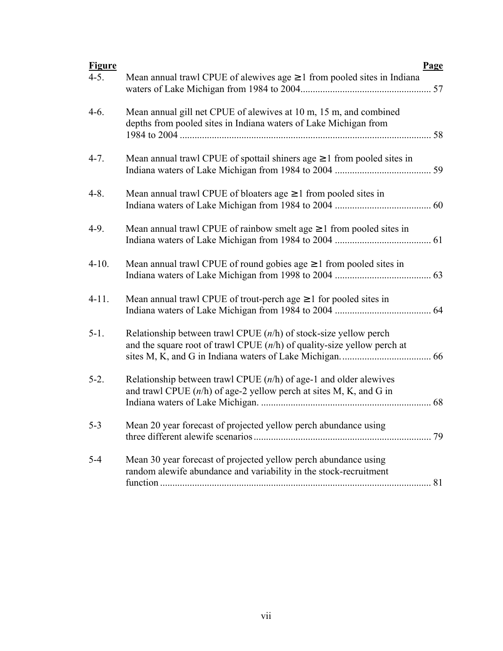| <b>Figure</b> |                                                                                                                                                 | Page |
|---------------|-------------------------------------------------------------------------------------------------------------------------------------------------|------|
| $4 - 5.$      | Mean annual trawl CPUE of alewives $age \ge 1$ from pooled sites in Indiana                                                                     | 57   |
| $4-6.$        | Mean annual gill net CPUE of alewives at 10 m, 15 m, and combined<br>depths from pooled sites in Indiana waters of Lake Michigan from           | .58  |
| $4 - 7.$      | Mean annual trawl CPUE of spottail shiners age $\geq 1$ from pooled sites in                                                                    |      |
| $4 - 8$ .     | Mean annual trawl CPUE of bloaters age $\geq 1$ from pooled sites in                                                                            |      |
| $4-9.$        | Mean annual trawl CPUE of rainbow smelt age $\geq 1$ from pooled sites in                                                                       |      |
| $4-10.$       | Mean annual trawl CPUE of round gobies age $\geq 1$ from pooled sites in                                                                        |      |
| $4-11.$       | Mean annual trawl CPUE of trout-perch age $\geq 1$ for pooled sites in                                                                          |      |
| $5-1.$        | Relationship between trawl CPUE $(n/h)$ of stock-size yellow perch<br>and the square root of trawl CPUE $(n/h)$ of quality-size yellow perch at |      |
| $5-2.$        | Relationship between trawl CPUE $(n/h)$ of age-1 and older alewives<br>and trawl CPUE $(n/h)$ of age-2 yellow perch at sites M, K, and G in     |      |
| $5 - 3$       | Mean 20 year forecast of projected yellow perch abundance using                                                                                 | 79   |
| $5 - 4$       | Mean 30 year forecast of projected yellow perch abundance using<br>random alewife abundance and variability in the stock-recruitment            | 81   |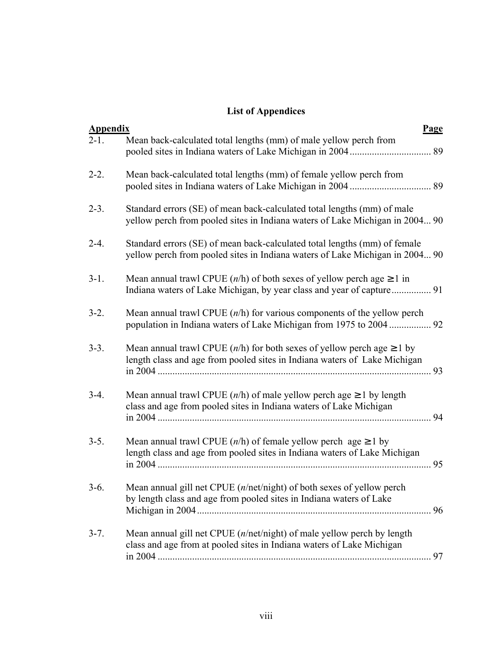# **List of Appendices**

| <b>Appendix</b> | <b>Page</b>                                                                                                                                                     |    |
|-----------------|-----------------------------------------------------------------------------------------------------------------------------------------------------------------|----|
| $2 - 1$ .       | Mean back-calculated total lengths (mm) of male yellow perch from                                                                                               |    |
| $2 - 2$ .       | Mean back-calculated total lengths (mm) of female yellow perch from                                                                                             |    |
| $2 - 3$ .       | Standard errors (SE) of mean back-calculated total lengths (mm) of male<br>yellow perch from pooled sites in Indiana waters of Lake Michigan in 2004 90         |    |
| $2 - 4.$        | Standard errors (SE) of mean back-calculated total lengths (mm) of female<br>yellow perch from pooled sites in Indiana waters of Lake Michigan in 2004 90       |    |
| $3-1.$          | Mean annual trawl CPUE $(n/h)$ of both sexes of yellow perch age $\geq 1$ in<br>Indiana waters of Lake Michigan, by year class and year of capture 91           |    |
| $3-2.$          | Mean annual trawl CPUE $(n/h)$ for various components of the yellow perch                                                                                       |    |
| $3-3.$          | Mean annual trawl CPUE $(n/h)$ for both sexes of yellow perch age $\geq 1$ by<br>length class and age from pooled sites in Indiana waters of Lake Michigan      | 93 |
| $3-4.$          | Mean annual trawl CPUE $(n/h)$ of male yellow perch age $\geq 1$ by length<br>class and age from pooled sites in Indiana waters of Lake Michigan                | 94 |
| $3-5.$          | Mean annual trawl CPUE $(n/h)$ of female yellow perch age $\geq 1$ by<br>length class and age from pooled sites in Indiana waters of Lake Michigan              | 95 |
| $3-6.$          | Mean annual gill net CPUE (n/net/night) of both sexes of yellow perch<br>by length class and age from pooled sites in Indiana waters of Lake                    |    |
| $3 - 7$ .       | Mean annual gill net CPUE $(n/\text{net}/\text{night})$ of male yellow perch by length<br>class and age from at pooled sites in Indiana waters of Lake Michigan |    |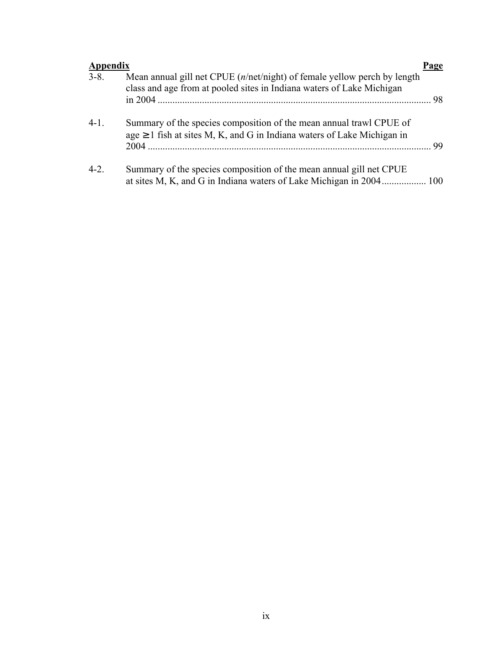| <b>Appendix</b> |                                                                                                                                                                   | Page |
|-----------------|-------------------------------------------------------------------------------------------------------------------------------------------------------------------|------|
| $3 - 8$ .       | Mean annual gill net CPUE $(n/\text{net}/\text{night})$ of female yellow perch by length<br>class and age from at pooled sites in Indiana waters of Lake Michigan |      |
| $4-1.$          | Summary of the species composition of the mean annual trawl CPUE of<br>$age \ge 1$ fish at sites M, K, and G in Indiana waters of Lake Michigan in                |      |
| $4 - 2$ .       | Summary of the species composition of the mean annual gill net CPUE<br>at sites M, K, and G in Indiana waters of Lake Michigan in 2004 100                        |      |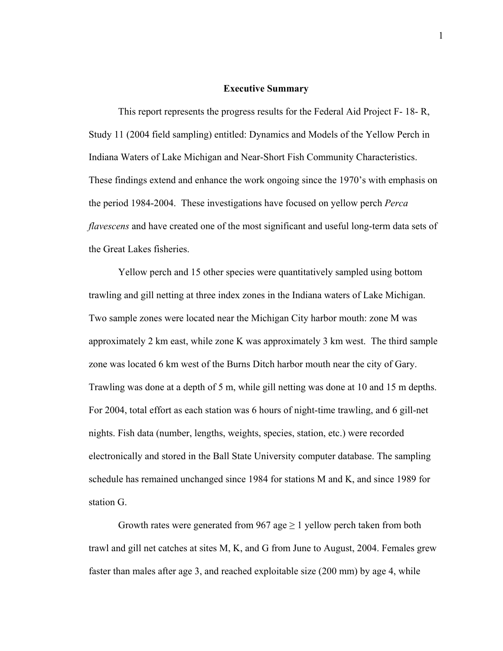#### **Executive Summary**

 This report represents the progress results for the Federal Aid Project F- 18- R, Study 11 (2004 field sampling) entitled: Dynamics and Models of the Yellow Perch in Indiana Waters of Lake Michigan and Near-Short Fish Community Characteristics. These findings extend and enhance the work ongoing since the 1970's with emphasis on the period 1984-2004. These investigations have focused on yellow perch *Perca flavescens* and have created one of the most significant and useful long-term data sets of the Great Lakes fisheries.

 Yellow perch and 15 other species were quantitatively sampled using bottom trawling and gill netting at three index zones in the Indiana waters of Lake Michigan. Two sample zones were located near the Michigan City harbor mouth: zone M was approximately 2 km east, while zone K was approximately 3 km west. The third sample zone was located 6 km west of the Burns Ditch harbor mouth near the city of Gary. Trawling was done at a depth of 5 m, while gill netting was done at 10 and 15 m depths. For 2004, total effort as each station was 6 hours of night-time trawling, and 6 gill-net nights. Fish data (number, lengths, weights, species, station, etc.) were recorded electronically and stored in the Ball State University computer database. The sampling schedule has remained unchanged since 1984 for stations M and K, and since 1989 for station G.

Growth rates were generated from 967 age  $\geq 1$  yellow perch taken from both trawl and gill net catches at sites M, K, and G from June to August, 2004. Females grew faster than males after age 3, and reached exploitable size (200 mm) by age 4, while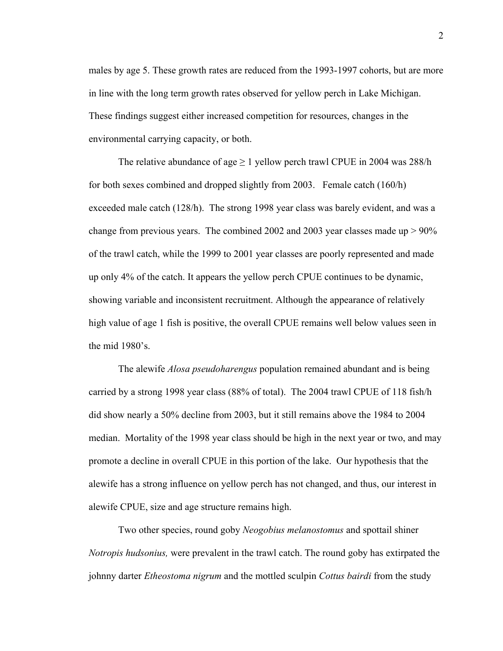males by age 5. These growth rates are reduced from the 1993-1997 cohorts, but are more in line with the long term growth rates observed for yellow perch in Lake Michigan. These findings suggest either increased competition for resources, changes in the environmental carrying capacity, or both.

The relative abundance of age  $\geq 1$  yellow perch trawl CPUE in 2004 was 288/h for both sexes combined and dropped slightly from 2003. Female catch (160/h) exceeded male catch (128/h). The strong 1998 year class was barely evident, and was a change from previous years. The combined 2002 and 2003 year classes made up  $> 90\%$ of the trawl catch, while the 1999 to 2001 year classes are poorly represented and made up only 4% of the catch. It appears the yellow perch CPUE continues to be dynamic, showing variable and inconsistent recruitment. Although the appearance of relatively high value of age 1 fish is positive, the overall CPUE remains well below values seen in the mid 1980's.

 The alewife *Alosa pseudoharengus* population remained abundant and is being carried by a strong 1998 year class (88% of total). The 2004 trawl CPUE of 118 fish/h did show nearly a 50% decline from 2003, but it still remains above the 1984 to 2004 median. Mortality of the 1998 year class should be high in the next year or two, and may promote a decline in overall CPUE in this portion of the lake. Our hypothesis that the alewife has a strong influence on yellow perch has not changed, and thus, our interest in alewife CPUE, size and age structure remains high.

 Two other species, round goby *Neogobius melanostomus* and spottail shiner *Notropis hudsonius,* were prevalent in the trawl catch. The round goby has extirpated the johnny darter *Etheostoma nigrum* and the mottled sculpin *Cottus bairdi* from the study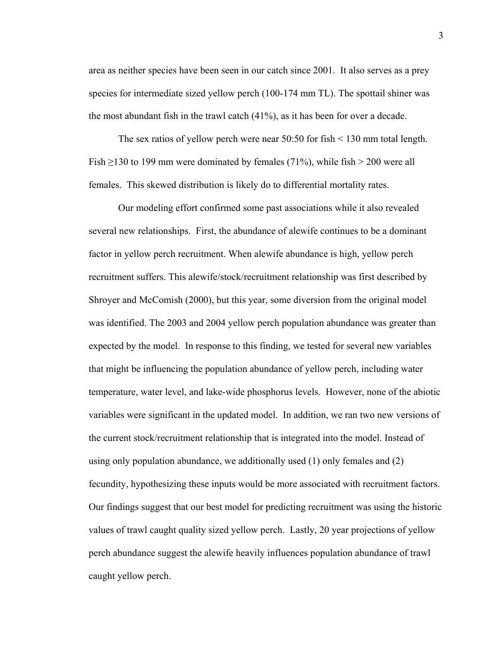area as neither species have been seen in our catch since 2001. It also serves as a prey species for intermediate sized yellow perch (100-174 mm TL). The spottail shiner was the most abundant fish in the trawl catch (41%), as it has been for over a decade.

 The sex ratios of yellow perch were near 50:50 for fish < 130 mm total length. Fish  $\geq$ 130 to 199 mm were dominated by females (71%), while fish  $>$  200 were all females. This skewed distribution is likely do to differential mortality rates.

 Our modeling effort confirmed some past associations while it also revealed several new relationships. First, the abundance of alewife continues to be a dominant factor in yellow perch recruitment. When alewife abundance is high, yellow perch recruitment suffers. This alewife/stock/recruitment relationship was first described by Shroyer and McComish (2000), but this year, some diversion from the original model was identified. The 2003 and 2004 yellow perch population abundance was greater than expected by the model. In response to this finding, we tested for several new variables that might be influencing the population abundance of yellow perch, including water temperature, water level, and lake-wide phosphorus levels. However, none of the abiotic variables were significant in the updated model. In addition, we ran two new versions of the current stock/recruitment relationship that is integrated into the model. Instead of using only population abundance, we additionally used (1) only females and (2) fecundity, hypothesizing these inputs would be more associated with recruitment factors. Our findings suggest that our best model for predicting recruitment was using the historic values of trawl caught quality sized yellow perch. Lastly, 20 year projections of yellow perch abundance suggest the alewife heavily influences population abundance of trawl caught yellow perch.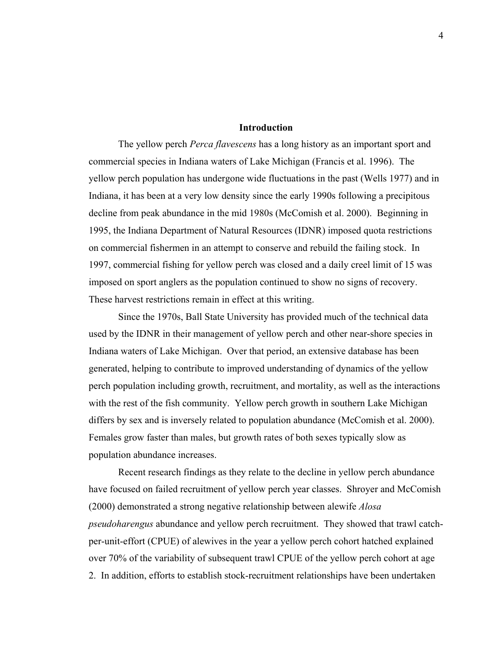### **Introduction**

 The yellow perch *Perca flavescens* has a long history as an important sport and commercial species in Indiana waters of Lake Michigan (Francis et al. 1996). The yellow perch population has undergone wide fluctuations in the past (Wells 1977) and in Indiana, it has been at a very low density since the early 1990s following a precipitous decline from peak abundance in the mid 1980s (McComish et al. 2000). Beginning in 1995, the Indiana Department of Natural Resources (IDNR) imposed quota restrictions on commercial fishermen in an attempt to conserve and rebuild the failing stock. In 1997, commercial fishing for yellow perch was closed and a daily creel limit of 15 was imposed on sport anglers as the population continued to show no signs of recovery. These harvest restrictions remain in effect at this writing.

 Since the 1970s, Ball State University has provided much of the technical data used by the IDNR in their management of yellow perch and other near-shore species in Indiana waters of Lake Michigan. Over that period, an extensive database has been generated, helping to contribute to improved understanding of dynamics of the yellow perch population including growth, recruitment, and mortality, as well as the interactions with the rest of the fish community. Yellow perch growth in southern Lake Michigan differs by sex and is inversely related to population abundance (McComish et al. 2000). Females grow faster than males, but growth rates of both sexes typically slow as population abundance increases.

Recent research findings as they relate to the decline in yellow perch abundance have focused on failed recruitment of yellow perch year classes. Shroyer and McComish (2000) demonstrated a strong negative relationship between alewife *Alosa pseudoharengus* abundance and yellow perch recruitment. They showed that trawl catchper-unit-effort (CPUE) of alewives in the year a yellow perch cohort hatched explained over 70% of the variability of subsequent trawl CPUE of the yellow perch cohort at age 2. In addition, efforts to establish stock-recruitment relationships have been undertaken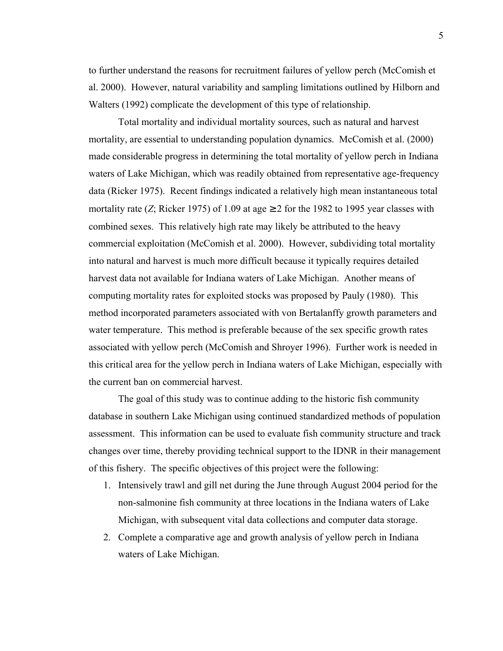to further understand the reasons for recruitment failures of yellow perch (McComish et al. 2000). However, natural variability and sampling limitations outlined by Hilborn and Walters (1992) complicate the development of this type of relationship.

 Total mortality and individual mortality sources, such as natural and harvest mortality, are essential to understanding population dynamics. McComish et al. (2000) made considerable progress in determining the total mortality of yellow perch in Indiana waters of Lake Michigan, which was readily obtained from representative age-frequency data (Ricker 1975). Recent findings indicated a relatively high mean instantaneous total mortality rate (*Z*; Ricker 1975) of 1.09 at age  $\geq$  2 for the 1982 to 1995 year classes with combined sexes. This relatively high rate may likely be attributed to the heavy commercial exploitation (McComish et al. 2000). However, subdividing total mortality into natural and harvest is much more difficult because it typically requires detailed harvest data not available for Indiana waters of Lake Michigan. Another means of computing mortality rates for exploited stocks was proposed by Pauly (1980). This method incorporated parameters associated with von Bertalanffy growth parameters and water temperature. This method is preferable because of the sex specific growth rates associated with yellow perch (McComish and Shroyer 1996). Further work is needed in this critical area for the yellow perch in Indiana waters of Lake Michigan, especially with the current ban on commercial harvest.

 The goal of this study was to continue adding to the historic fish community database in southern Lake Michigan using continued standardized methods of population assessment. This information can be used to evaluate fish community structure and track changes over time, thereby providing technical support to the IDNR in their management of this fishery. The specific objectives of this project were the following:

- 1. Intensively trawl and gill net during the June through August 2004 period for the non-salmonine fish community at three locations in the Indiana waters of Lake Michigan, with subsequent vital data collections and computer data storage.
- 2. Complete a comparative age and growth analysis of yellow perch in Indiana waters of Lake Michigan.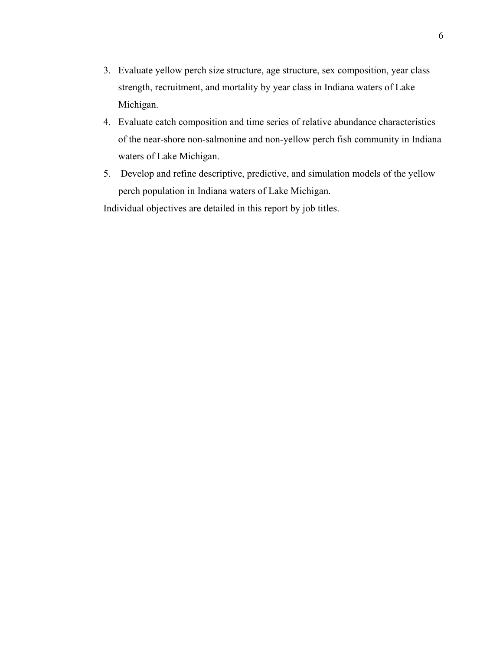- 3. Evaluate yellow perch size structure, age structure, sex composition, year class strength, recruitment, and mortality by year class in Indiana waters of Lake Michigan.
- 4. Evaluate catch composition and time series of relative abundance characteristics of the near-shore non-salmonine and non-yellow perch fish community in Indiana waters of Lake Michigan.
- 5. Develop and refine descriptive, predictive, and simulation models of the yellow perch population in Indiana waters of Lake Michigan.

Individual objectives are detailed in this report by job titles.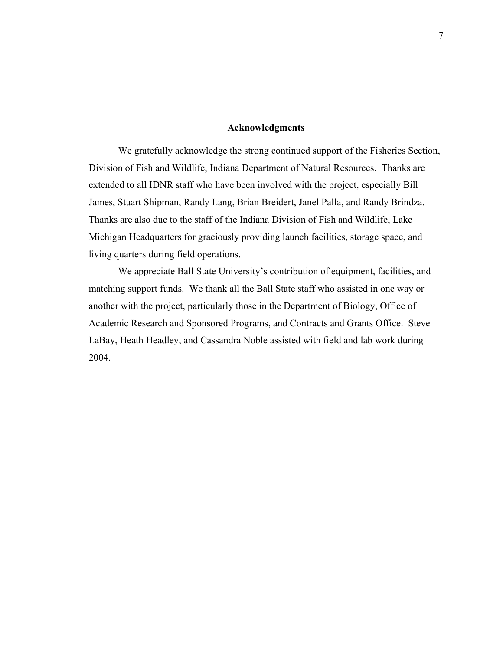#### **Acknowledgments**

 We gratefully acknowledge the strong continued support of the Fisheries Section, Division of Fish and Wildlife, Indiana Department of Natural Resources. Thanks are extended to all IDNR staff who have been involved with the project, especially Bill James, Stuart Shipman, Randy Lang, Brian Breidert, Janel Palla, and Randy Brindza. Thanks are also due to the staff of the Indiana Division of Fish and Wildlife, Lake Michigan Headquarters for graciously providing launch facilities, storage space, and living quarters during field operations.

 We appreciate Ball State University's contribution of equipment, facilities, and matching support funds. We thank all the Ball State staff who assisted in one way or another with the project, particularly those in the Department of Biology, Office of Academic Research and Sponsored Programs, and Contracts and Grants Office. Steve LaBay, Heath Headley, and Cassandra Noble assisted with field and lab work during 2004.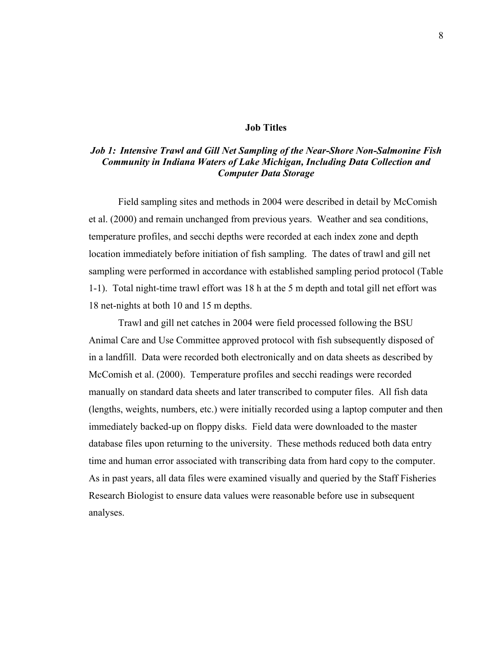### **Job Titles**

### *Job 1: Intensive Trawl and Gill Net Sampling of the Near-Shore Non-Salmonine Fish Community in Indiana Waters of Lake Michigan, Including Data Collection and Computer Data Storage*

Field sampling sites and methods in 2004 were described in detail by McComish et al. (2000) and remain unchanged from previous years. Weather and sea conditions, temperature profiles, and secchi depths were recorded at each index zone and depth location immediately before initiation of fish sampling. The dates of trawl and gill net sampling were performed in accordance with established sampling period protocol (Table 1-1). Total night-time trawl effort was 18 h at the 5 m depth and total gill net effort was 18 net-nights at both 10 and 15 m depths.

Trawl and gill net catches in 2004 were field processed following the BSU Animal Care and Use Committee approved protocol with fish subsequently disposed of in a landfill. Data were recorded both electronically and on data sheets as described by McComish et al. (2000). Temperature profiles and secchi readings were recorded manually on standard data sheets and later transcribed to computer files. All fish data (lengths, weights, numbers, etc.) were initially recorded using a laptop computer and then immediately backed-up on floppy disks. Field data were downloaded to the master database files upon returning to the university. These methods reduced both data entry time and human error associated with transcribing data from hard copy to the computer. As in past years, all data files were examined visually and queried by the Staff Fisheries Research Biologist to ensure data values were reasonable before use in subsequent analyses.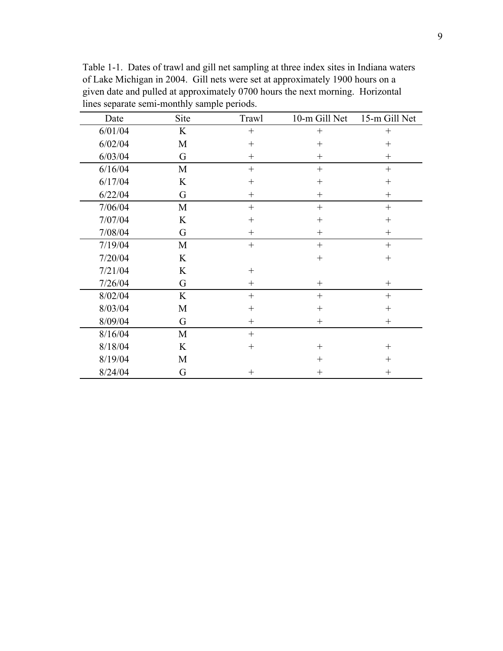| Date    | Site | Trawl            | 10-m Gill Net      | 15-m Gill Net |
|---------|------|------------------|--------------------|---------------|
| 6/01/04 | K    | $+$              |                    | $^{+}$        |
| 6/02/04 | M    | $+$              | $^{+}$             | $^{+}$        |
| 6/03/04 | G    | $+$              | $^{+}$             | $^{+}$        |
| 6/16/04 | M    | $\boldsymbol{+}$ | $^{+}$             | $^{+}$        |
| 6/17/04 | K    | $^{+}$           | $^{+}$             | $^{+}$        |
| 6/22/04 | G    | $^{+}$           | $^{+}$             | $^{+}$        |
| 7/06/04 | M    | $+$              | $^{+}$             | $+$           |
| 7/07/04 | K    | $^{+}$           | $^{+}$             | $^{+}$        |
| 7/08/04 | G    | $^{+}$           | $^{+}$             | $^{+}$        |
| 7/19/04 | M    | $\! + \!$        | $^{+}$             | $+$           |
| 7/20/04 | K    |                  | $^{+}$             | $^{+}$        |
| 7/21/04 | K    | $^{+}$           |                    |               |
| 7/26/04 | G    | $^{+}$           | $\hspace{0.1mm} +$ | $^{+}$        |
| 8/02/04 | K    | $+$              | $^{+}$             | $^{+}$        |
| 8/03/04 | M    | $^{+}$           | $^{+}$             | $^{+}$        |
| 8/09/04 | G    | $^{+}$           | $^{+}$             | $^{+}$        |
| 8/16/04 | M    | $^{+}$           |                    |               |
| 8/18/04 | K    | $^{+}$           | $^{+}$             | $^{+}$        |
| 8/19/04 | M    |                  | $^{+}$             | $^{+}$        |
| 8/24/04 | G    | $^{+}$           | $^{+}$             | $^{+}$        |

Table 1-1. Dates of trawl and gill net sampling at three index sites in Indiana waters of Lake Michigan in 2004. Gill nets were set at approximately 1900 hours on a given date and pulled at approximately 0700 hours the next morning. Horizontal lines separate semi-monthly sample periods.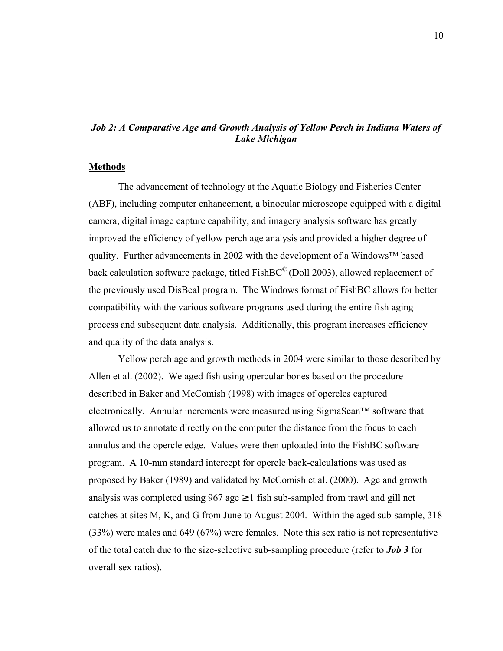### *Job 2: A Comparative Age and Growth Analysis of Yellow Perch in Indiana Waters of Lake Michigan*

#### **Methods**

 The advancement of technology at the Aquatic Biology and Fisheries Center (ABF), including computer enhancement, a binocular microscope equipped with a digital camera, digital image capture capability, and imagery analysis software has greatly improved the efficiency of yellow perch age analysis and provided a higher degree of quality. Further advancements in 2002 with the development of a Windows™ based back calculation software package, titled FishBC<sup>©</sup> (Doll 2003), allowed replacement of the previously used DisBcal program. The Windows format of FishBC allows for better compatibility with the various software programs used during the entire fish aging process and subsequent data analysis. Additionally, this program increases efficiency and quality of the data analysis.

Yellow perch age and growth methods in 2004 were similar to those described by Allen et al. (2002). We aged fish using opercular bones based on the procedure described in Baker and McComish (1998) with images of opercles captured electronically. Annular increments were measured using SigmaScan™ software that allowed us to annotate directly on the computer the distance from the focus to each annulus and the opercle edge. Values were then uploaded into the FishBC software program. A 10-mm standard intercept for opercle back-calculations was used as proposed by Baker (1989) and validated by McComish et al. (2000). Age and growth analysis was completed using  $967$  age  $\geq 1$  fish sub-sampled from trawl and gill net catches at sites M, K, and G from June to August 2004. Within the aged sub-sample, 318 (33%) were males and 649 (67%) were females. Note this sex ratio is not representative of the total catch due to the size-selective sub-sampling procedure (refer to *Job 3* for overall sex ratios).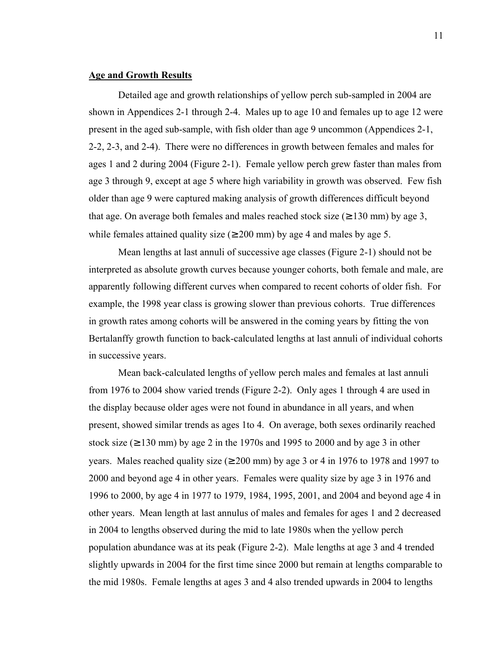### **Age and Growth Results**

 Detailed age and growth relationships of yellow perch sub-sampled in 2004 are shown in Appendices 2-1 through 2-4. Males up to age 10 and females up to age 12 were present in the aged sub-sample, with fish older than age 9 uncommon (Appendices 2-1, 2-2, 2-3, and 2-4). There were no differences in growth between females and males for ages 1 and 2 during 2004 (Figure 2-1). Female yellow perch grew faster than males from age 3 through 9, except at age 5 where high variability in growth was observed. Few fish older than age 9 were captured making analysis of growth differences difficult beyond that age. On average both females and males reached stock size  $(\geq 130 \text{ mm})$  by age 3, while females attained quality size  $(≥ 200$  mm) by age 4 and males by age 5.

Mean lengths at last annuli of successive age classes (Figure 2-1) should not be interpreted as absolute growth curves because younger cohorts, both female and male, are apparently following different curves when compared to recent cohorts of older fish. For example, the 1998 year class is growing slower than previous cohorts. True differences in growth rates among cohorts will be answered in the coming years by fitting the von Bertalanffy growth function to back-calculated lengths at last annuli of individual cohorts in successive years.

 Mean back-calculated lengths of yellow perch males and females at last annuli from 1976 to 2004 show varied trends (Figure 2-2). Only ages 1 through 4 are used in the display because older ages were not found in abundance in all years, and when present, showed similar trends as ages 1to 4. On average, both sexes ordinarily reached stock size  $(≥ 130$  mm) by age 2 in the 1970s and 1995 to 2000 and by age 3 in other years. Males reached quality size  $(≥ 200$  mm) by age 3 or 4 in 1976 to 1978 and 1997 to 2000 and beyond age 4 in other years. Females were quality size by age 3 in 1976 and 1996 to 2000, by age 4 in 1977 to 1979, 1984, 1995, 2001, and 2004 and beyond age 4 in other years. Mean length at last annulus of males and females for ages 1 and 2 decreased in 2004 to lengths observed during the mid to late 1980s when the yellow perch population abundance was at its peak (Figure 2-2). Male lengths at age 3 and 4 trended slightly upwards in 2004 for the first time since 2000 but remain at lengths comparable to the mid 1980s. Female lengths at ages 3 and 4 also trended upwards in 2004 to lengths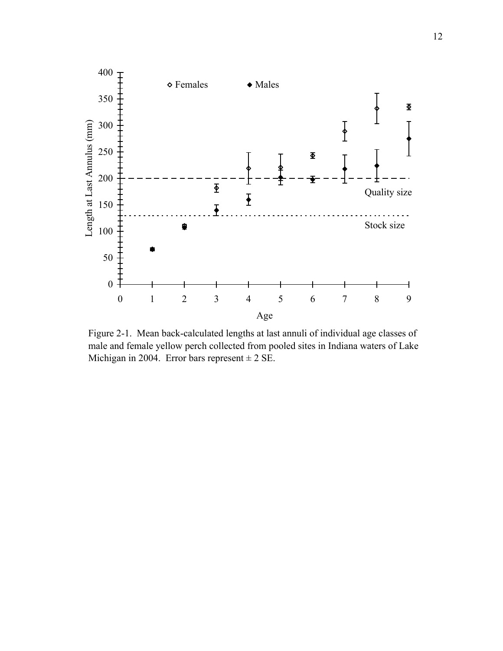

Figure 2-1. Mean back-calculated lengths at last annuli of individual age classes of male and female yellow perch collected from pooled sites in Indiana waters of Lake Michigan in 2004. Error bars represent  $\pm 2$  SE.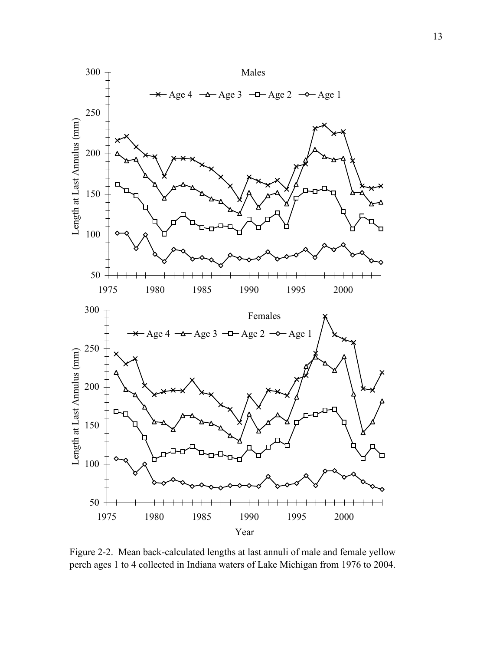

Figure 2-2. Mean back-calculated lengths at last annuli of male and female yellow perch ages 1 to 4 collected in Indiana waters of Lake Michigan from 1976 to 2004.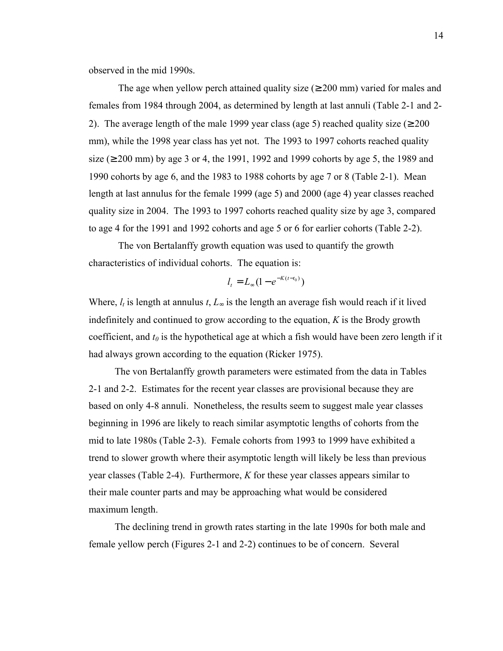observed in the mid 1990s.

The age when yellow perch attained quality size  $(\geq 200 \text{ mm})$  varied for males and females from 1984 through 2004, as determined by length at last annuli (Table 2-1 and 2- 2). The average length of the male 1999 year class (age 5) reached quality size ( $\geq 200$ mm), while the 1998 year class has yet not. The 1993 to 1997 cohorts reached quality size ( $\geq$  200 mm) by age 3 or 4, the 1991, 1992 and 1999 cohorts by age 5, the 1989 and 1990 cohorts by age 6, and the 1983 to 1988 cohorts by age 7 or 8 (Table 2-1). Mean length at last annulus for the female 1999 (age 5) and 2000 (age 4) year classes reached quality size in 2004. The 1993 to 1997 cohorts reached quality size by age 3, compared to age 4 for the 1991 and 1992 cohorts and age 5 or 6 for earlier cohorts (Table 2-2).

The von Bertalanffy growth equation was used to quantify the growth characteristics of individual cohorts. The equation is:

$$
l_t = L_{\infty} (1 - e^{-K(t - t_0)})
$$

Where,  $l_t$  is length at annulus  $t, L_{\infty}$  is the length an average fish would reach if it lived indefinitely and continued to grow according to the equation, *K* is the Brody growth coefficient, and  $t_0$  is the hypothetical age at which a fish would have been zero length if it had always grown according to the equation (Ricker 1975).

The von Bertalanffy growth parameters were estimated from the data in Tables 2-1 and 2-2. Estimates for the recent year classes are provisional because they are based on only 4-8 annuli. Nonetheless, the results seem to suggest male year classes beginning in 1996 are likely to reach similar asymptotic lengths of cohorts from the mid to late 1980s (Table 2-3). Female cohorts from 1993 to 1999 have exhibited a trend to slower growth where their asymptotic length will likely be less than previous year classes (Table 2-4). Furthermore, *K* for these year classes appears similar to their male counter parts and may be approaching what would be considered maximum length.

The declining trend in growth rates starting in the late 1990s for both male and female yellow perch (Figures 2-1 and 2-2) continues to be of concern. Several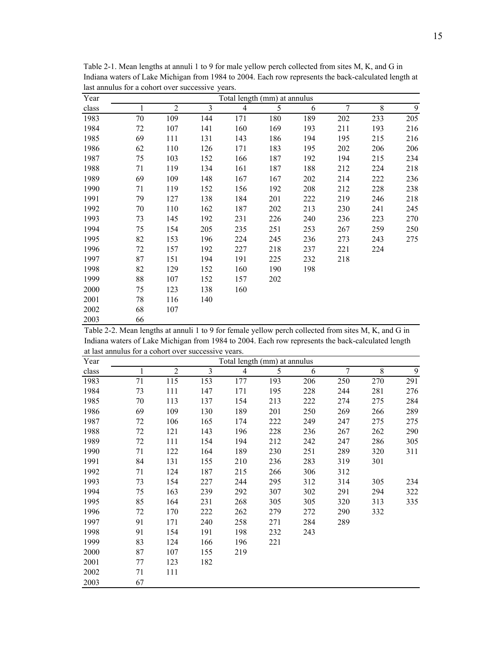| Year  | Total length (mm) at annulus |                |     |                |     |     |                |     |                |  |  |  |  |  |
|-------|------------------------------|----------------|-----|----------------|-----|-----|----------------|-----|----------------|--|--|--|--|--|
| class |                              | $\overline{2}$ | 3   | $\overline{4}$ | 5   | 6   | $\overline{7}$ | 8   | $\overline{9}$ |  |  |  |  |  |
| 1983  | 70                           | 109            | 144 | 171            | 180 | 189 | 202            | 233 | 205            |  |  |  |  |  |
| 1984  | 72                           | 107            | 141 | 160            | 169 | 193 | 211            | 193 | 216            |  |  |  |  |  |
| 1985  | 69                           | 111            | 131 | 143            | 186 | 194 | 195            | 215 | 216            |  |  |  |  |  |
| 1986  | 62                           | 110            | 126 | 171            | 183 | 195 | 202            | 206 | 206            |  |  |  |  |  |
| 1987  | 75                           | 103            | 152 | 166            | 187 | 192 | 194            | 215 | 234            |  |  |  |  |  |
| 1988  | 71                           | 119            | 134 | 161            | 187 | 188 | 212            | 224 | 218            |  |  |  |  |  |
| 1989  | 69                           | 109            | 148 | 167            | 167 | 202 | 214            | 222 | 236            |  |  |  |  |  |
| 1990  | 71                           | 119            | 152 | 156            | 192 | 208 | 212            | 228 | 238            |  |  |  |  |  |
| 1991  | 79                           | 127            | 138 | 184            | 201 | 222 | 219            | 246 | 218            |  |  |  |  |  |
| 1992  | 70                           | 110            | 162 | 187            | 202 | 213 | 230            | 241 | 245            |  |  |  |  |  |
| 1993  | 73                           | 145            | 192 | 231            | 226 | 240 | 236            | 223 | 270            |  |  |  |  |  |
| 1994  | 75                           | 154            | 205 | 235            | 251 | 253 | 267            | 259 | 250            |  |  |  |  |  |
| 1995  | 82                           | 153            | 196 | 224            | 245 | 236 | 273            | 243 | 275            |  |  |  |  |  |
| 1996  | 72                           | 157            | 192 | 227            | 218 | 237 | 221            | 224 |                |  |  |  |  |  |
| 1997  | 87                           | 151            | 194 | 191            | 225 | 232 | 218            |     |                |  |  |  |  |  |
| 1998  | 82                           | 129            | 152 | 160            | 190 | 198 |                |     |                |  |  |  |  |  |
| 1999  | 88                           | 107            | 152 | 157            | 202 |     |                |     |                |  |  |  |  |  |
| 2000  | 75                           | 123            | 138 | 160            |     |     |                |     |                |  |  |  |  |  |
| 2001  | 78                           | 116            | 140 |                |     |     |                |     |                |  |  |  |  |  |
| 2002  | 68                           | 107            |     |                |     |     |                |     |                |  |  |  |  |  |
| 2003  | 66                           |                |     |                |     |     |                |     |                |  |  |  |  |  |

Table 2-1. Mean lengths at annuli 1 to 9 for male yellow perch collected from sites M, K, and G in Indiana waters of Lake Michigan from 1984 to 2004. Each row represents the back-calculated length at last annulus for a cohort over successive years.

Table 2-2. Mean lengths at annuli 1 to 9 for female yellow perch collected from sites M, K, and G in Indiana waters of Lake Michigan from 1984 to 2004. Each row represents the back-calculated length at last annulus for a cohort over successive years.

| Year  | Total length (mm) at annulus |                |     |                |     |     |     |     |     |  |  |  |  |  |  |
|-------|------------------------------|----------------|-----|----------------|-----|-----|-----|-----|-----|--|--|--|--|--|--|
| class |                              | $\overline{2}$ | 3   | $\overline{4}$ | 5   | 6   | 7   | 8   | 9   |  |  |  |  |  |  |
| 1983  | 71                           | 115            | 153 | 177            | 193 | 206 | 250 | 270 | 291 |  |  |  |  |  |  |
| 1984  | 73                           | 111            | 147 | 171            | 195 | 228 | 244 | 281 | 276 |  |  |  |  |  |  |
| 1985  | 70                           | 113            | 137 | 154            | 213 | 222 | 274 | 275 | 284 |  |  |  |  |  |  |
| 1986  | 69                           | 109            | 130 | 189            | 201 | 250 | 269 | 266 | 289 |  |  |  |  |  |  |
| 1987  | 72                           | 106            | 165 | 174            | 222 | 249 | 247 | 275 | 275 |  |  |  |  |  |  |
| 1988  | 72                           | 121            | 143 | 196            | 228 | 236 | 267 | 262 | 290 |  |  |  |  |  |  |
| 1989  | 72                           | 111            | 154 | 194            | 212 | 242 | 247 | 286 | 305 |  |  |  |  |  |  |
| 1990  | 71                           | 122            | 164 | 189            | 230 | 251 | 289 | 320 | 311 |  |  |  |  |  |  |
| 1991  | 84                           | 131            | 155 | 210            | 236 | 283 | 319 | 301 |     |  |  |  |  |  |  |
| 1992  | 71                           | 124            | 187 | 215            | 266 | 306 | 312 |     |     |  |  |  |  |  |  |
| 1993  | 73                           | 154            | 227 | 244            | 295 | 312 | 314 | 305 | 234 |  |  |  |  |  |  |
| 1994  | 75                           | 163            | 239 | 292            | 307 | 302 | 291 | 294 | 322 |  |  |  |  |  |  |
| 1995  | 85                           | 164            | 231 | 268            | 305 | 305 | 320 | 313 | 335 |  |  |  |  |  |  |
| 1996  | 72                           | 170            | 222 | 262            | 279 | 272 | 290 | 332 |     |  |  |  |  |  |  |
| 1997  | 91                           | 171            | 240 | 258            | 271 | 284 | 289 |     |     |  |  |  |  |  |  |
| 1998  | 91                           | 154            | 191 | 198            | 232 | 243 |     |     |     |  |  |  |  |  |  |
| 1999  | 83                           | 124            | 166 | 196            | 221 |     |     |     |     |  |  |  |  |  |  |
| 2000  | 87                           | 107            | 155 | 219            |     |     |     |     |     |  |  |  |  |  |  |
| 2001  | 77                           | 123            | 182 |                |     |     |     |     |     |  |  |  |  |  |  |
| 2002  | 71                           | 111            |     |                |     |     |     |     |     |  |  |  |  |  |  |
| 2003  | 67                           |                |     |                |     |     |     |     |     |  |  |  |  |  |  |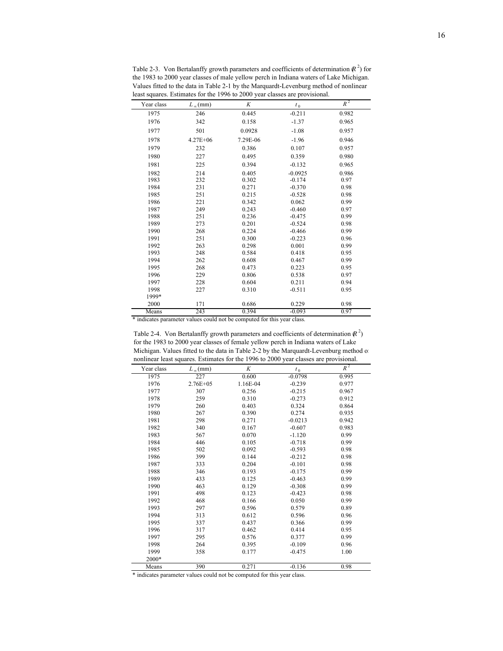|            |                   | reast squares. Estimates for the 1996 to 2000 year classes are provisional. |           |       |
|------------|-------------------|-----------------------------------------------------------------------------|-----------|-------|
| Year class | $L_{\infty}$ (mm) | K                                                                           | $t_0$     | $R^2$ |
| 1975       | 246               | 0.445                                                                       | $-0.211$  | 0.982 |
| 1976       | 342               | 0.158                                                                       | $-1.37$   | 0.965 |
| 1977       | 501               | 0.0928                                                                      | $-1.08$   | 0.957 |
| 1978       | $4.27E + 06$      | 7.29E-06                                                                    | $-1.96$   | 0.946 |
| 1979       | 232               | 0.386                                                                       | 0.107     | 0.957 |
| 1980       | 227               | 0.495                                                                       | 0.359     | 0.980 |
| 1981       | 225               | 0.394                                                                       | $-0.132$  | 0.965 |
| 1982       | 214               | 0.405                                                                       | $-0.0925$ | 0.986 |
| 1983       | 232               | 0.302                                                                       | $-0.174$  | 0.97  |
| 1984       | 231               | 0.271                                                                       | $-0.370$  | 0.98  |
| 1985       | 251               | 0.215                                                                       | $-0.528$  | 0.98  |
| 1986       | 221               | 0.342                                                                       | 0.062     | 0.99  |
| 1987       | 249               | 0.243                                                                       | $-0.460$  | 0.97  |
| 1988       | 251               | 0.236                                                                       | $-0.475$  | 0.99  |
| 1989       | 273               | 0.201                                                                       | $-0.524$  | 0.98  |
| 1990       | 268               | 0.224                                                                       | $-0.466$  | 0.99  |
| 1991       | 251               | 0.300                                                                       | $-0.223$  | 0.96  |
| 1992       | 263               | 0.298                                                                       | 0.001     | 0.99  |
| 1993       | 248               | 0.584                                                                       | 0.418     | 0.95  |
| 1994       | 262               | 0.608                                                                       | 0.467     | 0.99  |
| 1995       | 268               | 0.473                                                                       | 0.223     | 0.95  |
| 1996       | 229               | 0.806                                                                       | 0.538     | 0.97  |
| 1997       | 228               | 0.604                                                                       | 0.211     | 0.94  |
| 1998       | 227               | 0.310                                                                       | $-0.511$  | 0.95  |
| 1999*      |                   |                                                                             |           |       |
| 2000       | 171               | 0.686                                                                       | 0.229     | 0.98  |
| Means      | 243               | 0.394                                                                       | $-0.093$  | 0.97  |

Table 2-3. Von Bertalanffy growth parameters and coefficients of determination  $\mathbb{R}^2$ ) for the 1983 to 2000 year classes of male yellow perch in Indiana waters of Lake Michigan. Values fitted to the data in Table 2-1 by the Marquardt-Levenburg method of nonlinear<br>least squares. Estimates for the 1996 to 2000 year classes are provisional lares. Estimates for the 1996 to 2000 year cla

\* indicates parameter values could not be computed for this year class.

 $\overline{a}$ 

 $\overline{a}$ 

Table 2-4. Von Bertalanffy growth parameters and coefficients of determination  $\mathbb{R}^2$ ) for the 1983 to 2000 year classes of female yellow perch in Indiana waters of Lake Michigan. Values fitted to the data in Table 2-2 by the Marquardt-Levenburg method of nonlinear least squares. Estimates for the 1996 to 2000 year classes are provisional.

| Year class | $L_{\infty}$ (mm) | K        | $t_{0}$   | $R^2$ |
|------------|-------------------|----------|-----------|-------|
| 1975       | 227               | 0.600    | $-0.0798$ | 0.995 |
| 1976       | $2.76E + 05$      | 1.16E-04 | $-0.239$  | 0.977 |
| 1977       | 307               | 0.256    | $-0.215$  | 0.967 |
| 1978       | 259               | 0.310    | $-0.273$  | 0.912 |
| 1979       | 260               | 0.403    | 0.324     | 0.864 |
| 1980       | 267               | 0.390    | 0.274     | 0.935 |
| 1981       | 298               | 0.271    | $-0.0213$ | 0.942 |
| 1982       | 340               | 0.167    | $-0.607$  | 0.983 |
| 1983       | 567               | 0.070    | $-1.120$  | 0.99  |
| 1984       | 446               | 0.105    | $-0.718$  | 0.99  |
| 1985       | 502               | 0.092    | $-0.593$  | 0.98  |
| 1986       | 399               | 0.144    | $-0.212$  | 0.98  |
| 1987       | 333               | 0.204    | $-0.101$  | 0.98  |
| 1988       | 346               | 0.193    | $-0.175$  | 0.99  |
| 1989       | 433               | 0.125    | $-0.463$  | 0.99  |
| 1990       | 463               | 0.129    | $-0.308$  | 0.99  |
| 1991       | 498               | 0.123    | $-0.423$  | 0.98  |
| 1992       | 468               | 0.166    | 0.050     | 0.99  |
| 1993       | 297               | 0.596    | 0.579     | 0.89  |
| 1994       | 313               | 0.612    | 0.596     | 0.96  |
| 1995       | 337               | 0.437    | 0.366     | 0.99  |
| 1996       | 317               | 0.462    | 0.414     | 0.95  |
| 1997       | 295               | 0.576    | 0.377     | 0.99  |
| 1998       | 264               | 0.395    | $-0.109$  | 0.96  |
| 1999       | 358               | 0.177    | $-0.475$  | 1.00  |
| 2000*      |                   |          |           |       |
| Means      | 390               | 0.271    | $-0.136$  | 0.98  |

\* indicates parameter values could not be computed for this year class.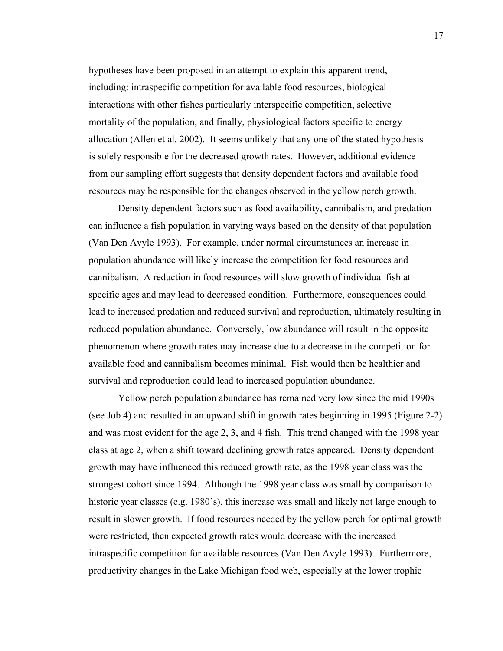hypotheses have been proposed in an attempt to explain this apparent trend, including: intraspecific competition for available food resources, biological interactions with other fishes particularly interspecific competition, selective mortality of the population, and finally, physiological factors specific to energy allocation (Allen et al. 2002). It seems unlikely that any one of the stated hypothesis is solely responsible for the decreased growth rates. However, additional evidence from our sampling effort suggests that density dependent factors and available food resources may be responsible for the changes observed in the yellow perch growth.

Density dependent factors such as food availability, cannibalism, and predation can influence a fish population in varying ways based on the density of that population (Van Den Avyle 1993). For example, under normal circumstances an increase in population abundance will likely increase the competition for food resources and cannibalism. A reduction in food resources will slow growth of individual fish at specific ages and may lead to decreased condition. Furthermore, consequences could lead to increased predation and reduced survival and reproduction, ultimately resulting in reduced population abundance. Conversely, low abundance will result in the opposite phenomenon where growth rates may increase due to a decrease in the competition for available food and cannibalism becomes minimal. Fish would then be healthier and survival and reproduction could lead to increased population abundance.

Yellow perch population abundance has remained very low since the mid 1990s (see Job 4) and resulted in an upward shift in growth rates beginning in 1995 (Figure 2-2) and was most evident for the age 2, 3, and 4 fish. This trend changed with the 1998 year class at age 2, when a shift toward declining growth rates appeared. Density dependent growth may have influenced this reduced growth rate, as the 1998 year class was the strongest cohort since 1994. Although the 1998 year class was small by comparison to historic year classes (e.g. 1980's), this increase was small and likely not large enough to result in slower growth. If food resources needed by the yellow perch for optimal growth were restricted, then expected growth rates would decrease with the increased intraspecific competition for available resources (Van Den Avyle 1993). Furthermore, productivity changes in the Lake Michigan food web, especially at the lower trophic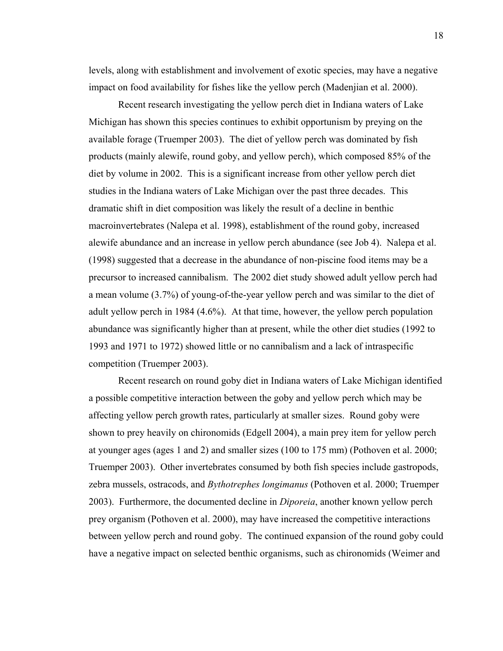levels, along with establishment and involvement of exotic species, may have a negative impact on food availability for fishes like the yellow perch (Madenjian et al. 2000).

Recent research investigating the yellow perch diet in Indiana waters of Lake Michigan has shown this species continues to exhibit opportunism by preying on the available forage (Truemper 2003). The diet of yellow perch was dominated by fish products (mainly alewife, round goby, and yellow perch), which composed 85% of the diet by volume in 2002. This is a significant increase from other yellow perch diet studies in the Indiana waters of Lake Michigan over the past three decades. This dramatic shift in diet composition was likely the result of a decline in benthic macroinvertebrates (Nalepa et al. 1998), establishment of the round goby, increased alewife abundance and an increase in yellow perch abundance (see Job 4). Nalepa et al. (1998) suggested that a decrease in the abundance of non-piscine food items may be a precursor to increased cannibalism. The 2002 diet study showed adult yellow perch had a mean volume (3.7%) of young-of-the-year yellow perch and was similar to the diet of adult yellow perch in 1984 (4.6%). At that time, however, the yellow perch population abundance was significantly higher than at present, while the other diet studies (1992 to 1993 and 1971 to 1972) showed little or no cannibalism and a lack of intraspecific competition (Truemper 2003).

Recent research on round goby diet in Indiana waters of Lake Michigan identified a possible competitive interaction between the goby and yellow perch which may be affecting yellow perch growth rates, particularly at smaller sizes. Round goby were shown to prey heavily on chironomids (Edgell 2004), a main prey item for yellow perch at younger ages (ages 1 and 2) and smaller sizes (100 to 175 mm) (Pothoven et al. 2000; Truemper 2003). Other invertebrates consumed by both fish species include gastropods, zebra mussels, ostracods, and *Bythotrephes longimanus* (Pothoven et al. 2000; Truemper 2003). Furthermore, the documented decline in *Diporeia*, another known yellow perch prey organism (Pothoven et al. 2000), may have increased the competitive interactions between yellow perch and round goby. The continued expansion of the round goby could have a negative impact on selected benthic organisms, such as chironomids (Weimer and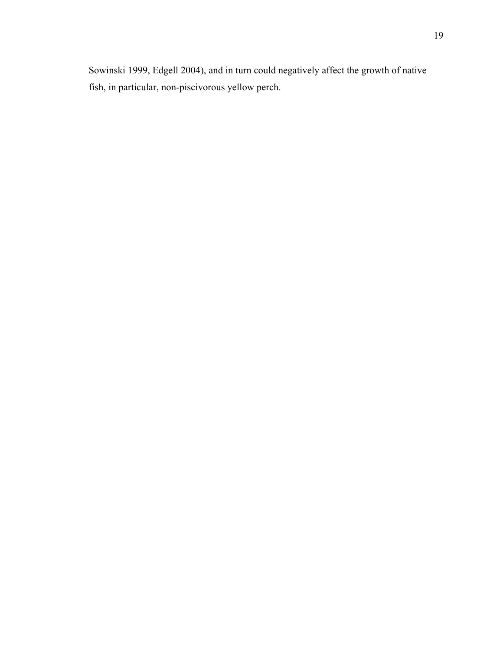Sowinski 1999, Edgell 2004), and in turn could negatively affect the growth of native fish, in particular, non-piscivorous yellow perch.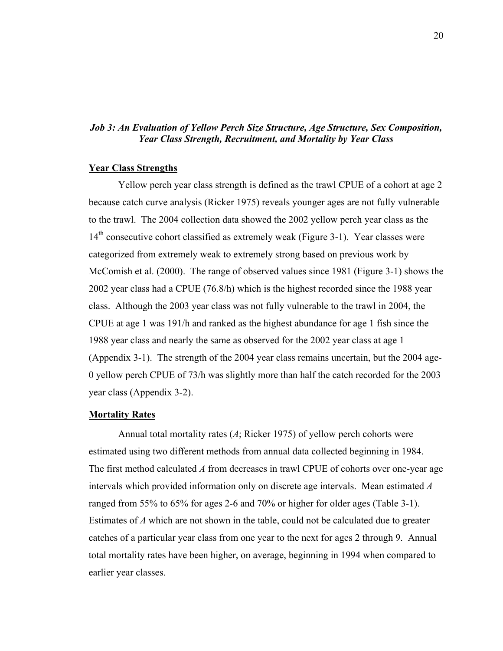### *Job 3: An Evaluation of Yellow Perch Size Structure, Age Structure, Sex Composition, Year Class Strength, Recruitment, and Mortality by Year Class*

### **Year Class Strengths**

Yellow perch year class strength is defined as the trawl CPUE of a cohort at age 2 because catch curve analysis (Ricker 1975) reveals younger ages are not fully vulnerable to the trawl. The 2004 collection data showed the 2002 yellow perch year class as the 14<sup>th</sup> consecutive cohort classified as extremely weak (Figure 3-1). Year classes were categorized from extremely weak to extremely strong based on previous work by McComish et al. (2000). The range of observed values since 1981 (Figure 3-1) shows the 2002 year class had a CPUE (76.8/h) which is the highest recorded since the 1988 year class. Although the 2003 year class was not fully vulnerable to the trawl in 2004, the CPUE at age 1 was 191/h and ranked as the highest abundance for age 1 fish since the 1988 year class and nearly the same as observed for the 2002 year class at age 1 (Appendix 3-1). The strength of the 2004 year class remains uncertain, but the 2004 age-0 yellow perch CPUE of 73/h was slightly more than half the catch recorded for the 2003 year class (Appendix 3-2).

#### **Mortality Rates**

 Annual total mortality rates (*A*; Ricker 1975) of yellow perch cohorts were estimated using two different methods from annual data collected beginning in 1984. The first method calculated *A* from decreases in trawl CPUE of cohorts over one-year age intervals which provided information only on discrete age intervals. Mean estimated *A* ranged from 55% to 65% for ages 2-6 and 70% or higher for older ages (Table 3-1). Estimates of *A* which are not shown in the table, could not be calculated due to greater catches of a particular year class from one year to the next for ages 2 through 9. Annual total mortality rates have been higher, on average, beginning in 1994 when compared to earlier year classes.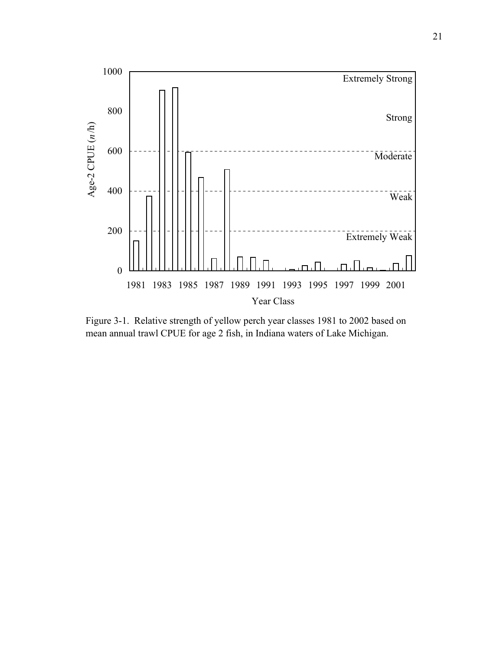

Figure 3-1. Relative strength of yellow perch year classes 1981 to 2002 based on mean annual trawl CPUE for age 2 fish, in Indiana waters of Lake Michigan.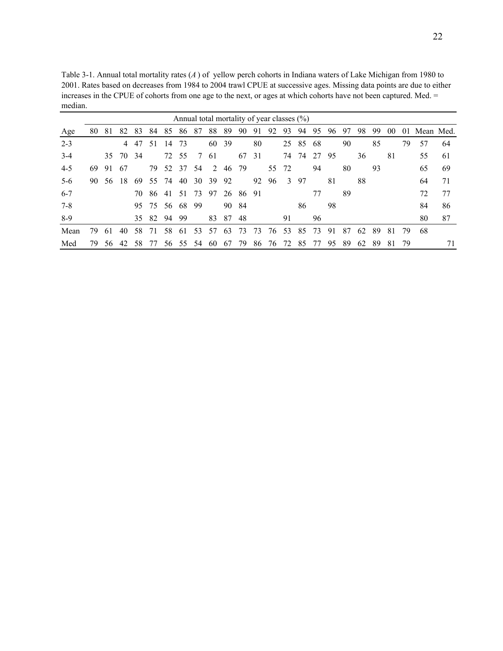Table 3-1. Annual total mortality rates (*A* ) of yellow perch cohorts in Indiana waters of Lake Michigan from 1980 to 2001. Rates based on decreases from 1984 to 2004 trawl CPUE at successive ages. Missing data points are due to either increases in the CPUE of cohorts from one age to the next, or ages at which cohorts have not been captured. Med. = median.

|         | Annual total mortality of year classes $(\%)$ |     |       |     |          |     |       |     |     |       |          |     |    |       |       |    |    |    |    |    |    |     |              |    |
|---------|-----------------------------------------------|-----|-------|-----|----------|-----|-------|-----|-----|-------|----------|-----|----|-------|-------|----|----|----|----|----|----|-----|--------------|----|
| Age     | 80                                            | 81  | 82    | 83  | 84       | 85  | 86    | 87  | 88  | 89    | 90       | 91  | 92 | 93    | 94    | 95 | 96 | 97 | 98 | 99 | 00 |     | 01 Mean Med. |    |
| $2 - 3$ |                                               |     | 4     | 47  | 51       | 14  | 73    |     | 60  | -39   |          | 80  |    |       | 25 85 | 68 |    | 90 |    | 85 |    | 79  | 57           | 64 |
| $3 - 4$ |                                               |     | 35 70 | -34 |          |     | 72 55 | 7   | -61 |       | 67       | 31  |    | 74    | -74   | 27 | 95 |    | 36 |    | 81 |     | 55           | 61 |
| $4 - 5$ | 69                                            | 91  | 67    |     | 79       |     | 52 37 | -54 | 2   | 46    | -79      |     |    | 55 72 |       | 94 |    | 80 |    | 93 |    |     | 65           | 69 |
| $5-6$   | 90                                            | 56  | 18    | -69 | 55       | 74  | 40    | 30  | 39  | 92    |          | 92  | 96 | 3     | 97    |    | 81 |    | 88 |    |    |     | 64           | 71 |
| $6 - 7$ |                                               |     |       | 70  | 86       | -41 | 51    | 73  | 97  |       | 26 86 91 |     |    |       |       | 77 |    | 89 |    |    |    |     | 72           | 77 |
| $7-8$   |                                               |     |       |     | 95 75    | -56 | 68    | -99 |     | 90 84 |          |     |    |       | 86    |    | 98 |    |    |    |    |     | 84           | 86 |
| 8-9     |                                               |     |       |     | 35 82 94 |     | -99   |     | 83  | 87    | 48       |     |    | 91    |       | 96 |    |    |    |    |    |     | 80           | 87 |
| Mean    | 79                                            | -61 | 40    | 58  | 71       | 58  | -61   | 53  | 57  | 63    | 73       | -73 | 76 | 53    | 85    | 73 | 91 | 87 | 62 | 89 | 81 | 79  | 68           |    |
| Med     | 79.                                           | 56  | 42    | 58  | 77       | 56  | 55    | 54  | -60 | 67    | 79       | 86  | 76 | 72    | 85    | 77 | 95 | 89 | 62 | 89 | 81 | -79 |              | 71 |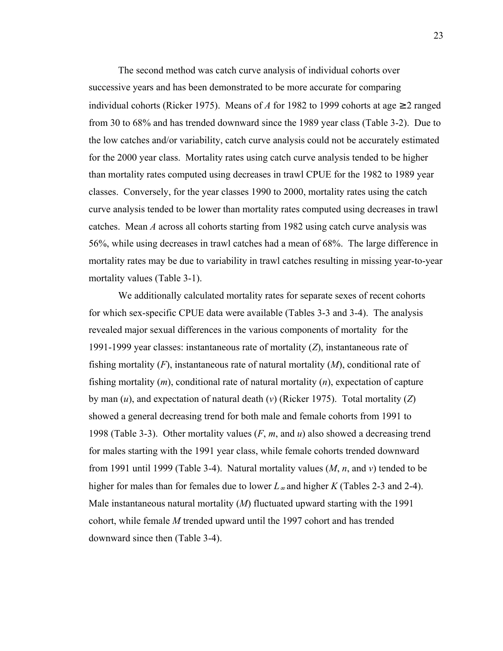The second method was catch curve analysis of individual cohorts over successive years and has been demonstrated to be more accurate for comparing individual cohorts (Ricker 1975). Means of *A* for 1982 to 1999 cohorts at age  $\geq 2$  ranged from 30 to 68% and has trended downward since the 1989 year class (Table 3-2). Due to the low catches and/or variability, catch curve analysis could not be accurately estimated for the 2000 year class. Mortality rates using catch curve analysis tended to be higher than mortality rates computed using decreases in trawl CPUE for the 1982 to 1989 year classes. Conversely, for the year classes 1990 to 2000, mortality rates using the catch curve analysis tended to be lower than mortality rates computed using decreases in trawl catches. Mean *A* across all cohorts starting from 1982 using catch curve analysis was 56%, while using decreases in trawl catches had a mean of 68%. The large difference in mortality rates may be due to variability in trawl catches resulting in missing year-to-year mortality values (Table 3-1).

We additionally calculated mortality rates for separate sexes of recent cohorts for which sex-specific CPUE data were available (Tables 3-3 and 3-4). The analysis revealed major sexual differences in the various components of mortality for the 1991-1999 year classes: instantaneous rate of mortality (*Z*), instantaneous rate of fishing mortality (*F*), instantaneous rate of natural mortality (*M*), conditional rate of fishing mortality (*m*), conditional rate of natural mortality (*n*), expectation of capture by man (*u*), and expectation of natural death (*v*) (Ricker 1975). Total mortality (*Z*) showed a general decreasing trend for both male and female cohorts from 1991 to 1998 (Table 3-3). Other mortality values (*F*, *m*, and *u*) also showed a decreasing trend for males starting with the 1991 year class, while female cohorts trended downward from 1991 until 1999 (Table 3-4). Natural mortality values (*M*, *n*, and *v*) tended to be higher for males than for females due to lower *L*∞ and higher *K* (Tables 2-3 and 2-4). Male instantaneous natural mortality (*M*) fluctuated upward starting with the 1991 cohort, while female *M* trended upward until the 1997 cohort and has trended downward since then (Table 3-4).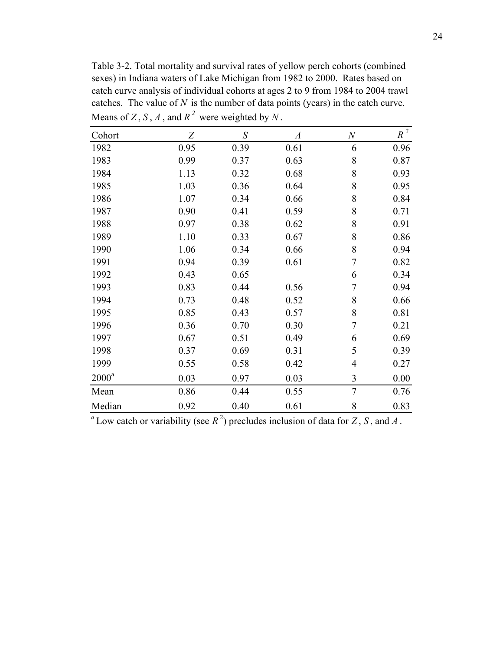Table 3-2. Total mortality and survival rates of yellow perch cohorts (combined sexes) in Indiana waters of Lake Michigan from 1982 to 2000. Rates based on catch curve analysis of individual cohorts at ages 2 to 9 from 1984 to 2004 trawl catches. The value of *N* is the number of data points (years) in the catch curve. Means of  $Z$ ,  $S$ ,  $A$ , and  $R^2$  were weighted by  $N$ .

| Cohort   | Z    | S    | $\boldsymbol{A}$ | $\boldsymbol{N}$ | $R^2$ |
|----------|------|------|------------------|------------------|-------|
| 1982     | 0.95 | 0.39 | 0.61             | 6                | 0.96  |
| 1983     | 0.99 | 0.37 | 0.63             | 8                | 0.87  |
| 1984     | 1.13 | 0.32 | 0.68             | 8                | 0.93  |
| 1985     | 1.03 | 0.36 | 0.64             | 8                | 0.95  |
| 1986     | 1.07 | 0.34 | 0.66             | 8                | 0.84  |
| 1987     | 0.90 | 0.41 | 0.59             | 8                | 0.71  |
| 1988     | 0.97 | 0.38 | 0.62             | 8                | 0.91  |
| 1989     | 1.10 | 0.33 | 0.67             | 8                | 0.86  |
| 1990     | 1.06 | 0.34 | 0.66             | 8                | 0.94  |
| 1991     | 0.94 | 0.39 | 0.61             | 7                | 0.82  |
| 1992     | 0.43 | 0.65 |                  | 6                | 0.34  |
| 1993     | 0.83 | 0.44 | 0.56             | 7                | 0.94  |
| 1994     | 0.73 | 0.48 | 0.52             | 8                | 0.66  |
| 1995     | 0.85 | 0.43 | 0.57             | 8                | 0.81  |
| 1996     | 0.36 | 0.70 | 0.30             | $\overline{7}$   | 0.21  |
| 1997     | 0.67 | 0.51 | 0.49             | 6                | 0.69  |
| 1998     | 0.37 | 0.69 | 0.31             | 5                | 0.39  |
| 1999     | 0.55 | 0.58 | 0.42             | 4                | 0.27  |
| $2000^a$ | 0.03 | 0.97 | 0.03             | 3                | 0.00  |
| Mean     | 0.86 | 0.44 | 0.55             | $\overline{7}$   | 0.76  |
| Median   | 0.92 | 0.40 | 0.61             | 8                | 0.83  |

 $^a$  Low catch or variability (see  $R^2$ ) precludes inclusion of data for *Z*, *S*, and *A*.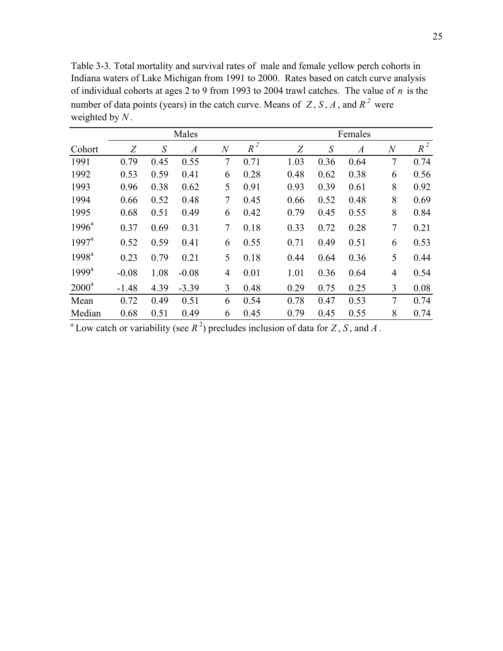Table 3-3. Total mortality and survival rates of male and female yellow perch cohorts in Indiana waters of Lake Michigan from 1991 to 2000. Rates based on catch curve analysis of individual cohorts at ages 2 to 9 from 1993 to 2004 trawl catches. The value of *n* is the number of data points (years) in the catch curve. Means of  $Z$ ,  $S$ ,  $A$ , and  $R<sup>2</sup>$  were weighted by *N* .

|                   |         |                   | Males          |                  |       | Females |      |                  |                  |       |  |  |  |  |
|-------------------|---------|-------------------|----------------|------------------|-------|---------|------|------------------|------------------|-------|--|--|--|--|
| Cohort            | Z       | $\mathcal{S}_{0}$ | $\overline{A}$ | $\boldsymbol{N}$ | $R^2$ | Z       | S    | $\boldsymbol{A}$ | $\boldsymbol{N}$ | $R^2$ |  |  |  |  |
| 1991              | 0.79    | 0.45              | 0.55           | 7                | 0.71  | 1.03    | 0.36 | 0.64             | $\overline{7}$   | 0.74  |  |  |  |  |
| 1992              | 0.53    | 0.59              | 0.41           | 6                | 0.28  | 0.48    | 0.62 | 0.38             | 6                | 0.56  |  |  |  |  |
| 1993              | 0.96    | 0.38              | 0.62           | 5                | 0.91  | 0.93    | 0.39 | 0.61             | 8                | 0.92  |  |  |  |  |
| 1994              | 0.66    | 0.52              | 0.48           | 7                | 0.45  | 0.66    | 0.52 | 0.48             | 8                | 0.69  |  |  |  |  |
| 1995              | 0.68    | 0.51              | 0.49           | 6                | 0.42  | 0.79    | 0.45 | 0.55             | 8                | 0.84  |  |  |  |  |
| $1996^a$          | 0.37    | 0.69              | 0.31           | 7                | 0.18  | 0.33    | 0.72 | 0.28             | 7                | 0.21  |  |  |  |  |
| $1997^{\text{a}}$ | 0.52    | 0.59              | 0.41           | 6                | 0.55  | 0.71    | 0.49 | 0.51             | 6                | 0.53  |  |  |  |  |
| 1998 <sup>a</sup> | 0.23    | 0.79              | 0.21           | 5                | 0.18  | 0.44    | 0.64 | 0.36             | 5                | 0.44  |  |  |  |  |
| $1999^a$          | $-0.08$ | 1.08              | $-0.08$        | $\overline{4}$   | 0.01  | 1.01    | 0.36 | 0.64             | $\overline{4}$   | 0.54  |  |  |  |  |
| $2000^a$          | $-1.48$ | 4.39              | $-3.39$        | 3                | 0.48  | 0.29    | 0.75 | 0.25             | 3                | 0.08  |  |  |  |  |
| Mean              | 0.72    | 0.49              | 0.51           | 6                | 0.54  | 0.78    | 0.47 | 0.53             | 7                | 0.74  |  |  |  |  |
| Median            | 0.68    | 0.51              | 0.49           | 6                | 0.45  | 0.79    | 0.45 | 0.55             | 8                | 0.74  |  |  |  |  |

 $^a$  Low catch or variability (see  $R^2$ ) precludes inclusion of data for *Z*, *S*, and *A*.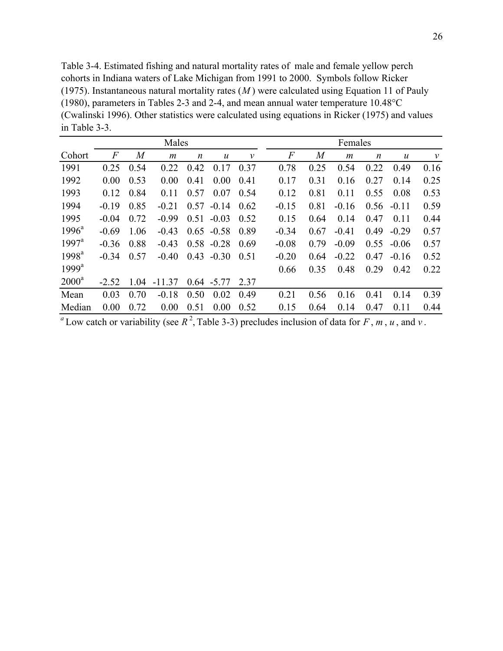Table 3-4. Estimated fishing and natural mortality rates of male and female yellow perch cohorts in Indiana waters of Lake Michigan from 1991 to 2000. Symbols follow Ricker (1975). Instantaneous natural mortality rates (*M* ) were calculated using Equation 11 of Pauly (1980), parameters in Tables 2-3 and 2-4, and mean annual water temperature 10.48°C (Cwalinski 1996). Other statistics were calculated using equations in Ricker (1975) and values in Table 3-3.

|                | Males   |      |          |                  |                  | Females      |         |                |                  |                  |               |              |
|----------------|---------|------|----------|------------------|------------------|--------------|---------|----------------|------------------|------------------|---------------|--------------|
| Cohort         | F       | M    | m        | $\boldsymbol{n}$ | $\boldsymbol{u}$ | $\mathcal V$ | F       | $\overline{M}$ | $\boldsymbol{m}$ | $\boldsymbol{n}$ | $\mathcal{U}$ | $\mathcal V$ |
| 1991           | 0.25    | 0.54 | 0.22     | 0.42             | 0.17             | 0.37         | 0.78    | 0.25           | 0.54             | 0.22             | 0.49          | 0.16         |
| 1992           | 0.00    | 0.53 | 0.00     | 0.41             | 0.00             | 0.41         | 0.17    | 0.31           | 0.16             | 0.27             | 0.14          | 0.25         |
| 1993           | 0.12    | 0.84 | 0.11     | 0.57             | 0.07             | 0.54         | 0.12    | 0.81           | 0.11             | 0.55             | 0.08          | 0.53         |
| 1994           | $-0.19$ | 0.85 | $-0.21$  | 0.57             | $-0.14$          | 0.62         | $-0.15$ | 0.81           | $-0.16$          | 0.56             | $-0.11$       | 0.59         |
| 1995           | $-0.04$ | 0.72 | $-0.99$  | 0.51             | $-0.03$          | 0.52         | 0.15    | 0.64           | 0.14             | 0.47             | 0.11          | 0.44         |
| $1996^a$       | $-0.69$ | 1.06 | $-0.43$  |                  | $0.65 - 0.58$    | 0.89         | $-0.34$ | 0.67           | $-0.41$          | 0.49             | $-0.29$       | 0.57         |
| $1997^{\rm a}$ | $-0.36$ | 0.88 | $-0.43$  | 0.58             | $-0.28$          | 0.69         | $-0.08$ | 0.79           | $-0.09$          | 0.55             | $-0.06$       | 0.57         |
| $1998^{\rm a}$ | $-0.34$ | 0.57 | $-0.40$  | 0.43             | $-0.30$          | 0.51         | $-0.20$ | 0.64           | $-0.22$          | 0.47             | $-0.16$       | 0.52         |
| $1999^a$       |         |      |          |                  |                  |              | 0.66    | 0.35           | 0.48             | 0.29             | 0.42          | 0.22         |
| $2000^a$       | $-2.52$ | 1.04 | $-11.37$ |                  | $0.64 - 5.77$    | 2.37         |         |                |                  |                  |               |              |
| Mean           | 0.03    | 0.70 | $-0.18$  | 0.50             | 0.02             | 0.49         | 0.21    | 0.56           | 0.16             | 0.41             | 0.14          | 0.39         |
| Median         | 0.00    | 0.72 | 0.00     | 0.51             | 0.00             | 0.52         | 0.15    | 0.64           | 0.14             | 0.47             | 0.11          | 0.44         |

<sup>*a*</sup> Low catch or variability (see  $R^2$ , Table 3-3) precludes inclusion of data for *F*, *m*, *u*, and *v*.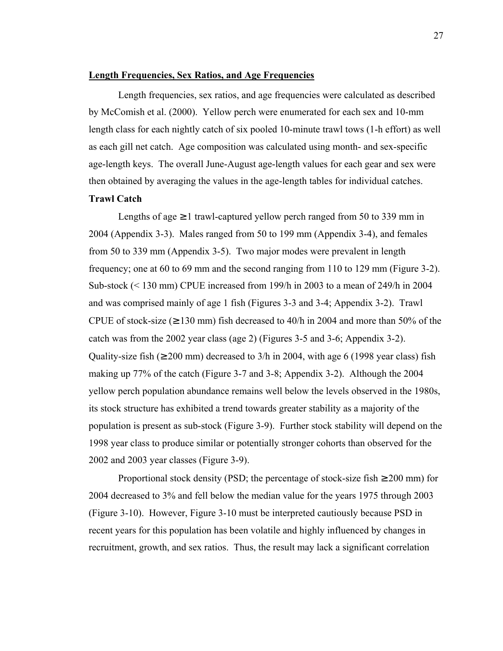### **Length Frequencies, Sex Ratios, and Age Frequencies**

 Length frequencies, sex ratios, and age frequencies were calculated as described by McComish et al. (2000). Yellow perch were enumerated for each sex and 10-mm length class for each nightly catch of six pooled 10-minute trawl tows (1-h effort) as well as each gill net catch. Age composition was calculated using month- and sex-specific age-length keys. The overall June-August age-length values for each gear and sex were then obtained by averaging the values in the age-length tables for individual catches.

# **Trawl Catch**

Lengths of age  $\geq 1$  trawl-captured yellow perch ranged from 50 to 339 mm in 2004 (Appendix 3-3). Males ranged from 50 to 199 mm (Appendix 3-4), and females from 50 to 339 mm (Appendix 3-5). Two major modes were prevalent in length frequency; one at 60 to 69 mm and the second ranging from 110 to 129 mm (Figure 3-2). Sub-stock (< 130 mm) CPUE increased from 199/h in 2003 to a mean of 249/h in 2004 and was comprised mainly of age 1 fish (Figures 3-3 and 3-4; Appendix 3-2). Trawl CPUE of stock-size ( $\geq$  130 mm) fish decreased to 40/h in 2004 and more than 50% of the catch was from the 2002 year class (age 2) (Figures 3-5 and 3-6; Appendix 3-2). Quality-size fish ( $\geq 200$  mm) decreased to 3/h in 2004, with age 6 (1998 year class) fish making up 77% of the catch (Figure 3-7 and 3-8; Appendix 3-2). Although the 2004 yellow perch population abundance remains well below the levels observed in the 1980s, its stock structure has exhibited a trend towards greater stability as a majority of the population is present as sub-stock (Figure 3-9). Further stock stability will depend on the 1998 year class to produce similar or potentially stronger cohorts than observed for the 2002 and 2003 year classes (Figure 3-9).

Proportional stock density (PSD; the percentage of stock-size fish  $\geq 200$  mm) for 2004 decreased to 3% and fell below the median value for the years 1975 through 2003 (Figure 3-10). However, Figure 3-10 must be interpreted cautiously because PSD in recent years for this population has been volatile and highly influenced by changes in recruitment, growth, and sex ratios. Thus, the result may lack a significant correlation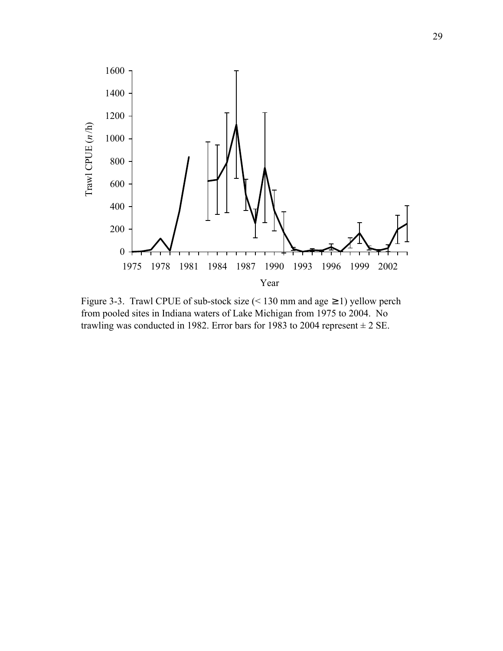

Figure 3-3. Trawl CPUE of sub-stock size  $($  < 130 mm and age  $\geq$  1) yellow perch from pooled sites in Indiana waters of Lake Michigan from 1975 to 2004. No trawling was conducted in 1982. Error bars for 1983 to 2004 represent  $\pm 2$  SE.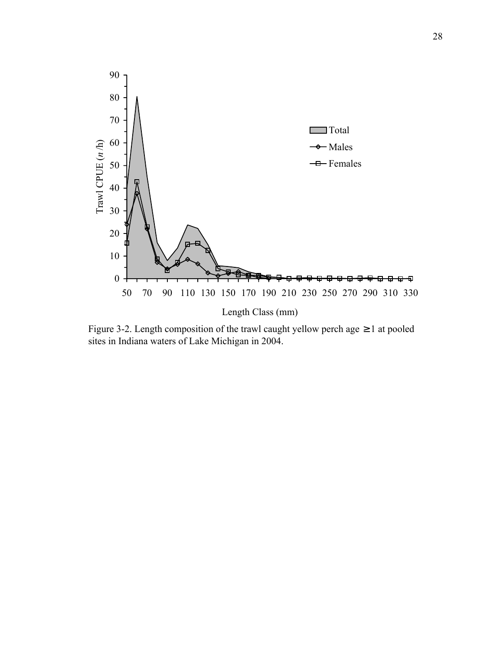

Figure 3-2. Length composition of the trawl caught yellow perch age  $\geq 1$  at pooled sites in Indiana waters of Lake Michigan in 2004.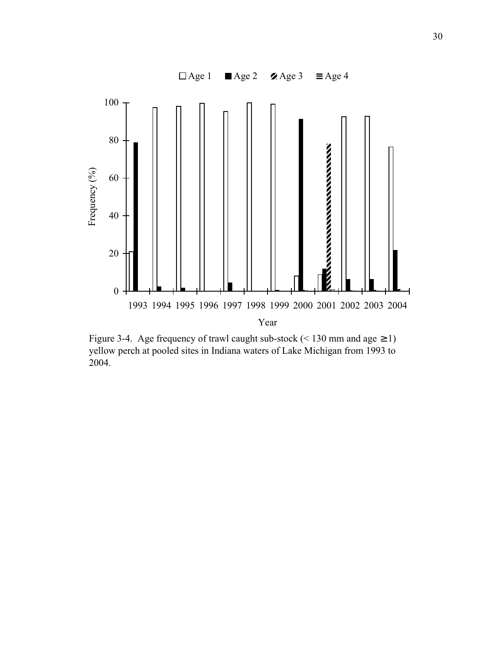

Figure 3-4. Age frequency of trawl caught sub-stock (< 130 mm and age  $\geq$  1) yellow perch at pooled sites in Indiana waters of Lake Michigan from 1993 to 2004.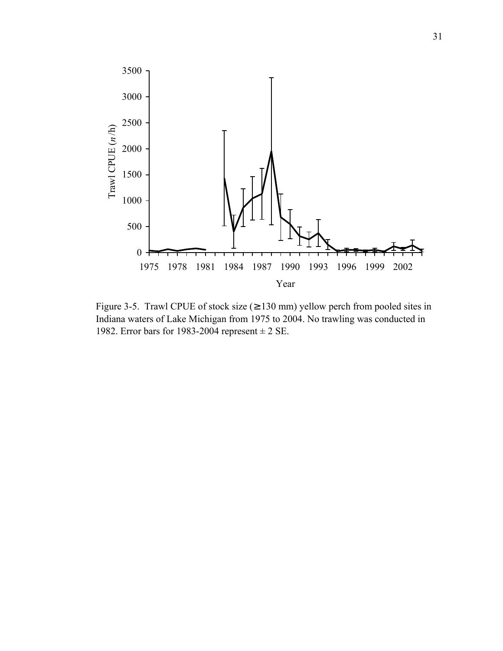

Figure 3-5. Trawl CPUE of stock size ( $\geq$  130 mm) yellow perch from pooled sites in Indiana waters of Lake Michigan from 1975 to 2004. No trawling was conducted in 1982. Error bars for 1983-2004 represent  $\pm$  2 SE.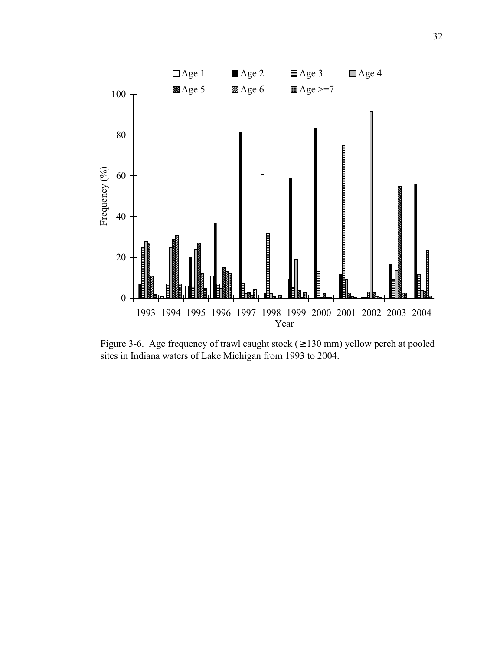

Figure 3-6. Age frequency of trawl caught stock ( $\geq$  130 mm) yellow perch at pooled sites in Indiana waters of Lake Michigan from 1993 to 2004.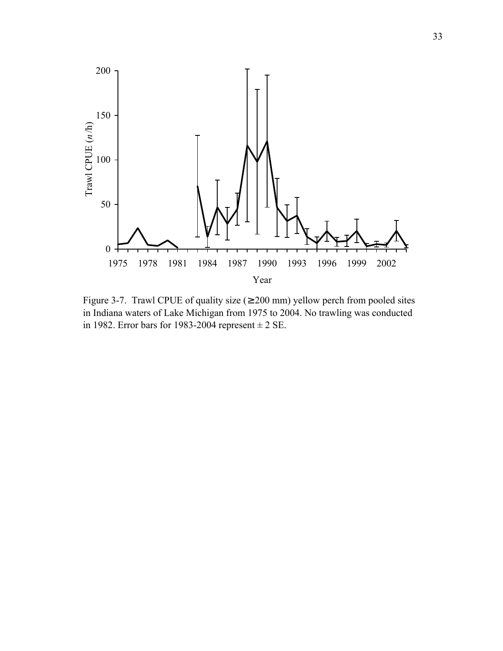

Figure 3-7. Trawl CPUE of quality size  $(≥ 200$  mm) yellow perch from pooled sites in Indiana waters of Lake Michigan from 1975 to 2004. No trawling was conducted in 1982. Error bars for 1983-2004 represent  $\pm 2$  SE.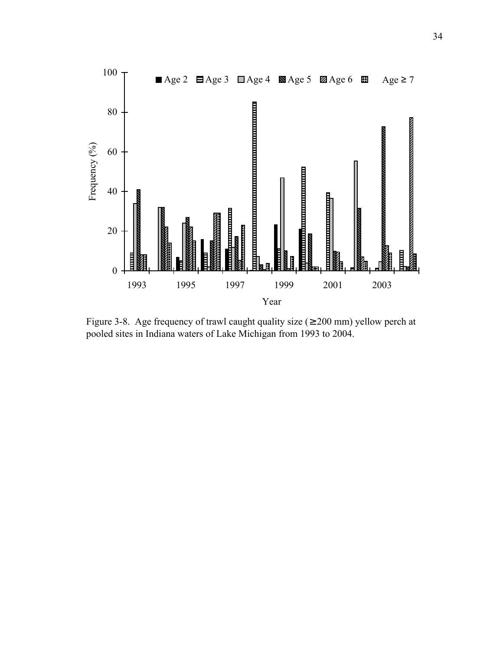

Figure 3-8. Age frequency of trawl caught quality size ( $\geq 200$  mm) yellow perch at pooled sites in Indiana waters of Lake Michigan from 1993 to 2004.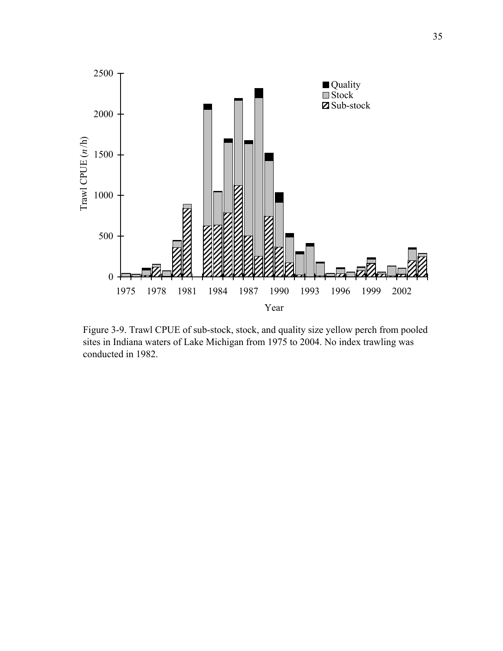

Figure 3-9. Trawl CPUE of sub-stock, stock, and quality size yellow perch from pooled sites in Indiana waters of Lake Michigan from 1975 to 2004. No index trawling was conducted in 1982.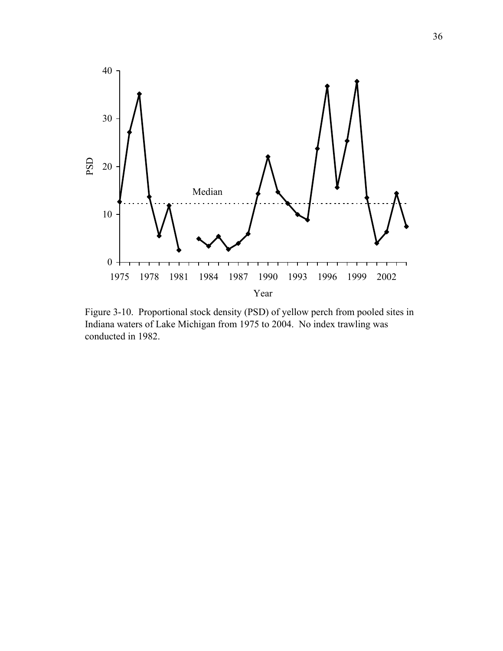

Figure 3-10. Proportional stock density (PSD) of yellow perch from pooled sites in Indiana waters of Lake Michigan from 1975 to 2004. No index trawling was conducted in 1982.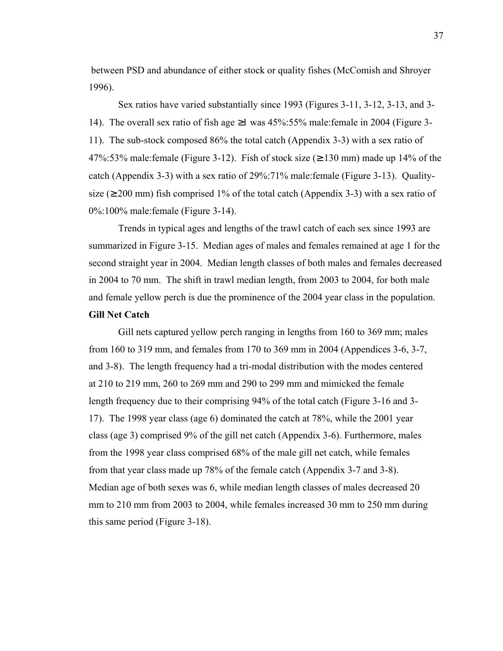between PSD and abundance of either stock or quality fishes (McComish and Shroyer 1996).

 Sex ratios have varied substantially since 1993 (Figures 3-11, 3-12, 3-13, and 3- 14). The overall sex ratio of fish age ≥1 was 45%:55% male:female in 2004 (Figure 3- 11). The sub-stock composed 86% the total catch (Appendix 3-3) with a sex ratio of 47%:53% male:female (Figure 3-12). Fish of stock size ( $\geq$  130 mm) made up 14% of the catch (Appendix 3-3) with a sex ratio of 29%:71% male:female (Figure 3-13). Qualitysize ( $\geq$  200 mm) fish comprised 1% of the total catch (Appendix 3-3) with a sex ratio of 0%:100% male:female (Figure 3-14).

Trends in typical ages and lengths of the trawl catch of each sex since 1993 are summarized in Figure 3-15. Median ages of males and females remained at age 1 for the second straight year in 2004. Median length classes of both males and females decreased in 2004 to 70 mm. The shift in trawl median length, from 2003 to 2004, for both male and female yellow perch is due the prominence of the 2004 year class in the population.

## **Gill Net Catch**

Gill nets captured yellow perch ranging in lengths from 160 to 369 mm; males from 160 to 319 mm, and females from 170 to 369 mm in 2004 (Appendices 3-6, 3-7, and 3-8). The length frequency had a tri-modal distribution with the modes centered at 210 to 219 mm, 260 to 269 mm and 290 to 299 mm and mimicked the female length frequency due to their comprising 94% of the total catch (Figure 3-16 and 3- 17). The 1998 year class (age 6) dominated the catch at 78%, while the 2001 year class (age 3) comprised 9% of the gill net catch (Appendix 3-6). Furthermore, males from the 1998 year class comprised 68% of the male gill net catch, while females from that year class made up 78% of the female catch (Appendix 3-7 and 3-8). Median age of both sexes was 6, while median length classes of males decreased 20 mm to 210 mm from 2003 to 2004, while females increased 30 mm to 250 mm during this same period (Figure 3-18).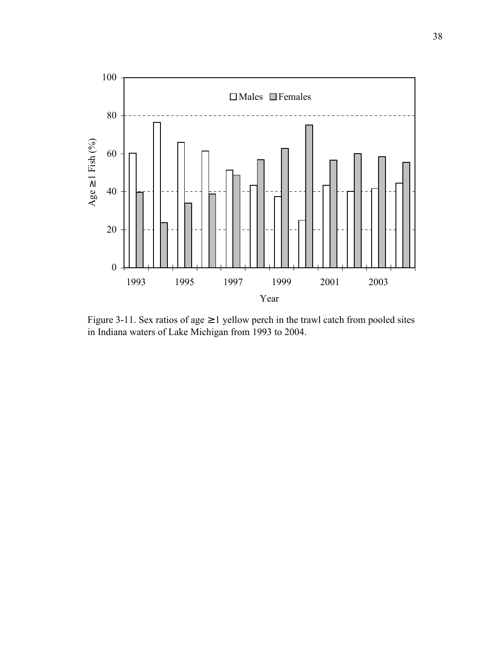

Figure 3-11. Sex ratios of age  $\geq$  1 yellow perch in the trawl catch from pooled sites in Indiana waters of Lake Michigan from 1993 to 2004.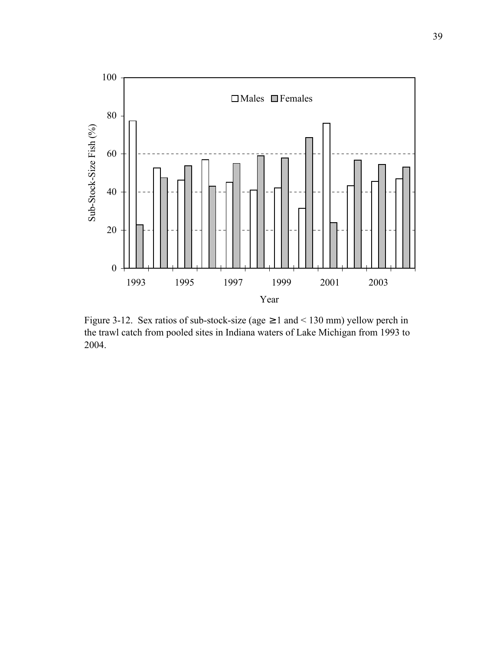

Figure 3-12. Sex ratios of sub-stock-size (age  $\geq 1$  and  $\leq 130$  mm) yellow perch in the trawl catch from pooled sites in Indiana waters of Lake Michigan from 1993 to 2004.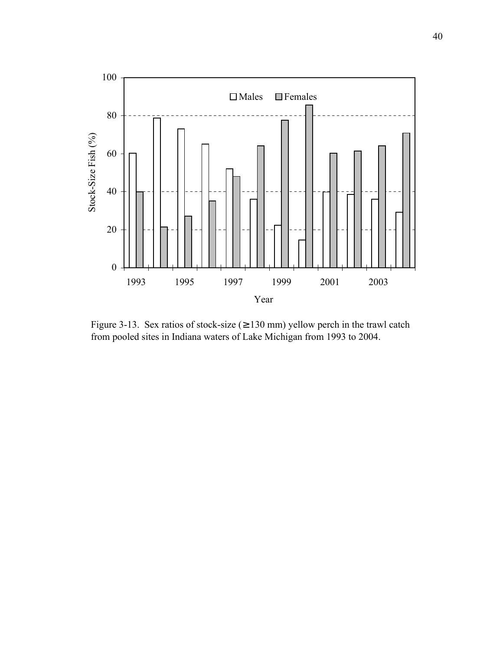

Figure 3-13. Sex ratios of stock-size  $(≥ 130$  mm) yellow perch in the trawl catch from pooled sites in Indiana waters of Lake Michigan from 1993 to 2004.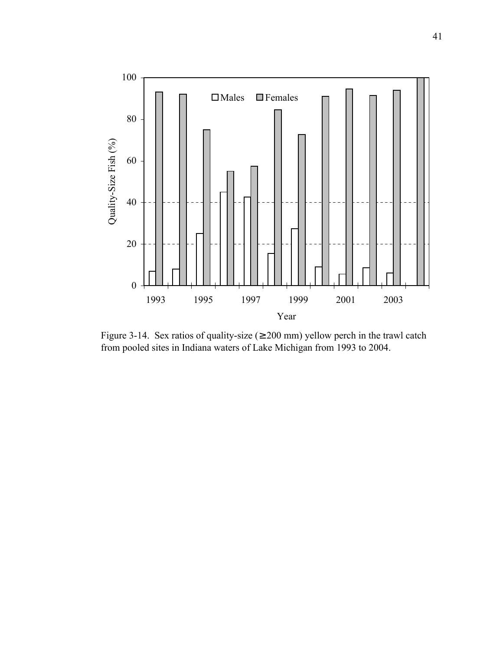

Figure 3-14. Sex ratios of quality-size  $(≥ 200$  mm) yellow perch in the trawl catch from pooled sites in Indiana waters of Lake Michigan from 1993 to 2004.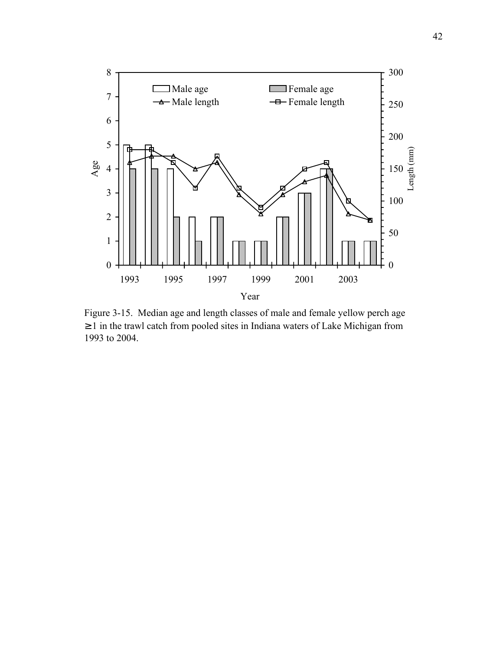

Figure 3-15. Median age and length classes of male and female yellow perch age ≥ 1 in the trawl catch from pooled sites in Indiana waters of Lake Michigan from 1993 to 2004.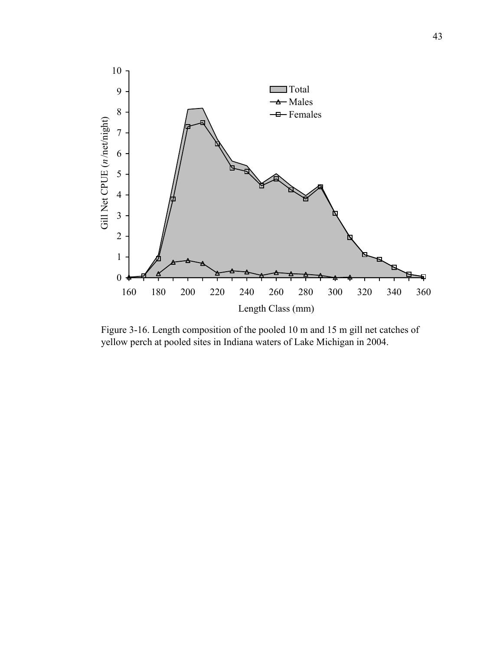

Figure 3-16. Length composition of the pooled 10 m and 15 m gill net catches of yellow perch at pooled sites in Indiana waters of Lake Michigan in 2004.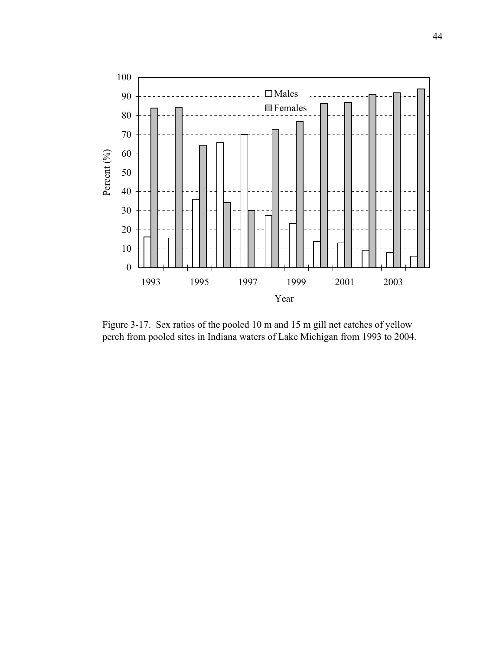

Figure 3-17. Sex ratios of the pooled 10 m and 15 m gill net catches of yellow perch from pooled sites in Indiana waters of Lake Michigan from 1993 to 2004.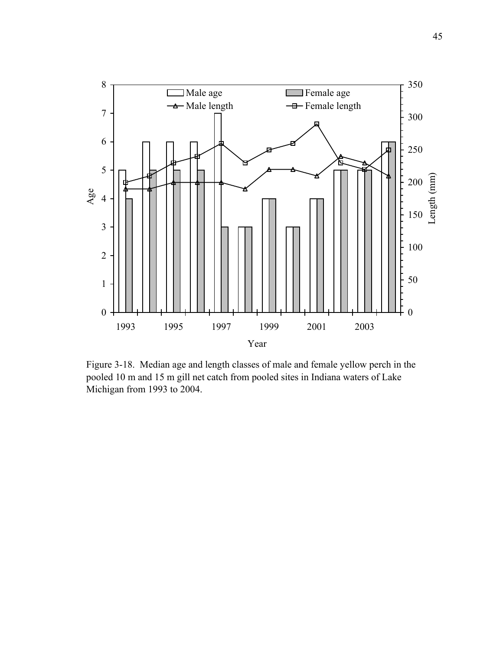

Figure 3-18. Median age and length classes of male and female yellow perch in the pooled 10 m and 15 m gill net catch from pooled sites in Indiana waters of Lake Michigan from 1993 to 2004.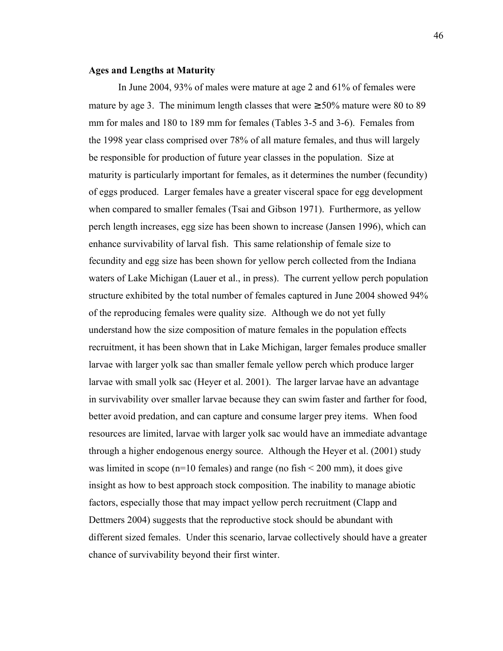#### **Ages and Lengths at Maturity**

In June 2004, 93% of males were mature at age 2 and 61% of females were mature by age 3. The minimum length classes that were  $\geq 50\%$  mature were 80 to 89 mm for males and 180 to 189 mm for females (Tables 3-5 and 3-6). Females from the 1998 year class comprised over 78% of all mature females, and thus will largely be responsible for production of future year classes in the population. Size at maturity is particularly important for females, as it determines the number (fecundity) of eggs produced. Larger females have a greater visceral space for egg development when compared to smaller females (Tsai and Gibson 1971). Furthermore, as yellow perch length increases, egg size has been shown to increase (Jansen 1996), which can enhance survivability of larval fish. This same relationship of female size to fecundity and egg size has been shown for yellow perch collected from the Indiana waters of Lake Michigan (Lauer et al., in press). The current yellow perch population structure exhibited by the total number of females captured in June 2004 showed 94% of the reproducing females were quality size. Although we do not yet fully understand how the size composition of mature females in the population effects recruitment, it has been shown that in Lake Michigan, larger females produce smaller larvae with larger yolk sac than smaller female yellow perch which produce larger larvae with small yolk sac (Heyer et al. 2001). The larger larvae have an advantage in survivability over smaller larvae because they can swim faster and farther for food, better avoid predation, and can capture and consume larger prey items. When food resources are limited, larvae with larger yolk sac would have an immediate advantage through a higher endogenous energy source. Although the Heyer et al. (2001) study was limited in scope (n=10 females) and range (no fish  $\leq$  200 mm), it does give insight as how to best approach stock composition. The inability to manage abiotic factors, especially those that may impact yellow perch recruitment (Clapp and Dettmers 2004) suggests that the reproductive stock should be abundant with different sized females. Under this scenario, larvae collectively should have a greater chance of survivability beyond their first winter.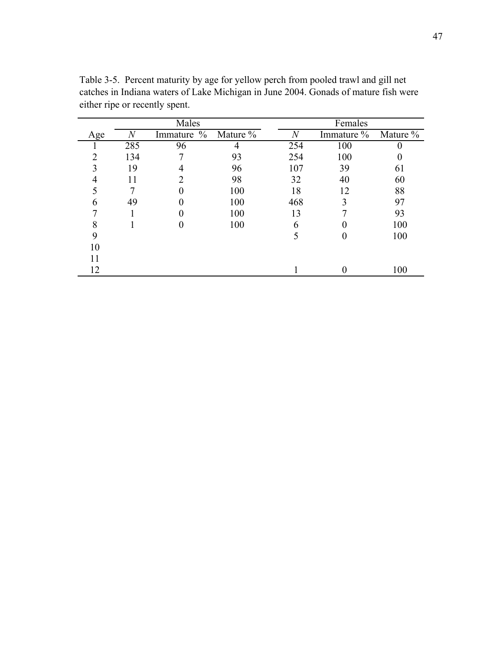|                |     | Males               |     |     | Females    |          |  |  |
|----------------|-----|---------------------|-----|-----|------------|----------|--|--|
| Age            | N   | Immature % Mature % |     | N   | Immature % | Mature % |  |  |
|                | 285 | 96                  | 4   | 254 | 100        |          |  |  |
| $\overline{2}$ | 134 |                     | 93  | 254 | 100        | 0        |  |  |
|                | 19  | 4                   | 96  | 107 | 39         | 61       |  |  |
|                | 11  | 2                   | 98  | 32  | 40         | 60       |  |  |
|                |     | 0                   | 100 | 18  | 12         | 88       |  |  |
|                | 49  | 0                   | 100 | 468 | 3          | 97       |  |  |
|                |     | 0                   | 100 | 13  |            | 93       |  |  |
| 8              |     | 0                   | 100 | h   |            | 100      |  |  |
| 9              |     |                     |     |     |            | 100      |  |  |
| 10             |     |                     |     |     |            |          |  |  |
| 11             |     |                     |     |     |            |          |  |  |
| 12             |     |                     |     |     |            | 100      |  |  |
|                |     |                     |     |     |            |          |  |  |

Table 3-5. Percent maturity by age for yellow perch from pooled trawl and gill net catches in Indiana waters of Lake Michigan in June 2004. Gonads of mature fish were either ripe or recently spent.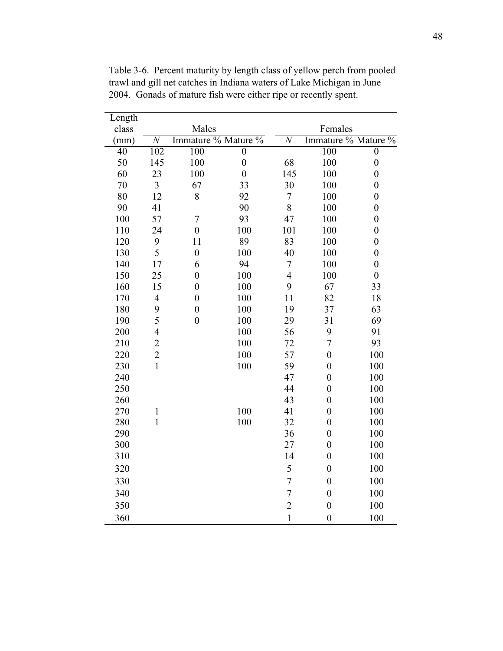| Length          |                          |                     |                  |                  |                     |                  |  |
|-----------------|--------------------------|---------------------|------------------|------------------|---------------------|------------------|--|
| class           |                          | Males               |                  | Females          |                     |                  |  |
| (mm)            | $\overline{N}$           | Immature % Mature % |                  | $\overline{N}$   | Immature % Mature % |                  |  |
| $\overline{40}$ | 102                      | 100                 | $\overline{0}$   |                  | 100                 | $\overline{0}$   |  |
| 50              | 145                      | 100                 | $\boldsymbol{0}$ | 68               | 100                 | $\boldsymbol{0}$ |  |
| 60              | 23                       | 100                 | $\boldsymbol{0}$ | 145              | 100                 | $\boldsymbol{0}$ |  |
| 70              | 3                        | 67                  | 33               | 30               | 100                 | $\boldsymbol{0}$ |  |
| 80              | 12                       | 8                   | 92               | $\boldsymbol{7}$ | 100                 | $\boldsymbol{0}$ |  |
| 90              | 41                       |                     | 90               | 8                | 100                 | $\boldsymbol{0}$ |  |
| 100             | 57                       | $\overline{7}$      | 93               | 47               | 100                 | $\boldsymbol{0}$ |  |
| 110             | 24                       | $\boldsymbol{0}$    | 100              | 101              | 100                 | $\boldsymbol{0}$ |  |
| 120             | 9                        | 11                  | 89               | 83               | 100                 | $\boldsymbol{0}$ |  |
| 130             | 5                        | $\boldsymbol{0}$    | 100              | 40               | 100                 | $\boldsymbol{0}$ |  |
| 140             | 17                       | 6                   | 94               | $\sqrt{ }$       | 100                 | $\boldsymbol{0}$ |  |
| 150             | 25                       | $\boldsymbol{0}$    | 100              | $\overline{4}$   | 100                 | $\boldsymbol{0}$ |  |
| 160             | 15                       | $\boldsymbol{0}$    | 100              | 9                | 67                  | 33               |  |
| 170             | $\overline{\mathcal{L}}$ | $\boldsymbol{0}$    | 100              | 11               | 82                  | 18               |  |
| 180             | 9                        | $\boldsymbol{0}$    | 100              | 19               | 37                  | 63               |  |
| 190             | 5                        | $\boldsymbol{0}$    | 100              | 29               | 31                  | 69               |  |
| 200             | $\overline{4}$           |                     | 100              | 56               | 9                   | 91               |  |
| 210             | $\overline{2}$           |                     | 100              | 72               | $\overline{7}$      | 93               |  |
| 220             | $\overline{2}$           |                     | 100              | 57               | $\boldsymbol{0}$    | 100              |  |
| 230             | $\mathbf{1}$             |                     | 100              | 59               | $\boldsymbol{0}$    | 100              |  |
| 240             |                          |                     |                  | 47               | $\boldsymbol{0}$    | 100              |  |
| 250             |                          |                     |                  | 44               | $\boldsymbol{0}$    | 100              |  |
| 260             |                          |                     |                  | 43               | $\boldsymbol{0}$    | 100              |  |
| 270             | $\mathbf{1}$             |                     | 100              | 41               | $\boldsymbol{0}$    | 100              |  |
| 280             | $\mathbf{1}$             |                     | 100              | 32               | $\boldsymbol{0}$    | 100              |  |
| 290             |                          |                     |                  | 36               | $\boldsymbol{0}$    | 100              |  |
| 300             |                          |                     |                  | 27               | $\boldsymbol{0}$    | 100              |  |
| 310             |                          |                     |                  | 14               | $\boldsymbol{0}$    | 100              |  |
| 320             |                          |                     |                  | 5                | $\boldsymbol{0}$    | 100              |  |
| 330             |                          |                     |                  | $\overline{7}$   | $\boldsymbol{0}$    | 100              |  |
| 340             |                          |                     |                  | $\overline{7}$   | $\boldsymbol{0}$    | 100              |  |
| 350             |                          |                     |                  | $\overline{2}$   | $\boldsymbol{0}$    | 100              |  |
| 360             |                          |                     |                  | $\mathbf{1}$     | $\boldsymbol{0}$    | 100              |  |

Table 3-6. Percent maturity by length class of yellow perch from pooled trawl and gill net catches in Indiana waters of Lake Michigan in June 2004. Gonads of mature fish were either ripe or recently spent.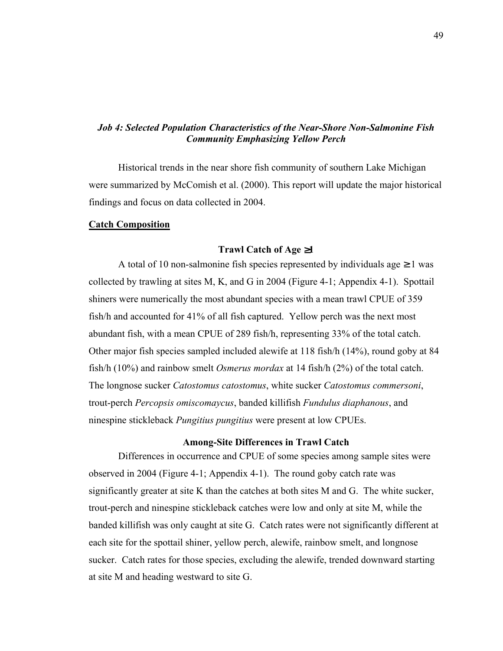# *Job 4: Selected Population Characteristics of the Near-Shore Non-Salmonine Fish Community Emphasizing Yellow Perch*

Historical trends in the near shore fish community of southern Lake Michigan were summarized by McComish et al. (2000). This report will update the major historical findings and focus on data collected in 2004.

#### **Catch Composition**

### **Trawl Catch of Age** ≥**1**

A total of 10 non-salmonine fish species represented by individuals age  $\geq 1$  was collected by trawling at sites M, K, and G in 2004 (Figure 4-1; Appendix 4-1). Spottail shiners were numerically the most abundant species with a mean trawl CPUE of 359 fish/h and accounted for 41% of all fish captured. Yellow perch was the next most abundant fish, with a mean CPUE of 289 fish/h, representing 33% of the total catch. Other major fish species sampled included alewife at 118 fish/h (14%), round goby at 84 fish/h (10%) and rainbow smelt *Osmerus mordax* at 14 fish/h (2%) of the total catch. The longnose sucker *Catostomus catostomus*, white sucker *Catostomus commersoni*, trout-perch *Percopsis omiscomaycus*, banded killifish *Fundulus diaphanous*, and ninespine stickleback *Pungitius pungitius* were present at low CPUEs.

### **Among-Site Differences in Trawl Catch**

 Differences in occurrence and CPUE of some species among sample sites were observed in 2004 (Figure 4-1; Appendix 4-1). The round goby catch rate was significantly greater at site K than the catches at both sites M and G. The white sucker, trout-perch and ninespine stickleback catches were low and only at site M, while the banded killifish was only caught at site G. Catch rates were not significantly different at each site for the spottail shiner, yellow perch, alewife, rainbow smelt, and longnose sucker. Catch rates for those species, excluding the alewife, trended downward starting at site M and heading westward to site G.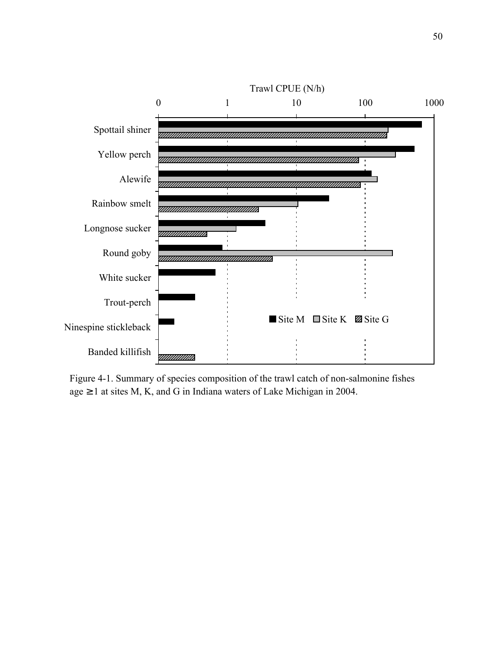

Figure 4-1. Summary of species composition of the trawl catch of non-salmonine fishes age  $\geq 1$  at sites M, K, and G in Indiana waters of Lake Michigan in 2004.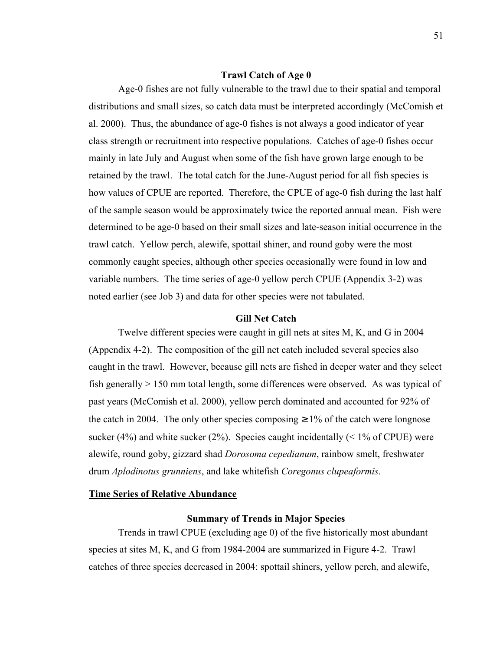#### **Trawl Catch of Age 0**

 Age-0 fishes are not fully vulnerable to the trawl due to their spatial and temporal distributions and small sizes, so catch data must be interpreted accordingly (McComish et al. 2000). Thus, the abundance of age-0 fishes is not always a good indicator of year class strength or recruitment into respective populations. Catches of age-0 fishes occur mainly in late July and August when some of the fish have grown large enough to be retained by the trawl. The total catch for the June-August period for all fish species is how values of CPUE are reported. Therefore, the CPUE of age-0 fish during the last half of the sample season would be approximately twice the reported annual mean. Fish were determined to be age-0 based on their small sizes and late-season initial occurrence in the trawl catch. Yellow perch, alewife, spottail shiner, and round goby were the most commonly caught species, although other species occasionally were found in low and variable numbers. The time series of age-0 yellow perch CPUE (Appendix 3-2) was noted earlier (see Job 3) and data for other species were not tabulated.

### **Gill Net Catch**

 Twelve different species were caught in gill nets at sites M, K, and G in 2004 (Appendix 4-2). The composition of the gill net catch included several species also caught in the trawl. However, because gill nets are fished in deeper water and they select fish generally > 150 mm total length, some differences were observed. As was typical of past years (McComish et al. 2000), yellow perch dominated and accounted for 92% of the catch in 2004. The only other species composing  $\geq 1\%$  of the catch were longnose sucker (4%) and white sucker (2%). Species caught incidentally ( $\leq$  1% of CPUE) were alewife, round goby, gizzard shad *Dorosoma cepedianum*, rainbow smelt, freshwater drum *Aplodinotus grunniens*, and lake whitefish *Coregonus clupeaformis*.

# **Time Series of Relative Abundance**

### **Summary of Trends in Major Species**

 Trends in trawl CPUE (excluding age 0) of the five historically most abundant species at sites M, K, and G from 1984-2004 are summarized in Figure 4-2. Trawl catches of three species decreased in 2004: spottail shiners, yellow perch, and alewife,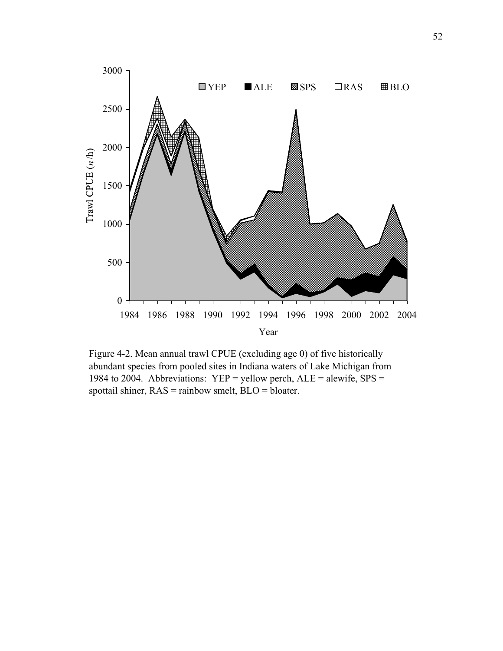

Figure 4-2. Mean annual trawl CPUE (excluding age 0) of five historically abundant species from pooled sites in Indiana waters of Lake Michigan from 1984 to 2004. Abbreviations:  $YEP =$  yellow perch,  $ALE =$  alewife,  $SPS =$ spottail shiner, RAS = rainbow smelt, BLO = bloater.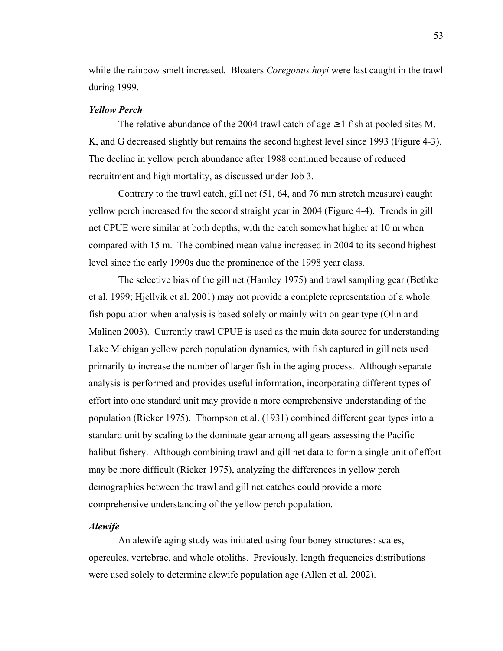while the rainbow smelt increased. Bloaters *Coregonus hoyi* were last caught in the trawl during 1999.

## *Yellow Perch*

The relative abundance of the 2004 trawl catch of age  $\geq 1$  fish at pooled sites M, K, and G decreased slightly but remains the second highest level since 1993 (Figure 4-3). The decline in yellow perch abundance after 1988 continued because of reduced recruitment and high mortality, as discussed under Job 3.

 Contrary to the trawl catch, gill net (51, 64, and 76 mm stretch measure) caught yellow perch increased for the second straight year in 2004 (Figure 4-4). Trends in gill net CPUE were similar at both depths, with the catch somewhat higher at 10 m when compared with 15 m. The combined mean value increased in 2004 to its second highest level since the early 1990s due the prominence of the 1998 year class.

 The selective bias of the gill net (Hamley 1975) and trawl sampling gear (Bethke et al. 1999; Hjellvik et al. 2001) may not provide a complete representation of a whole fish population when analysis is based solely or mainly with on gear type (Olin and Malinen 2003). Currently trawl CPUE is used as the main data source for understanding Lake Michigan yellow perch population dynamics, with fish captured in gill nets used primarily to increase the number of larger fish in the aging process. Although separate analysis is performed and provides useful information, incorporating different types of effort into one standard unit may provide a more comprehensive understanding of the population (Ricker 1975). Thompson et al. (1931) combined different gear types into a standard unit by scaling to the dominate gear among all gears assessing the Pacific halibut fishery. Although combining trawl and gill net data to form a single unit of effort may be more difficult (Ricker 1975), analyzing the differences in yellow perch demographics between the trawl and gill net catches could provide a more comprehensive understanding of the yellow perch population.

### *Alewife*

 An alewife aging study was initiated using four boney structures: scales, opercules, vertebrae, and whole otoliths. Previously, length frequencies distributions were used solely to determine alewife population age (Allen et al. 2002).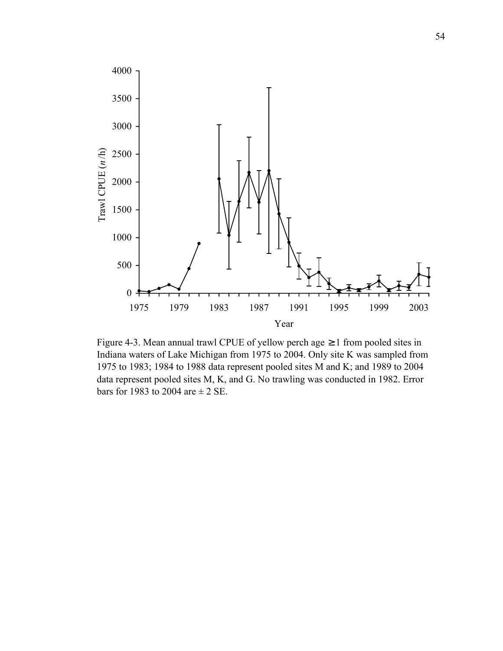

Figure 4-3. Mean annual trawl CPUE of yellow perch age ≥ 1 from pooled sites in Indiana waters of Lake Michigan from 1975 to 2004. Only site K was sampled from 1975 to 1983; 1984 to 1988 data represent pooled sites M and K; and 1989 to 2004 data represent pooled sites M, K, and G. No trawling was conducted in 1982. Error bars for 1983 to 2004 are  $\pm$  2 SE.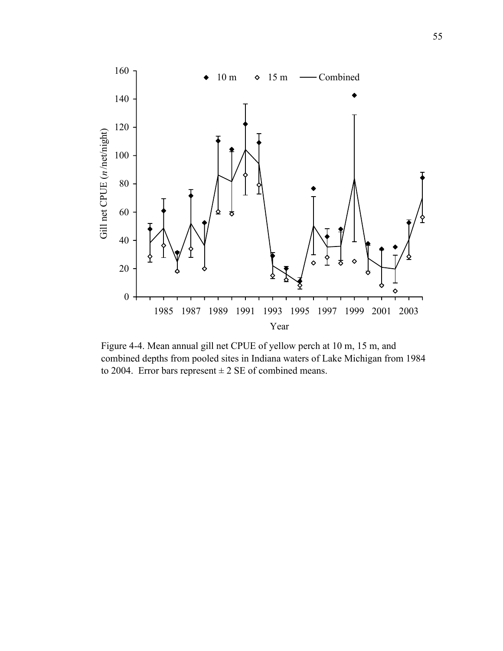

Figure 4-4. Mean annual gill net CPUE of yellow perch at 10 m, 15 m, and combined depths from pooled sites in Indiana waters of Lake Michigan from 1984 to 2004. Error bars represent  $\pm 2$  SE of combined means.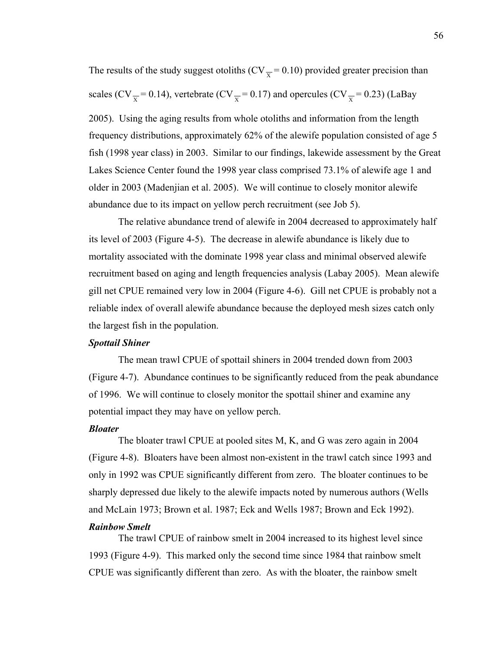The results of the study suggest otoliths (CV $\overline{y}$  = 0.10) provided greater precision than scales (CV $\frac{x}{r}$  = 0.14), vertebrate (CV $\frac{y}{r}$  = 0.17) and opercules (CV $\frac{y}{r}$  = 0.23) (LaBay

2005). Using the aging results from whole otoliths and information from the length frequency distributions, approximately 62% of the alewife population consisted of age 5 fish (1998 year class) in 2003. Similar to our findings, lakewide assessment by the Great Lakes Science Center found the 1998 year class comprised 73.1% of alewife age 1 and older in 2003 (Madenjian et al. 2005). We will continue to closely monitor alewife abundance due to its impact on yellow perch recruitment (see Job 5).

 The relative abundance trend of alewife in 2004 decreased to approximately half its level of 2003 (Figure 4-5). The decrease in alewife abundance is likely due to mortality associated with the dominate 1998 year class and minimal observed alewife recruitment based on aging and length frequencies analysis (Labay 2005). Mean alewife gill net CPUE remained very low in 2004 (Figure 4-6). Gill net CPUE is probably not a reliable index of overall alewife abundance because the deployed mesh sizes catch only the largest fish in the population.

### *Spottail Shiner*

 The mean trawl CPUE of spottail shiners in 2004 trended down from 2003 (Figure 4-7). Abundance continues to be significantly reduced from the peak abundance of 1996. We will continue to closely monitor the spottail shiner and examine any potential impact they may have on yellow perch.

### *Bloater*

 The bloater trawl CPUE at pooled sites M, K, and G was zero again in 2004 (Figure 4-8). Bloaters have been almost non-existent in the trawl catch since 1993 and only in 1992 was CPUE significantly different from zero. The bloater continues to be sharply depressed due likely to the alewife impacts noted by numerous authors (Wells and McLain 1973; Brown et al. 1987; Eck and Wells 1987; Brown and Eck 1992).

### *Rainbow Smelt*

 The trawl CPUE of rainbow smelt in 2004 increased to its highest level since 1993 (Figure 4-9). This marked only the second time since 1984 that rainbow smelt CPUE was significantly different than zero. As with the bloater, the rainbow smelt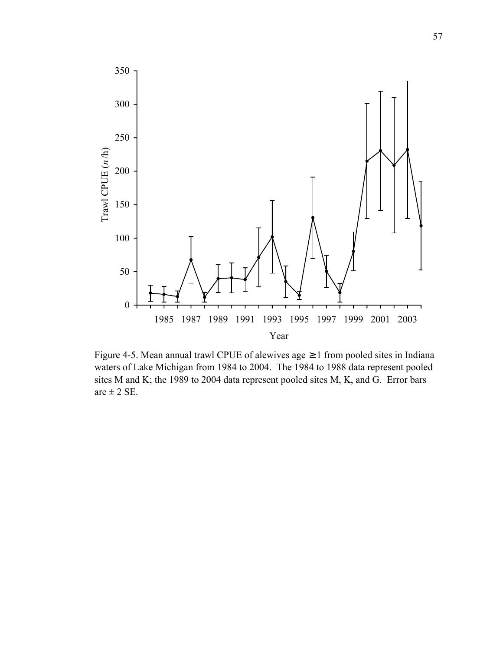

Figure 4-5. Mean annual trawl CPUE of alewives age ≥ 1 from pooled sites in Indiana waters of Lake Michigan from 1984 to 2004. The 1984 to 1988 data represent pooled sites M and K; the 1989 to 2004 data represent pooled sites M, K, and G. Error bars are  $\pm$  2 SE.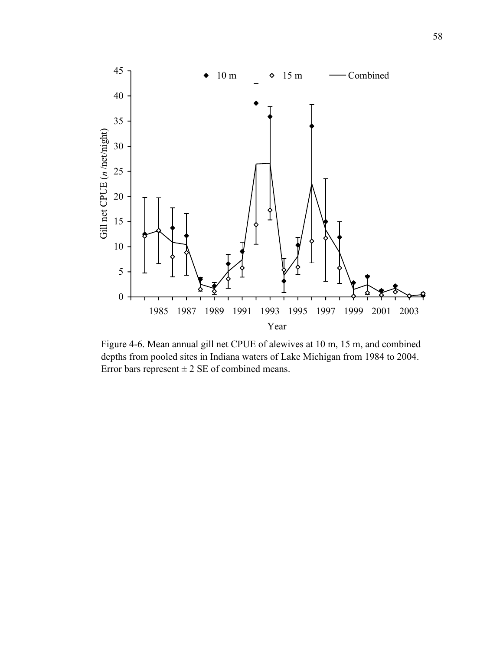

Figure 4-6. Mean annual gill net CPUE of alewives at 10 m, 15 m, and combined depths from pooled sites in Indiana waters of Lake Michigan from 1984 to 2004. Error bars represent  $\pm 2$  SE of combined means.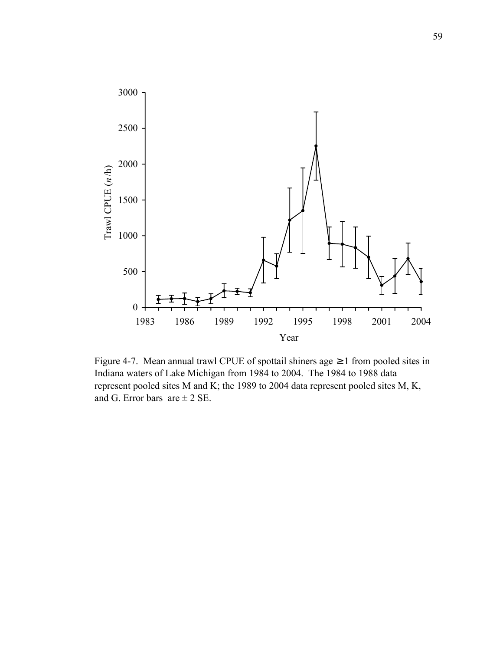

Figure 4-7. Mean annual trawl CPUE of spottail shiners age  $\geq 1$  from pooled sites in Indiana waters of Lake Michigan from 1984 to 2004. The 1984 to 1988 data represent pooled sites M and K; the 1989 to 2004 data represent pooled sites M, K, and G. Error bars are  $\pm 2$  SE.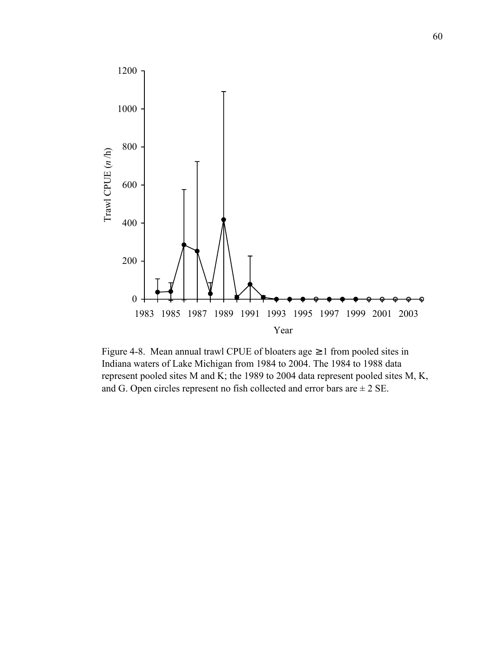

Figure 4-8. Mean annual trawl CPUE of bloaters age  $\geq 1$  from pooled sites in Indiana waters of Lake Michigan from 1984 to 2004. The 1984 to 1988 data represent pooled sites M and K; the 1989 to 2004 data represent pooled sites M, K, and G. Open circles represent no fish collected and error bars are  $\pm 2$  SE.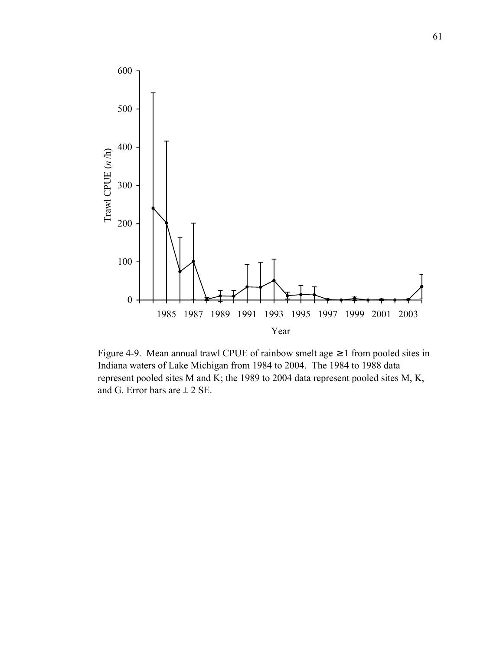

Figure 4-9. Mean annual trawl CPUE of rainbow smelt age  $\geq 1$  from pooled sites in Indiana waters of Lake Michigan from 1984 to 2004. The 1984 to 1988 data represent pooled sites M and K; the 1989 to 2004 data represent pooled sites M, K, and G. Error bars are  $\pm$  2 SE.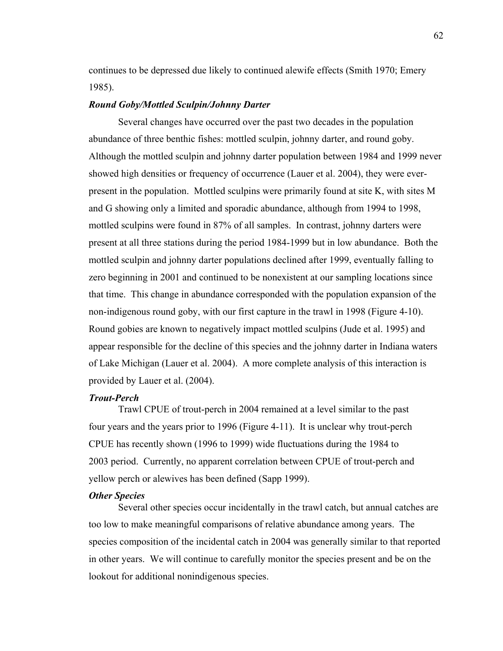continues to be depressed due likely to continued alewife effects (Smith 1970; Emery 1985).

# *Round Goby/Mottled Sculpin/Johnny Darter*

 Several changes have occurred over the past two decades in the population abundance of three benthic fishes: mottled sculpin, johnny darter, and round goby. Although the mottled sculpin and johnny darter population between 1984 and 1999 never showed high densities or frequency of occurrence (Lauer et al. 2004), they were everpresent in the population. Mottled sculpins were primarily found at site K, with sites M and G showing only a limited and sporadic abundance, although from 1994 to 1998, mottled sculpins were found in 87% of all samples. In contrast, johnny darters were present at all three stations during the period 1984-1999 but in low abundance. Both the mottled sculpin and johnny darter populations declined after 1999, eventually falling to zero beginning in 2001 and continued to be nonexistent at our sampling locations since that time. This change in abundance corresponded with the population expansion of the non-indigenous round goby, with our first capture in the trawl in 1998 (Figure 4-10). Round gobies are known to negatively impact mottled sculpins (Jude et al. 1995) and appear responsible for the decline of this species and the johnny darter in Indiana waters of Lake Michigan (Lauer et al. 2004). A more complete analysis of this interaction is provided by Lauer et al. (2004).

# *Trout-Perch*

 Trawl CPUE of trout-perch in 2004 remained at a level similar to the past four years and the years prior to 1996 (Figure 4-11). It is unclear why trout-perch CPUE has recently shown (1996 to 1999) wide fluctuations during the 1984 to 2003 period. Currently, no apparent correlation between CPUE of trout-perch and yellow perch or alewives has been defined (Sapp 1999).

# *Other Species*

 Several other species occur incidentally in the trawl catch, but annual catches are too low to make meaningful comparisons of relative abundance among years. The species composition of the incidental catch in 2004 was generally similar to that reported in other years. We will continue to carefully monitor the species present and be on the lookout for additional nonindigenous species.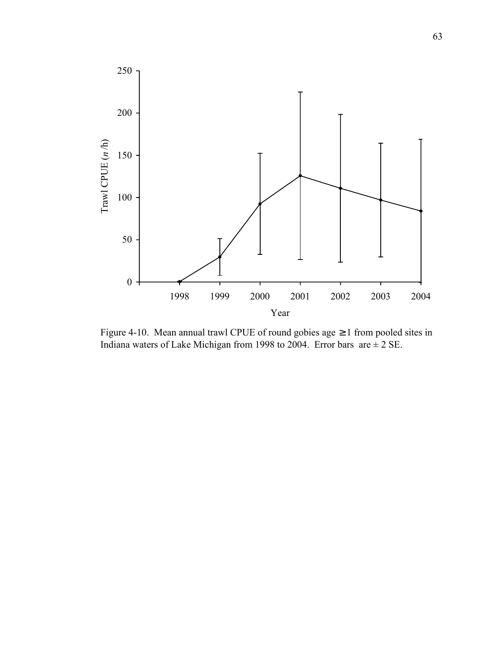

Figure 4-10. Mean annual trawl CPUE of round gobies age ≥ 1 from pooled sites in Indiana waters of Lake Michigan from 1998 to 2004. Error bars are  $\pm 2$  SE.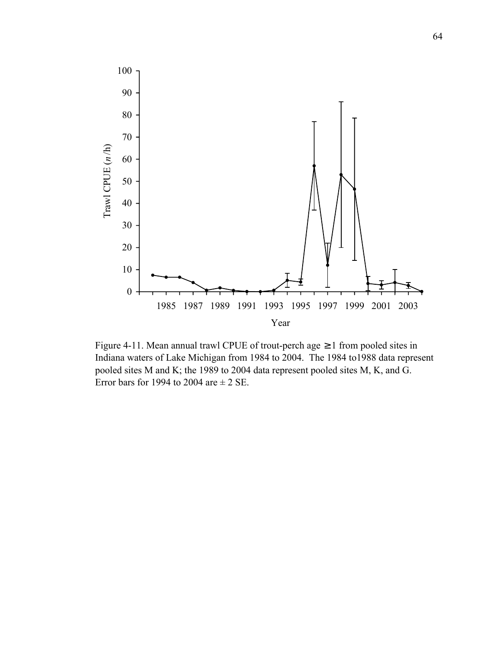

Figure 4-11. Mean annual trawl CPUE of trout-perch age  $\geq 1$  from pooled sites in Indiana waters of Lake Michigan from 1984 to 2004. The 1984 to1988 data represent pooled sites M and K; the 1989 to 2004 data represent pooled sites M, K, and G. Error bars for 1994 to 2004 are  $\pm$  2 SE.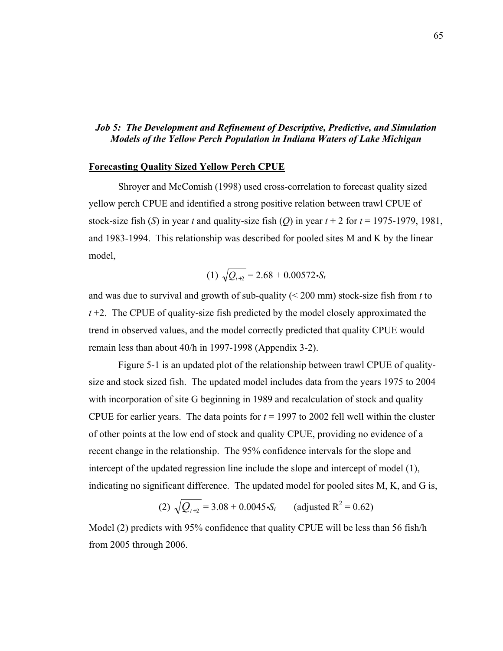# *Job 5: The Development and Refinement of Descriptive, Predictive, and Simulation Models of the Yellow Perch Population in Indiana Waters of Lake Michigan*

## **Forecasting Quality Sized Yellow Perch CPUE**

 Shroyer and McComish (1998) used cross-correlation to forecast quality sized yellow perch CPUE and identified a strong positive relation between trawl CPUE of stock-size fish (*S*) in year *t* and quality-size fish (*Q*) in year  $t + 2$  for  $t = 1975-1979$ , 1981, and 1983-1994. This relationship was described for pooled sites M and K by the linear model,

(1) 
$$
\sqrt{Q_{t+2}} = 2.68 + 0.00572 \cdot S_t
$$

and was due to survival and growth of sub-quality (< 200 mm) stock-size fish from *t* to *t* +2. The CPUE of quality-size fish predicted by the model closely approximated the trend in observed values, and the model correctly predicted that quality CPUE would remain less than about 40/h in 1997-1998 (Appendix 3-2).

 Figure 5-1 is an updated plot of the relationship between trawl CPUE of qualitysize and stock sized fish. The updated model includes data from the years 1975 to 2004 with incorporation of site G beginning in 1989 and recalculation of stock and quality CPUE for earlier years. The data points for  $t = 1997$  to 2002 fell well within the cluster of other points at the low end of stock and quality CPUE, providing no evidence of a recent change in the relationship. The 95% confidence intervals for the slope and intercept of the updated regression line include the slope and intercept of model (1), indicating no significant difference. The updated model for pooled sites M, K, and G is,

(2) 
$$
\sqrt{Q_{t+2}} = 3.08 + 0.0045 \cdot S_t
$$
 (adjusted R<sup>2</sup> = 0.62)

Model (2) predicts with 95% confidence that quality CPUE will be less than 56 fish/h from 2005 through 2006.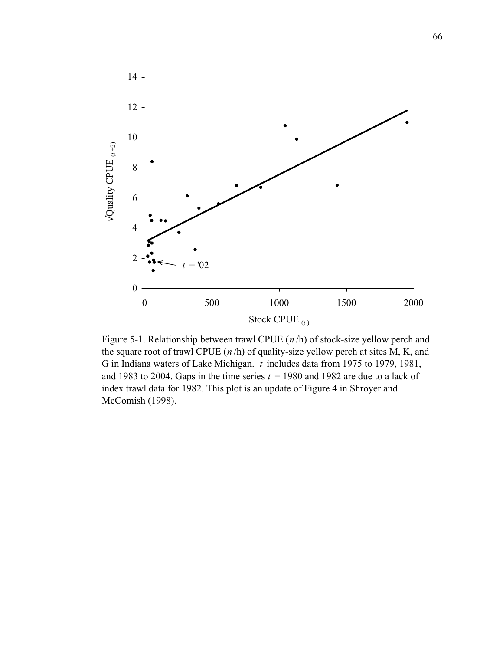

Figure 5-1. Relationship between trawl CPUE (*n* /h) of stock-size yellow perch and the square root of trawl CPUE (*n* /h) of quality-size yellow perch at sites M, K, and G in Indiana waters of Lake Michigan. *t* includes data from 1975 to 1979, 1981, and 1983 to 2004. Gaps in the time series  $t = 1980$  and 1982 are due to a lack of index trawl data for 1982. This plot is an update of Figure 4 in Shroyer and McComish (1998).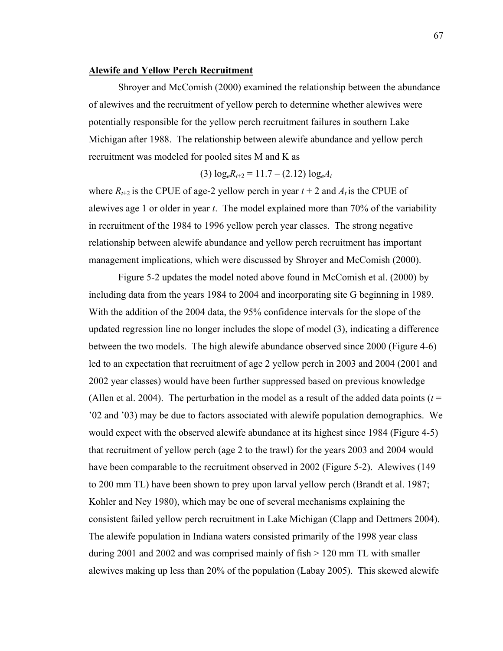### **Alewife and Yellow Perch Recruitment**

 Shroyer and McComish (2000) examined the relationship between the abundance of alewives and the recruitment of yellow perch to determine whether alewives were potentially responsible for the yellow perch recruitment failures in southern Lake Michigan after 1988. The relationship between alewife abundance and yellow perch recruitment was modeled for pooled sites M and K as

$$
(3) \log_{e} R_{t+2} = 11.7 - (2.12) \log_{e} A_{t}
$$

where  $R_{t+2}$  is the CPUE of age-2 yellow perch in year  $t + 2$  and  $A_t$  is the CPUE of alewives age 1 or older in year *t*. The model explained more than 70% of the variability in recruitment of the 1984 to 1996 yellow perch year classes. The strong negative relationship between alewife abundance and yellow perch recruitment has important management implications, which were discussed by Shroyer and McComish (2000).

 Figure 5-2 updates the model noted above found in McComish et al. (2000) by including data from the years 1984 to 2004 and incorporating site G beginning in 1989. With the addition of the 2004 data, the 95% confidence intervals for the slope of the updated regression line no longer includes the slope of model (3), indicating a difference between the two models. The high alewife abundance observed since 2000 (Figure 4-6) led to an expectation that recruitment of age 2 yellow perch in 2003 and 2004 (2001 and 2002 year classes) would have been further suppressed based on previous knowledge (Allen et al. 2004). The perturbation in the model as a result of the added data points ( $t =$ '02 and '03) may be due to factors associated with alewife population demographics. We would expect with the observed alewife abundance at its highest since 1984 (Figure 4-5) that recruitment of yellow perch (age 2 to the trawl) for the years 2003 and 2004 would have been comparable to the recruitment observed in 2002 (Figure 5-2). Alewives (149 to 200 mm TL) have been shown to prey upon larval yellow perch (Brandt et al. 1987; Kohler and Ney 1980), which may be one of several mechanisms explaining the consistent failed yellow perch recruitment in Lake Michigan (Clapp and Dettmers 2004). The alewife population in Indiana waters consisted primarily of the 1998 year class during 2001 and 2002 and was comprised mainly of fish > 120 mm TL with smaller alewives making up less than 20% of the population (Labay 2005). This skewed alewife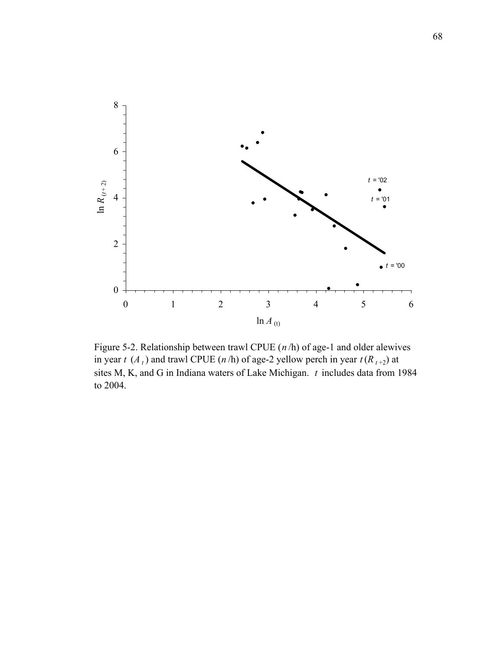

Figure 5-2. Relationship between trawl CPUE (*n* /h) of age-1 and older alewives in year *t* (*A*<sub>t</sub>) and trawl CPUE (*n*/h) of age-2 yellow perch in year  $t(R_{t+2})$  at sites M, K, and G in Indiana waters of Lake Michigan. *t* includes data from 1984 to 2004.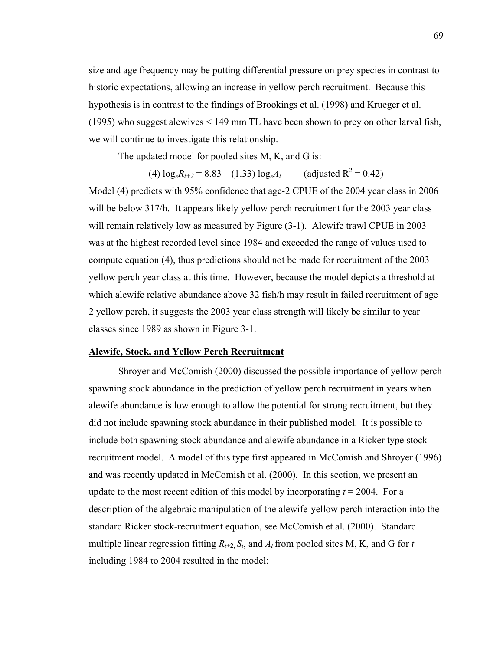size and age frequency may be putting differential pressure on prey species in contrast to historic expectations, allowing an increase in yellow perch recruitment. Because this hypothesis is in contrast to the findings of Brookings et al. (1998) and Krueger et al. (1995) who suggest alewives < 149 mm TL have been shown to prey on other larval fish, we will continue to investigate this relationship.

The updated model for pooled sites M, K, and G is:

 $(4) \log_e R_{t+2} = 8.83 - (1.33) \log_e A_t$ (adjusted  $R^2 = 0.42$ )

Model (4) predicts with 95% confidence that age-2 CPUE of the 2004 year class in 2006 will be below 317/h. It appears likely yellow perch recruitment for the 2003 year class will remain relatively low as measured by Figure  $(3-1)$ . Alewife trawl CPUE in 2003 was at the highest recorded level since 1984 and exceeded the range of values used to compute equation (4), thus predictions should not be made for recruitment of the 2003 yellow perch year class at this time. However, because the model depicts a threshold at which alewife relative abundance above 32 fish/h may result in failed recruitment of age 2 yellow perch, it suggests the 2003 year class strength will likely be similar to year classes since 1989 as shown in Figure 3-1.

#### **Alewife, Stock, and Yellow Perch Recruitment**

 Shroyer and McComish (2000) discussed the possible importance of yellow perch spawning stock abundance in the prediction of yellow perch recruitment in years when alewife abundance is low enough to allow the potential for strong recruitment, but they did not include spawning stock abundance in their published model. It is possible to include both spawning stock abundance and alewife abundance in a Ricker type stockrecruitment model. A model of this type first appeared in McComish and Shroyer (1996) and was recently updated in McComish et al. (2000). In this section, we present an update to the most recent edition of this model by incorporating  $t = 2004$ . For a description of the algebraic manipulation of the alewife-yellow perch interaction into the standard Ricker stock-recruitment equation, see McComish et al. (2000). Standard multiple linear regression fitting  $R_{t+2}$ ,  $S_t$ , and  $A_t$  from pooled sites M, K, and G for *t* including 1984 to 2004 resulted in the model: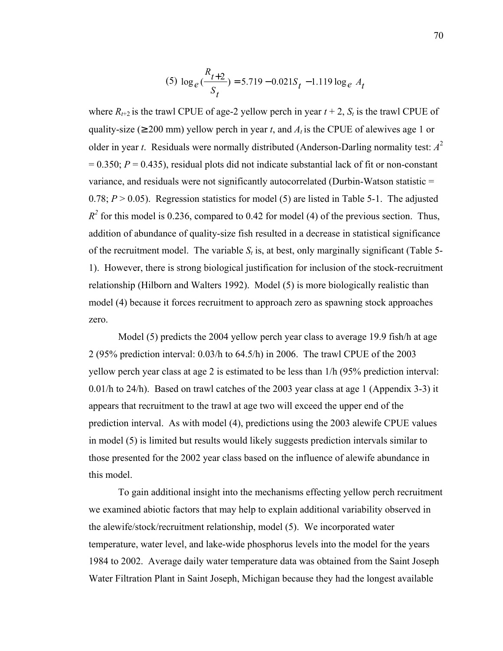(5) 
$$
\log_e(\frac{R_{t+2}}{S_t}) = 5.719 - 0.021S_t - 1.119 \log_e A_t
$$

where  $R_{t+2}$  is the trawl CPUE of age-2 yellow perch in year  $t + 2$ ,  $S_t$  is the trawl CPUE of quality-size ( $\geq 200$  mm) yellow perch in year *t*, and  $A_t$  is the CPUE of alewives age 1 or older in year *t*. Residuals were normally distributed (Anderson-Darling normality test: *A*<sup>2</sup>  $= 0.350$ ;  $P = 0.435$ ), residual plots did not indicate substantial lack of fit or non-constant variance, and residuals were not significantly autocorrelated (Durbin-Watson statistic = 0.78;  $P > 0.05$ ). Regression statistics for model (5) are listed in Table 5-1. The adjusted  $R^2$  for this model is 0.236, compared to 0.42 for model (4) of the previous section. Thus, addition of abundance of quality-size fish resulted in a decrease in statistical significance of the recruitment model. The variable  $S_t$  is, at best, only marginally significant (Table 5-1). However, there is strong biological justification for inclusion of the stock-recruitment relationship (Hilborn and Walters 1992). Model (5) is more biologically realistic than model (4) because it forces recruitment to approach zero as spawning stock approaches zero.

 Model (5) predicts the 2004 yellow perch year class to average 19.9 fish/h at age 2 (95% prediction interval: 0.03/h to 64.5/h) in 2006. The trawl CPUE of the 2003 yellow perch year class at age 2 is estimated to be less than 1/h (95% prediction interval: 0.01/h to 24/h). Based on trawl catches of the 2003 year class at age 1 (Appendix 3-3) it appears that recruitment to the trawl at age two will exceed the upper end of the prediction interval. As with model (4), predictions using the 2003 alewife CPUE values in model (5) is limited but results would likely suggests prediction intervals similar to those presented for the 2002 year class based on the influence of alewife abundance in this model.

 To gain additional insight into the mechanisms effecting yellow perch recruitment we examined abiotic factors that may help to explain additional variability observed in the alewife/stock/recruitment relationship, model (5). We incorporated water temperature, water level, and lake-wide phosphorus levels into the model for the years 1984 to 2002. Average daily water temperature data was obtained from the Saint Joseph Water Filtration Plant in Saint Joseph, Michigan because they had the longest available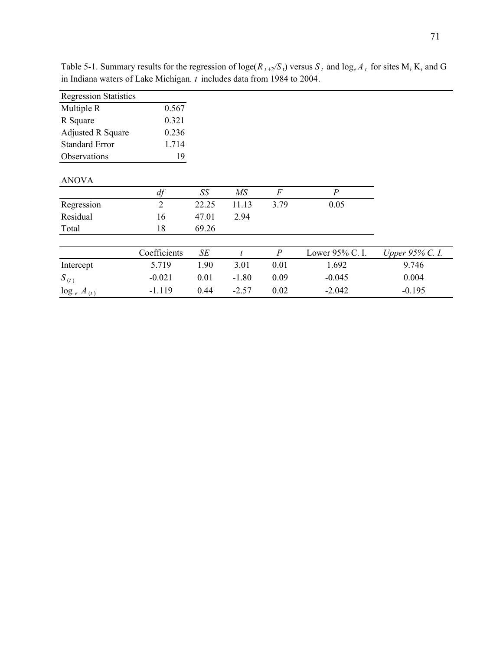| <b>Regression Statistics</b> |                |       |                 |                  |                 |                 |
|------------------------------|----------------|-------|-----------------|------------------|-----------------|-----------------|
| Multiple R                   | 0.567          |       |                 |                  |                 |                 |
| R Square                     | 0.321          |       |                 |                  |                 |                 |
| <b>Adjusted R Square</b>     | 0.236          |       |                 |                  |                 |                 |
| <b>Standard Error</b>        | 1.714          |       |                 |                  |                 |                 |
| Observations                 | 19             |       |                 |                  |                 |                 |
| <b>ANOVA</b>                 |                |       |                 |                  |                 |                 |
|                              | df             | SS    | $\overline{MS}$ | $\boldsymbol{F}$ | $\overline{P}$  |                 |
| Regression                   | $\overline{2}$ | 22.25 | 11.13           | 3.79             | 0.05            |                 |
| Residual                     | 16             | 47.01 | 2.94            |                  |                 |                 |
| Total                        | 18             | 69.26 |                 |                  |                 |                 |
|                              | Coefficients   | SE    | t               | $\overline{P}$   | Lower 95% C. I. | Upper 95% C. I. |
| Intercept                    | 5.719          | 1.90  | 3.01            | 0.01             | 1.692           | 9.746           |
| $S_{(t)}$                    | $-0.021$       | 0.01  | $-1.80$         | 0.09             | $-0.045$        | 0.004           |
| $\log_e A_{(t)}$             | $-1.119$       | 0.44  | $-2.57$         | 0.02             | $-2.042$        | $-0.195$        |

Table 5-1. Summary results for the regression of loge( $R_{t+2}/S_t$ ) versus  $S_t$  and log<sub>e</sub> $A_t$  for sites M, K, and G in Indiana waters of Lake Michigan. *t* includes data from 1984 to 2004*.*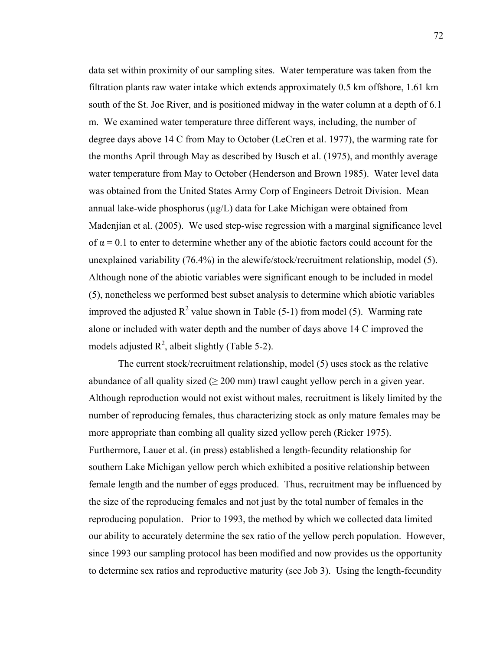data set within proximity of our sampling sites. Water temperature was taken from the filtration plants raw water intake which extends approximately 0.5 km offshore, 1.61 km south of the St. Joe River, and is positioned midway in the water column at a depth of 6.1 m. We examined water temperature three different ways, including, the number of degree days above 14 C from May to October (LeCren et al. 1977), the warming rate for the months April through May as described by Busch et al. (1975), and monthly average water temperature from May to October (Henderson and Brown 1985). Water level data was obtained from the United States Army Corp of Engineers Detroit Division. Mean annual lake-wide phosphorus ( $\mu$ g/L) data for Lake Michigan were obtained from Madenjian et al. (2005). We used step-wise regression with a marginal significance level of  $\alpha = 0.1$  to enter to determine whether any of the abiotic factors could account for the unexplained variability (76.4%) in the alewife/stock/recruitment relationship, model (5). Although none of the abiotic variables were significant enough to be included in model (5), nonetheless we performed best subset analysis to determine which abiotic variables improved the adjusted  $R^2$  value shown in Table (5-1) from model (5). Warming rate alone or included with water depth and the number of days above 14 C improved the models adjusted  $R^2$ , albeit slightly (Table 5-2).

 The current stock/recruitment relationship, model (5) uses stock as the relative abundance of all quality sized ( $\geq$  200 mm) trawl caught yellow perch in a given year. Although reproduction would not exist without males, recruitment is likely limited by the number of reproducing females, thus characterizing stock as only mature females may be more appropriate than combing all quality sized yellow perch (Ricker 1975). Furthermore, Lauer et al. (in press) established a length-fecundity relationship for southern Lake Michigan yellow perch which exhibited a positive relationship between female length and the number of eggs produced. Thus, recruitment may be influenced by the size of the reproducing females and not just by the total number of females in the reproducing population. Prior to 1993, the method by which we collected data limited our ability to accurately determine the sex ratio of the yellow perch population. However, since 1993 our sampling protocol has been modified and now provides us the opportunity to determine sex ratios and reproductive maturity (see Job 3). Using the length-fecundity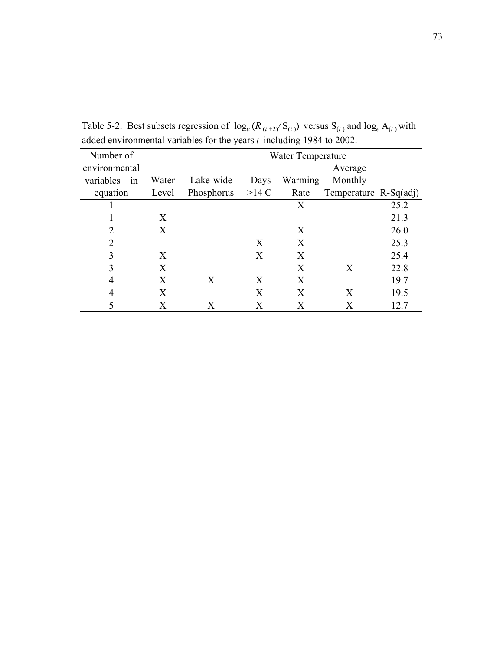| Number of       |       |            |       | Water Temperature |                       |      |
|-----------------|-------|------------|-------|-------------------|-----------------------|------|
| environmental   |       |            |       |                   | Average               |      |
| variables<br>in | Water | Lake-wide  | Days  | Warming           | Monthly               |      |
| equation        | Level | Phosphorus | >14 C | Rate              | Temperature R-Sq(adj) |      |
|                 |       |            |       | X                 |                       | 25.2 |
|                 | X     |            |       |                   |                       | 21.3 |
| $\overline{2}$  | X     |            |       | X                 |                       | 26.0 |
| $\overline{2}$  |       |            | X     | X                 |                       | 25.3 |
| 3               | X     |            | X     | X                 |                       | 25.4 |
| 3               | X     |            |       | X                 | X                     | 22.8 |
| 4               | X     | X          | X     | X                 |                       | 19.7 |
| $\overline{4}$  | X     |            | X     | X                 | X                     | 19.5 |
| 5               | X     | X          | X     | X                 | Х                     | 12.7 |

Table 5-2. Best subsets regression of  $\log_e(R_{(t+2)}/S_{(t)})$  versus  $S_{(t)}$  and  $\log_e A_{(t)}$  with added environmental variables for the years *t* including 1984 to 2002.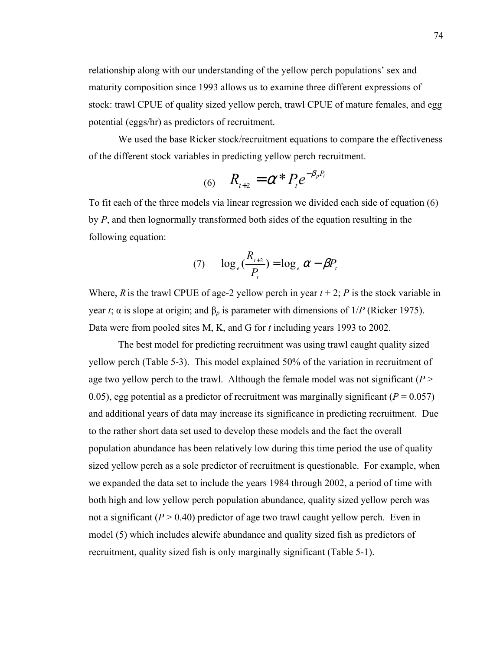relationship along with our understanding of the yellow perch populations' sex and maturity composition since 1993 allows us to examine three different expressions of stock: trawl CPUE of quality sized yellow perch, trawl CPUE of mature females, and egg potential (eggs/hr) as predictors of recruitment.

 We used the base Ricker stock/recruitment equations to compare the effectiveness of the different stock variables in predicting yellow perch recruitment.

(6) 
$$
R_{t+2} = \alpha^* P_t e^{-\beta_p P_t}
$$

To fit each of the three models via linear regression we divided each side of equation (6) by *P*, and then lognormally transformed both sides of the equation resulting in the following equation:

$$
(7) \qquad \log_e\left(\frac{R_{t+2}}{P_t}\right) = \log_e\alpha - \beta P_t
$$

Where, *R* is the trawl CPUE of age-2 yellow perch in year  $t + 2$ ; *P* is the stock variable in year *t*; α is slope at origin; and  $β<sub>p</sub>$  is parameter with dimensions of  $1/P$  (Ricker 1975). Data were from pooled sites M, K, and G for *t* including years 1993 to 2002.

 The best model for predicting recruitment was using trawl caught quality sized yellow perch (Table 5-3). This model explained 50% of the variation in recruitment of age two yellow perch to the trawl. Although the female model was not significant  $(P >$ 0.05), egg potential as a predictor of recruitment was marginally significant ( $P = 0.057$ ) and additional years of data may increase its significance in predicting recruitment. Due to the rather short data set used to develop these models and the fact the overall population abundance has been relatively low during this time period the use of quality sized yellow perch as a sole predictor of recruitment is questionable. For example, when we expanded the data set to include the years 1984 through 2002, a period of time with both high and low yellow perch population abundance, quality sized yellow perch was not a significant  $(P > 0.40)$  predictor of age two trawl caught yellow perch. Even in model (5) which includes alewife abundance and quality sized fish as predictors of recruitment, quality sized fish is only marginally significant (Table 5-1).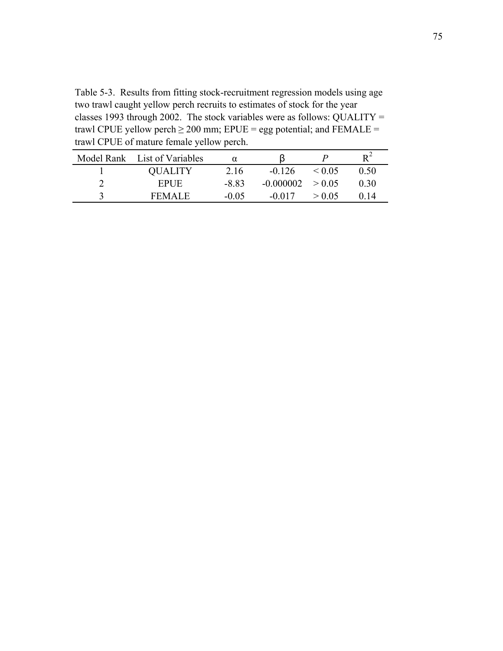Table 5-3. Results from fitting stock-recruitment regression models using age two trawl caught yellow perch recruits to estimates of stock for the year classes 1993 through 2002. The stock variables were as follows: QUALITY = trawl CPUE yellow perch  $\geq$  200 mm; EPUE = egg potential; and FEMALE = trawl CPUE of mature female yellow perch.

| Model Rank List of Variables | $\alpha$ |             |        |       |
|------------------------------|----------|-------------|--------|-------|
| <b>QUALITY</b>               | 2.16     | $-0.126$    | < 0.05 | O 50. |
| <b>EPUE</b>                  | -8.83    | $-0.000002$ | > 0.05 | 0.30  |
| FEMALE                       | $-0.05$  | -0.017      | > 0.05 |       |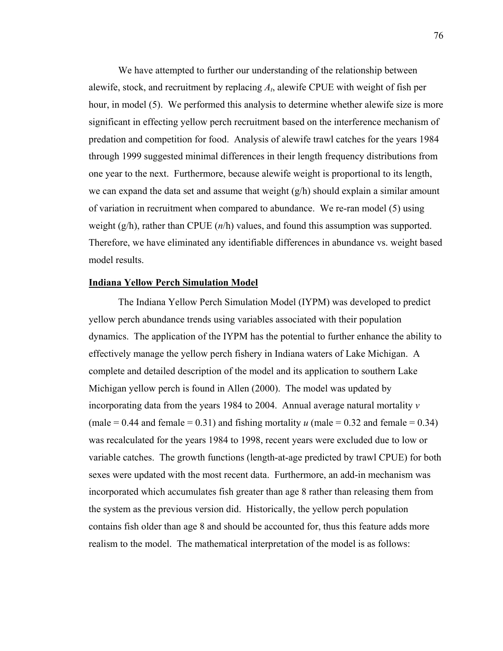We have attempted to further our understanding of the relationship between alewife, stock, and recruitment by replacing *At*, alewife CPUE with weight of fish per hour, in model (5). We performed this analysis to determine whether alewife size is more significant in effecting yellow perch recruitment based on the interference mechanism of predation and competition for food. Analysis of alewife trawl catches for the years 1984 through 1999 suggested minimal differences in their length frequency distributions from one year to the next. Furthermore, because alewife weight is proportional to its length, we can expand the data set and assume that weight  $(g/h)$  should explain a similar amount of variation in recruitment when compared to abundance. We re-ran model (5) using weight (g/h), rather than CPUE (*n*/h) values, and found this assumption was supported. Therefore, we have eliminated any identifiable differences in abundance vs. weight based model results.

#### **Indiana Yellow Perch Simulation Model**

The Indiana Yellow Perch Simulation Model (IYPM) was developed to predict yellow perch abundance trends using variables associated with their population dynamics. The application of the IYPM has the potential to further enhance the ability to effectively manage the yellow perch fishery in Indiana waters of Lake Michigan. A complete and detailed description of the model and its application to southern Lake Michigan yellow perch is found in Allen (2000). The model was updated by incorporating data from the years 1984 to 2004. Annual average natural mortality *v* (male  $= 0.44$  and female  $= 0.31$ ) and fishing mortality *u* (male  $= 0.32$  and female  $= 0.34$ ) was recalculated for the years 1984 to 1998, recent years were excluded due to low or variable catches. The growth functions (length-at-age predicted by trawl CPUE) for both sexes were updated with the most recent data. Furthermore, an add-in mechanism was incorporated which accumulates fish greater than age 8 rather than releasing them from the system as the previous version did. Historically, the yellow perch population contains fish older than age 8 and should be accounted for, thus this feature adds more realism to the model. The mathematical interpretation of the model is as follows: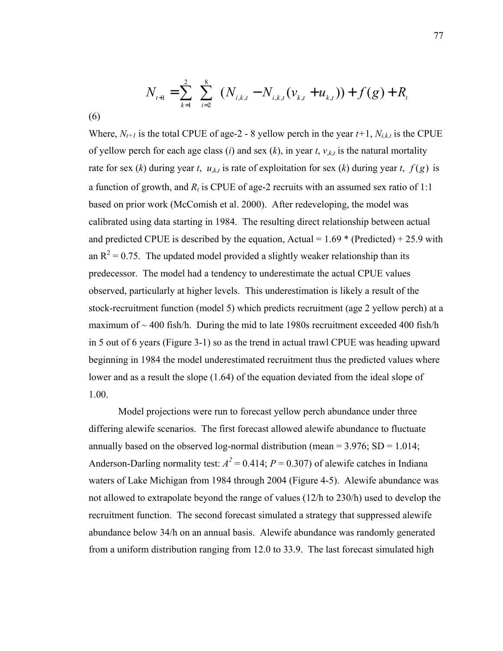$$
N_{t+1} = \sum_{k=1}^{2} \sum_{i=2}^{8} (N_{i,k,t} - N_{i,k,t}(v_{k,t} + u_{k,t})) + f(g) + R_{t}
$$

(6)

Where,  $N_{t+1}$  is the total CPUE of age-2 - 8 yellow perch in the year  $t+1$ ,  $N_{i,k,t}$  is the CPUE of yellow perch for each age class (*i*) and sex (*k*), in year *t*,  $v_{k,t}$  is the natural mortality rate for sex (*k*) during year *t*,  $u_{k,t}$  is rate of exploitation for sex (*k*) during year *t*,  $f(g)$  is a function of growth, and  $R_t$  is CPUE of age-2 recruits with an assumed sex ratio of 1:1 based on prior work (McComish et al. 2000). After redeveloping, the model was calibrated using data starting in 1984. The resulting direct relationship between actual and predicted CPUE is described by the equation, Actual =  $1.69 *$  (Predicted) + 25.9 with an  $R^2$  = 0.75. The updated model provided a slightly weaker relationship than its predecessor. The model had a tendency to underestimate the actual CPUE values observed, particularly at higher levels. This underestimation is likely a result of the stock-recruitment function (model 5) which predicts recruitment (age 2 yellow perch) at a maximum of  $\sim$  400 fish/h. During the mid to late 1980s recruitment exceeded 400 fish/h in 5 out of 6 years (Figure 3-1) so as the trend in actual trawl CPUE was heading upward beginning in 1984 the model underestimated recruitment thus the predicted values where lower and as a result the slope (1.64) of the equation deviated from the ideal slope of 1.00.

 Model projections were run to forecast yellow perch abundance under three differing alewife scenarios. The first forecast allowed alewife abundance to fluctuate annually based on the observed log-normal distribution (mean  $=$  3.976; SD  $=$  1.014; Anderson-Darling normality test:  $A^2 = 0.414$ ;  $P = 0.307$ ) of alewife catches in Indiana waters of Lake Michigan from 1984 through 2004 (Figure 4-5). Alewife abundance was not allowed to extrapolate beyond the range of values (12/h to 230/h) used to develop the recruitment function. The second forecast simulated a strategy that suppressed alewife abundance below 34/h on an annual basis. Alewife abundance was randomly generated from a uniform distribution ranging from 12.0 to 33.9. The last forecast simulated high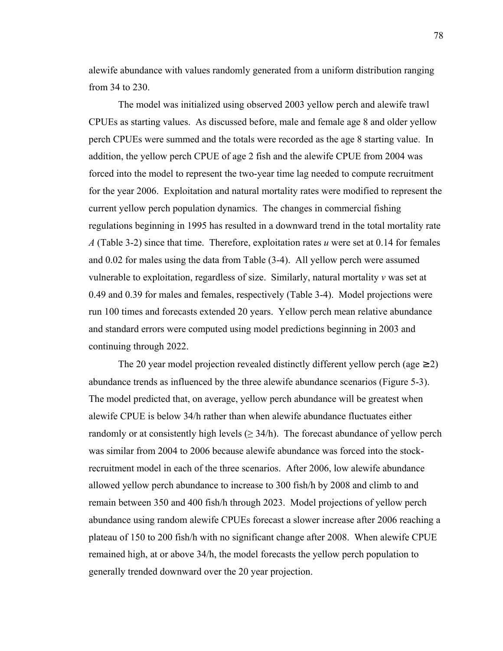alewife abundance with values randomly generated from a uniform distribution ranging from 34 to 230.

The model was initialized using observed 2003 yellow perch and alewife trawl CPUEs as starting values. As discussed before, male and female age 8 and older yellow perch CPUEs were summed and the totals were recorded as the age 8 starting value. In addition, the yellow perch CPUE of age 2 fish and the alewife CPUE from 2004 was forced into the model to represent the two-year time lag needed to compute recruitment for the year 2006. Exploitation and natural mortality rates were modified to represent the current yellow perch population dynamics. The changes in commercial fishing regulations beginning in 1995 has resulted in a downward trend in the total mortality rate *A* (Table 3-2) since that time. Therefore, exploitation rates *u* were set at 0.14 for females and 0.02 for males using the data from Table (3-4). All yellow perch were assumed vulnerable to exploitation, regardless of size. Similarly, natural mortality *v* was set at 0.49 and 0.39 for males and females, respectively (Table 3-4). Model projections were run 100 times and forecasts extended 20 years. Yellow perch mean relative abundance and standard errors were computed using model predictions beginning in 2003 and continuing through 2022.

The 20 year model projection revealed distinctly different yellow perch (age  $\geq$  2) abundance trends as influenced by the three alewife abundance scenarios (Figure 5-3). The model predicted that, on average, yellow perch abundance will be greatest when alewife CPUE is below 34/h rather than when alewife abundance fluctuates either randomly or at consistently high levels  $(\geq 34/h)$ . The forecast abundance of yellow perch was similar from 2004 to 2006 because alewife abundance was forced into the stockrecruitment model in each of the three scenarios. After 2006, low alewife abundance allowed yellow perch abundance to increase to 300 fish/h by 2008 and climb to and remain between 350 and 400 fish/h through 2023. Model projections of yellow perch abundance using random alewife CPUEs forecast a slower increase after 2006 reaching a plateau of 150 to 200 fish/h with no significant change after 2008. When alewife CPUE remained high, at or above 34/h, the model forecasts the yellow perch population to generally trended downward over the 20 year projection.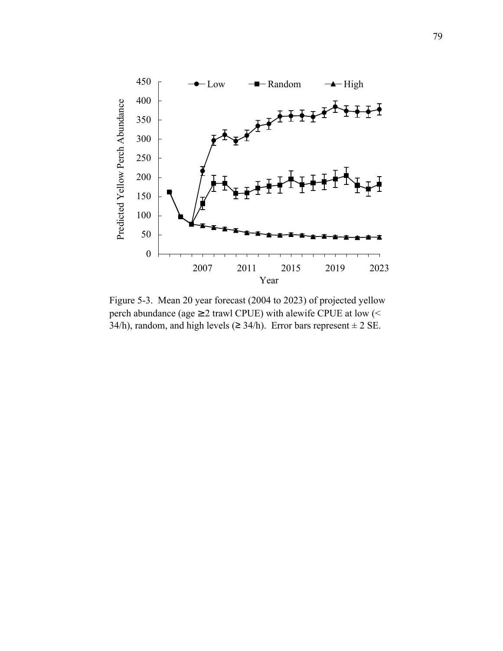

Figure 5-3. Mean 20 year forecast (2004 to 2023) of projected yellow perch abundance (age  $\geq$  2 trawl CPUE) with alewife CPUE at low (<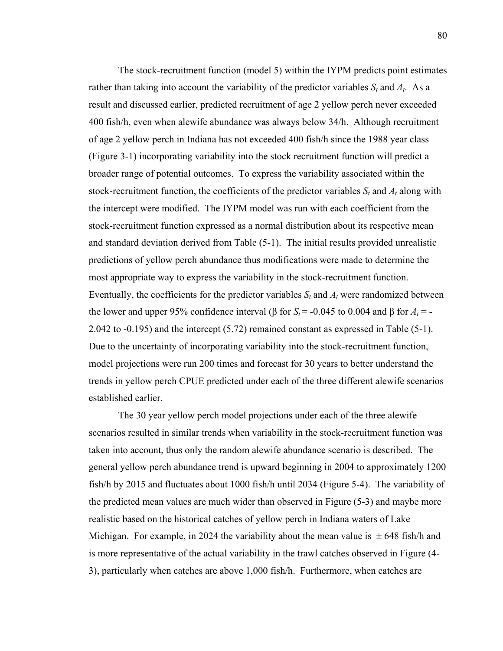The stock-recruitment function (model 5) within the IYPM predicts point estimates rather than taking into account the variability of the predictor variables  $S_t$  and  $A_t$ . As a result and discussed earlier, predicted recruitment of age 2 yellow perch never exceeded 400 fish/h, even when alewife abundance was always below 34/h. Although recruitment of age 2 yellow perch in Indiana has not exceeded 400 fish/h since the 1988 year class (Figure 3-1) incorporating variability into the stock recruitment function will predict a broader range of potential outcomes. To express the variability associated within the stock-recruitment function, the coefficients of the predictor variables  $S_t$  and  $A_t$  along with the intercept were modified. The IYPM model was run with each coefficient from the stock-recruitment function expressed as a normal distribution about its respective mean and standard deviation derived from Table (5-1). The initial results provided unrealistic predictions of yellow perch abundance thus modifications were made to determine the most appropriate way to express the variability in the stock-recruitment function. Eventually, the coefficients for the predictor variables *St* and *At* were randomized between the lower and upper 95% confidence interval (β for  $S_t$  = -0.045 to 0.004 and β for  $A_t$  = -2.042 to -0.195) and the intercept (5.72) remained constant as expressed in Table (5-1). Due to the uncertainty of incorporating variability into the stock-recruitment function, model projections were run 200 times and forecast for 30 years to better understand the trends in yellow perch CPUE predicted under each of the three different alewife scenarios established earlier.

 The 30 year yellow perch model projections under each of the three alewife scenarios resulted in similar trends when variability in the stock-recruitment function was taken into account, thus only the random alewife abundance scenario is described. The general yellow perch abundance trend is upward beginning in 2004 to approximately 1200 fish/h by 2015 and fluctuates about 1000 fish/h until 2034 (Figure 5-4). The variability of the predicted mean values are much wider than observed in Figure (5-3) and maybe more realistic based on the historical catches of yellow perch in Indiana waters of Lake Michigan. For example, in 2024 the variability about the mean value is  $\pm$  648 fish/h and is more representative of the actual variability in the trawl catches observed in Figure (4- 3), particularly when catches are above 1,000 fish/h. Furthermore, when catches are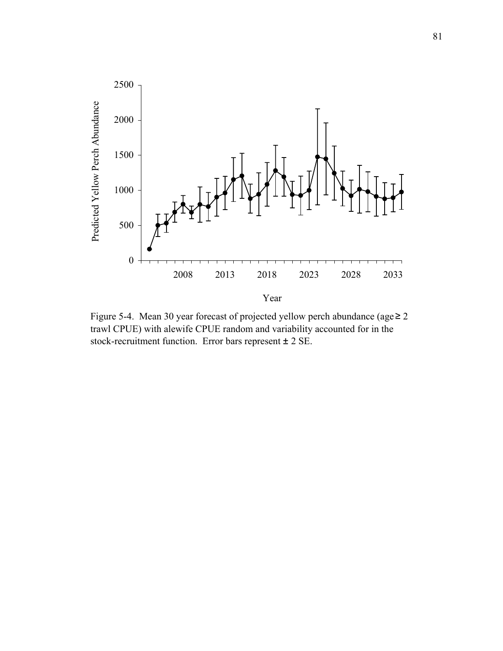

Figure 5-4. Mean 30 year forecast of projected yellow perch abundance (age  $\geq 2$ trawl CPUE) with alewife CPUE random and variability accounted for in the stock-recruitment function. Error bars represent ± 2 SE.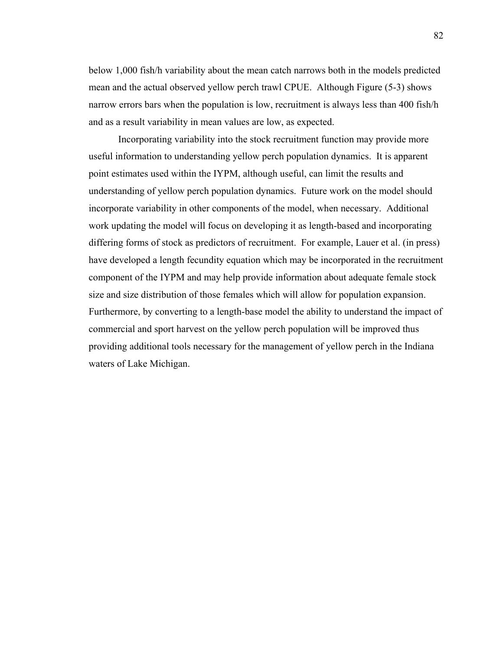below 1,000 fish/h variability about the mean catch narrows both in the models predicted mean and the actual observed yellow perch trawl CPUE. Although Figure (5-3) shows narrow errors bars when the population is low, recruitment is always less than 400 fish/h and as a result variability in mean values are low, as expected.

 Incorporating variability into the stock recruitment function may provide more useful information to understanding yellow perch population dynamics. It is apparent point estimates used within the IYPM, although useful, can limit the results and understanding of yellow perch population dynamics. Future work on the model should incorporate variability in other components of the model, when necessary. Additional work updating the model will focus on developing it as length-based and incorporating differing forms of stock as predictors of recruitment. For example, Lauer et al. (in press) have developed a length fecundity equation which may be incorporated in the recruitment component of the IYPM and may help provide information about adequate female stock size and size distribution of those females which will allow for population expansion. Furthermore, by converting to a length-base model the ability to understand the impact of commercial and sport harvest on the yellow perch population will be improved thus providing additional tools necessary for the management of yellow perch in the Indiana waters of Lake Michigan.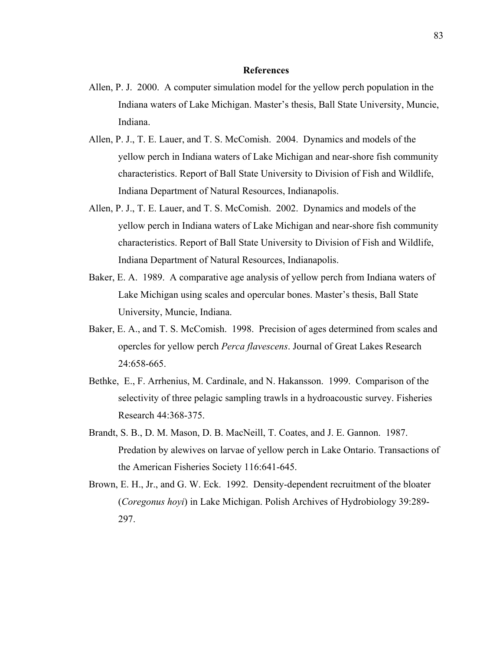#### **References**

- Allen, P. J. 2000. A computer simulation model for the yellow perch population in the Indiana waters of Lake Michigan. Master's thesis, Ball State University, Muncie, Indiana.
- Allen, P. J., T. E. Lauer, and T. S. McComish. 2004. Dynamics and models of the yellow perch in Indiana waters of Lake Michigan and near-shore fish community characteristics. Report of Ball State University to Division of Fish and Wildlife, Indiana Department of Natural Resources, Indianapolis.
- Allen, P. J., T. E. Lauer, and T. S. McComish. 2002. Dynamics and models of the yellow perch in Indiana waters of Lake Michigan and near-shore fish community characteristics. Report of Ball State University to Division of Fish and Wildlife, Indiana Department of Natural Resources, Indianapolis.
- Baker, E. A. 1989. A comparative age analysis of yellow perch from Indiana waters of Lake Michigan using scales and opercular bones. Master's thesis, Ball State University, Muncie, Indiana.
- Baker, E. A., and T. S. McComish. 1998. Precision of ages determined from scales and opercles for yellow perch *Perca flavescens*. Journal of Great Lakes Research 24:658-665.
- Bethke, E., F. Arrhenius, M. Cardinale, and N. Hakansson. 1999. Comparison of the selectivity of three pelagic sampling trawls in a hydroacoustic survey. Fisheries Research 44:368-375.
- Brandt, S. B., D. M. Mason, D. B. MacNeill, T. Coates, and J. E. Gannon. 1987. Predation by alewives on larvae of yellow perch in Lake Ontario. Transactions of the American Fisheries Society 116:641-645.
- Brown, E. H., Jr., and G. W. Eck. 1992. Density-dependent recruitment of the bloater (*Coregonus hoyi*) in Lake Michigan. Polish Archives of Hydrobiology 39:289- 297.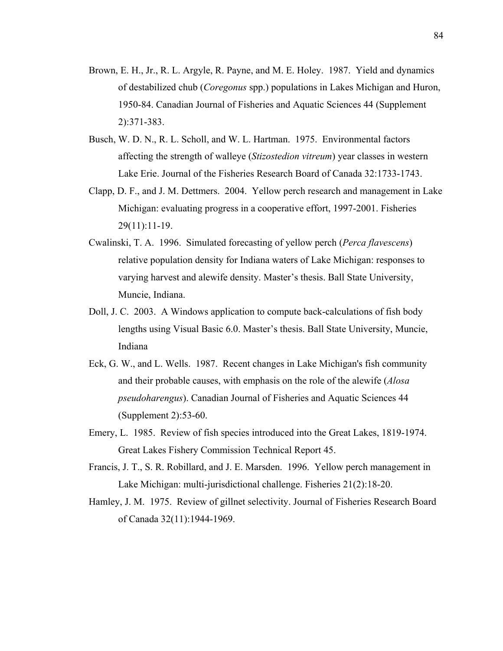- Brown, E. H., Jr., R. L. Argyle, R. Payne, and M. E. Holey. 1987. Yield and dynamics of destabilized chub (*Coregonus* spp.) populations in Lakes Michigan and Huron, 1950-84. Canadian Journal of Fisheries and Aquatic Sciences 44 (Supplement 2):371-383.
- Busch, W. D. N., R. L. Scholl, and W. L. Hartman. 1975. Environmental factors affecting the strength of walleye (*Stizostedion vitreum*) year classes in western Lake Erie. Journal of the Fisheries Research Board of Canada 32:1733-1743.
- Clapp, D. F., and J. M. Dettmers. 2004. Yellow perch research and management in Lake Michigan: evaluating progress in a cooperative effort, 1997-2001. Fisheries 29(11):11-19.
- Cwalinski, T. A. 1996. Simulated forecasting of yellow perch (*Perca flavescens*) relative population density for Indiana waters of Lake Michigan: responses to varying harvest and alewife density. Master's thesis. Ball State University, Muncie, Indiana.
- Doll, J. C. 2003. A Windows application to compute back-calculations of fish body lengths using Visual Basic 6.0. Master's thesis. Ball State University, Muncie, Indiana
- Eck, G. W., and L. Wells. 1987. Recent changes in Lake Michigan's fish community and their probable causes, with emphasis on the role of the alewife (*Alosa pseudoharengus*). Canadian Journal of Fisheries and Aquatic Sciences 44 (Supplement 2):53-60.
- Emery, L. 1985. Review of fish species introduced into the Great Lakes, 1819-1974. Great Lakes Fishery Commission Technical Report 45.
- Francis, J. T., S. R. Robillard, and J. E. Marsden. 1996. Yellow perch management in Lake Michigan: multi-jurisdictional challenge. Fisheries 21(2):18-20.
- Hamley, J. M. 1975. Review of gillnet selectivity. Journal of Fisheries Research Board of Canada 32(11):1944-1969.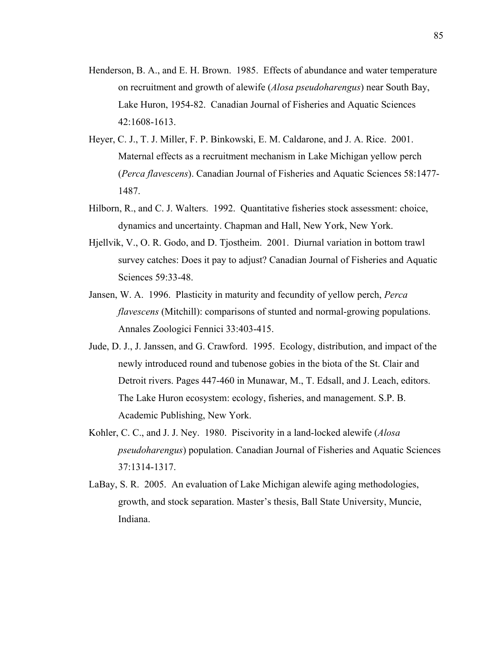- Henderson, B. A., and E. H. Brown. 1985. Effects of abundance and water temperature on recruitment and growth of alewife (*Alosa pseudoharengus*) near South Bay, Lake Huron, 1954-82. Canadian Journal of Fisheries and Aquatic Sciences 42:1608-1613.
- Heyer, C. J., T. J. Miller, F. P. Binkowski, E. M. Caldarone, and J. A. Rice. 2001. Maternal effects as a recruitment mechanism in Lake Michigan yellow perch (*Perca flavescens*). Canadian Journal of Fisheries and Aquatic Sciences 58:1477- 1487.
- Hilborn, R., and C. J. Walters. 1992. Quantitative fisheries stock assessment: choice, dynamics and uncertainty. Chapman and Hall, New York, New York.
- Hjellvik, V., O. R. Godo, and D. Tjostheim. 2001. Diurnal variation in bottom trawl survey catches: Does it pay to adjust? Canadian Journal of Fisheries and Aquatic Sciences 59:33-48.
- Jansen, W. A. 1996. Plasticity in maturity and fecundity of yellow perch, *Perca flavescens* (Mitchill): comparisons of stunted and normal-growing populations. Annales Zoologici Fennici 33:403-415.
- Jude, D. J., J. Janssen, and G. Crawford. 1995. Ecology, distribution, and impact of the newly introduced round and tubenose gobies in the biota of the St. Clair and Detroit rivers. Pages 447-460 in Munawar, M., T. Edsall, and J. Leach, editors. The Lake Huron ecosystem: ecology, fisheries, and management. S.P. B. Academic Publishing, New York.
- Kohler, C. C., and J. J. Ney. 1980. Piscivority in a land-locked alewife (*Alosa pseudoharengus*) population. Canadian Journal of Fisheries and Aquatic Sciences 37:1314-1317.
- LaBay, S. R. 2005. An evaluation of Lake Michigan alewife aging methodologies, growth, and stock separation. Master's thesis, Ball State University, Muncie, Indiana.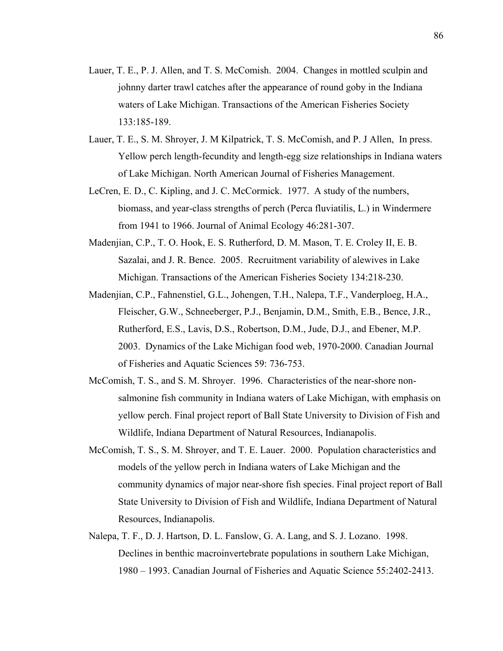- Lauer, T. E., P. J. Allen, and T. S. McComish. 2004. Changes in mottled sculpin and johnny darter trawl catches after the appearance of round goby in the Indiana waters of Lake Michigan. Transactions of the American Fisheries Society 133:185-189.
- Lauer, T. E., S. M. Shroyer, J. M Kilpatrick, T. S. McComish, and P. J Allen, In press. Yellow perch length-fecundity and length-egg size relationships in Indiana waters of Lake Michigan. North American Journal of Fisheries Management.
- LeCren, E. D., C. Kipling, and J. C. McCormick. 1977. A study of the numbers, biomass, and year-class strengths of perch (Perca fluviatilis, L.) in Windermere from 1941 to 1966. Journal of Animal Ecology 46:281-307.
- Madenjian, C.P., T. O. Hook, E. S. Rutherford, D. M. Mason, T. E. Croley II, E. B. Sazalai, and J. R. Bence. 2005. Recruitment variability of alewives in Lake Michigan. Transactions of the American Fisheries Society 134:218-230.
- Madenjian, C.P., Fahnenstiel, G.L., Johengen, T.H., Nalepa, T.F., Vanderploeg, H.A., Fleischer, G.W., Schneeberger, P.J., Benjamin, D.M., Smith, E.B., Bence, J.R., Rutherford, E.S., Lavis, D.S., Robertson, D.M., Jude, D.J., and Ebener, M.P. 2003. Dynamics of the Lake Michigan food web, 1970-2000. Canadian Journal of Fisheries and Aquatic Sciences 59: 736-753.
- McComish, T. S., and S. M. Shroyer. 1996. Characteristics of the near-shore nonsalmonine fish community in Indiana waters of Lake Michigan, with emphasis on yellow perch. Final project report of Ball State University to Division of Fish and Wildlife, Indiana Department of Natural Resources, Indianapolis.
- McComish, T. S., S. M. Shroyer, and T. E. Lauer. 2000. Population characteristics and models of the yellow perch in Indiana waters of Lake Michigan and the community dynamics of major near-shore fish species. Final project report of Ball State University to Division of Fish and Wildlife, Indiana Department of Natural Resources, Indianapolis.
- Nalepa, T. F., D. J. Hartson, D. L. Fanslow, G. A. Lang, and S. J. Lozano. 1998. Declines in benthic macroinvertebrate populations in southern Lake Michigan, 1980 – 1993. Canadian Journal of Fisheries and Aquatic Science 55:2402-2413.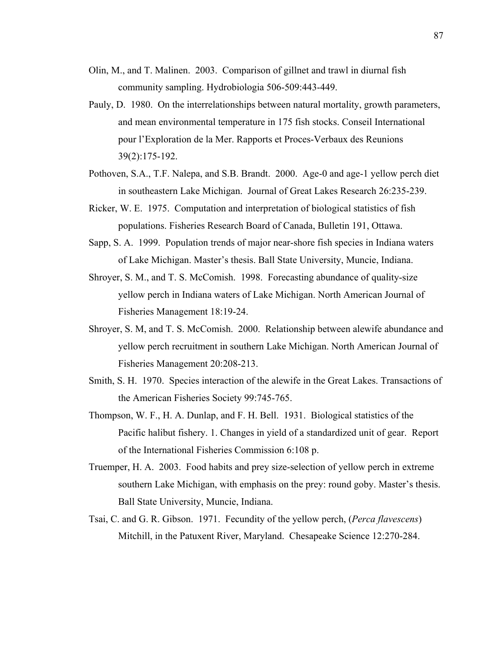- Olin, M., and T. Malinen. 2003. Comparison of gillnet and trawl in diurnal fish community sampling. Hydrobiologia 506-509:443-449.
- Pauly, D. 1980. On the interrelationships between natural mortality, growth parameters, and mean environmental temperature in 175 fish stocks. Conseil International pour l'Exploration de la Mer. Rapports et Proces-Verbaux des Reunions 39(2):175-192.
- Pothoven, S.A., T.F. Nalepa, and S.B. Brandt. 2000. Age-0 and age-1 yellow perch diet in southeastern Lake Michigan. Journal of Great Lakes Research 26:235-239.
- Ricker, W. E. 1975. Computation and interpretation of biological statistics of fish populations. Fisheries Research Board of Canada, Bulletin 191, Ottawa.
- Sapp, S. A. 1999. Population trends of major near-shore fish species in Indiana waters of Lake Michigan. Master's thesis. Ball State University, Muncie, Indiana.
- Shroyer, S. M., and T. S. McComish. 1998. Forecasting abundance of quality-size yellow perch in Indiana waters of Lake Michigan. North American Journal of Fisheries Management 18:19-24.
- Shroyer, S. M, and T. S. McComish. 2000. Relationship between alewife abundance and yellow perch recruitment in southern Lake Michigan. North American Journal of Fisheries Management 20:208-213.
- Smith, S. H. 1970. Species interaction of the alewife in the Great Lakes. Transactions of the American Fisheries Society 99:745-765.
- Thompson, W. F., H. A. Dunlap, and F. H. Bell. 1931. Biological statistics of the Pacific halibut fishery. 1. Changes in yield of a standardized unit of gear. Report of the International Fisheries Commission 6:108 p.
- Truemper, H. A. 2003. Food habits and prey size-selection of yellow perch in extreme southern Lake Michigan, with emphasis on the prey: round goby. Master's thesis. Ball State University, Muncie, Indiana.
- Tsai, C. and G. R. Gibson. 1971. Fecundity of the yellow perch, (*Perca flavescens*) Mitchill, in the Patuxent River, Maryland. Chesapeake Science 12:270-284.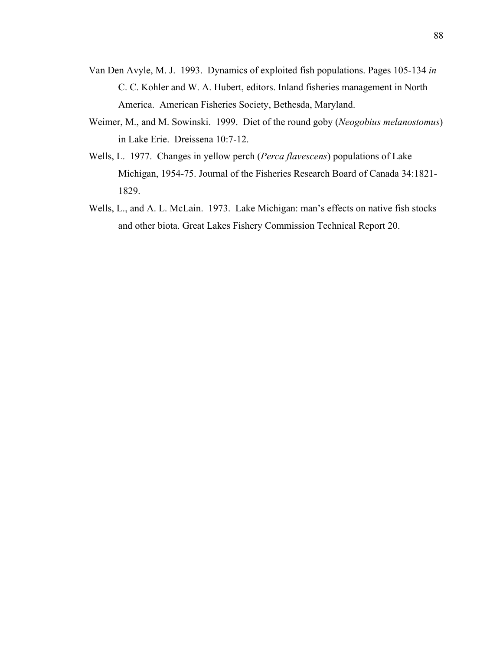- Van Den Avyle, M. J. 1993. Dynamics of exploited fish populations. Pages 105-134 *in* C. C. Kohler and W. A. Hubert, editors. Inland fisheries management in North America. American Fisheries Society, Bethesda, Maryland.
- Weimer, M., and M. Sowinski. 1999. Diet of the round goby (*Neogobius melanostomus*) in Lake Erie. Dreissena 10:7-12.
- Wells, L. 1977. Changes in yellow perch (*Perca flavescens*) populations of Lake Michigan, 1954-75. Journal of the Fisheries Research Board of Canada 34:1821- 1829.
- Wells, L., and A. L. McLain. 1973. Lake Michigan: man's effects on native fish stocks and other biota. Great Lakes Fishery Commission Technical Report 20.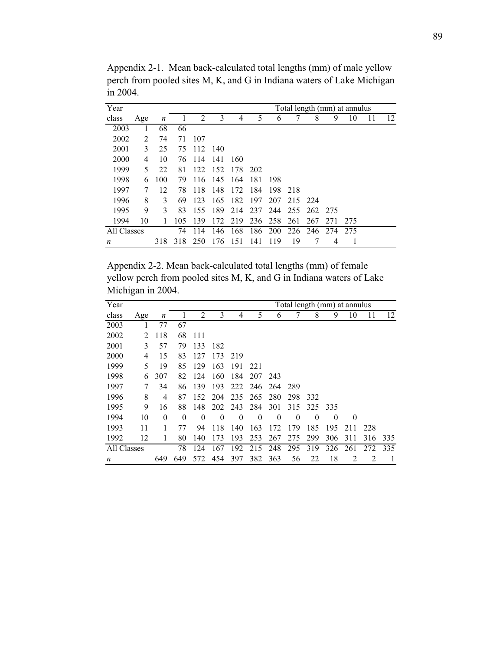| Year        |     |     |     |     |     |     |      |         |      |     |      | Total length (mm) at annulus |    |    |
|-------------|-----|-----|-----|-----|-----|-----|------|---------|------|-----|------|------------------------------|----|----|
| class       | Age | n   |     | 2   | 3   | 4   | 5    | 6       |      | 8   | 9    | 10                           | 11 | 12 |
| 2003        |     | 68  | 66  |     |     |     |      |         |      |     |      |                              |    |    |
| 2002        | 2   | 74  | 71  | 107 |     |     |      |         |      |     |      |                              |    |    |
| 2001        | 3   | 25  | 75  | 112 | 140 |     |      |         |      |     |      |                              |    |    |
| 2000        | 4   | 10  | 76  | 114 | 141 | 160 |      |         |      |     |      |                              |    |    |
| 1999        | 5   | 22  | 81  | 122 | 152 | 178 | 202  |         |      |     |      |                              |    |    |
| 1998        | 6   | 100 | 79  | 116 | 145 | 164 | -181 | 198     |      |     |      |                              |    |    |
| 1997        | 7   | 12  | 78  | 118 | 148 | 172 | 184  | 198     | -218 |     |      |                              |    |    |
| 1996        | 8   | 3   | 69  | 123 | 165 | 182 | 197  | 207     | 215  | 224 |      |                              |    |    |
| 1995        | 9   | 3   | 83  | 155 | 189 | 214 | 237  | 244     | 255  | 262 | -275 |                              |    |    |
| 1994        | 10  | 1   | 105 | 139 | 172 | 219 |      | 236 258 | 261  | 267 | 271  | 275                          |    |    |
| All Classes |     |     | 74  | 114 | 146 | 168 | 186  | 200     | 226  | 246 | 274  | 275                          |    |    |
| n           |     | 318 | 318 | 250 | 176 | 151 | 141  | 119     | 19   |     | 4    |                              |    |    |

Appendix 2-1. Mean back-calculated total lengths (mm) of male yellow perch from pooled sites M, K, and G in Indiana waters of Lake Michigan in 2004.

Appendix 2-2. Mean back-calculated total lengths (mm) of female yellow perch from pooled sites M, K, and G in Indiana waters of Lake Michigan in 2004.

| Year        |     |          |          |                |          |          |          |          |          |          |          | Total length (mm) at annulus |     |     |
|-------------|-----|----------|----------|----------------|----------|----------|----------|----------|----------|----------|----------|------------------------------|-----|-----|
| class       | Age | n        |          | $\overline{2}$ | 3        | 4        | 5        | 6        |          | 8        | 9        | 10                           | 11  | 12  |
| 2003        | 1   | 77       | 67       |                |          |          |          |          |          |          |          |                              |     |     |
| 2002        | 2   | 118      | 68       | 111            |          |          |          |          |          |          |          |                              |     |     |
| 2001        | 3   | 57       | 79       | 133            | 182      |          |          |          |          |          |          |                              |     |     |
| 2000        | 4   | 15       | 83       | 127            | 173      | 219      |          |          |          |          |          |                              |     |     |
| 1999        | 5   | 19       | 85       | 129            | 163      | 191      | 221      |          |          |          |          |                              |     |     |
| 1998        | 6   | 307      | 82       | 124            | 160      | 184      | 207      | 243      |          |          |          |                              |     |     |
| 1997        | 7   | 34       | 86       | 139            | 193      | 222      | 246      | 264      | 289      |          |          |                              |     |     |
| 1996        | 8   | 4        | 87       | 152            | 204      | 235      | 265      | 280      | 298      | 332      |          |                              |     |     |
| 1995        | 9   | 16       | 88       | 148            | 202      | 243      | 284      | 301      | 315      | 325      | 335      |                              |     |     |
| 1994        | 10  | $\theta$ | $\theta$ | $\theta$       | $\theta$ | $\theta$ | $\theta$ | $\theta$ | $\theta$ | $\theta$ | $\theta$ | $\theta$                     |     |     |
| 1993        | 11  |          | 77       | 94             | 118      | 140      | 163      | 172      | 179      | 185      | 195      | 211                          | 228 |     |
| 1992        | 12  | 1        | 80       | 140            | 173      | 193      | 253      | 267      | 275      | 299      | 306      | 311                          | 316 | 335 |
| All Classes |     |          | 78       | 124            | 167      | 192      | 215      | 248      | 295      | 319      | 326      | 261                          | 272 | 335 |
| n           |     | 649      | 649      | 572            | 454      | 397      | 382      | 363      | 56       | 22       | 18       | 2                            | 2   |     |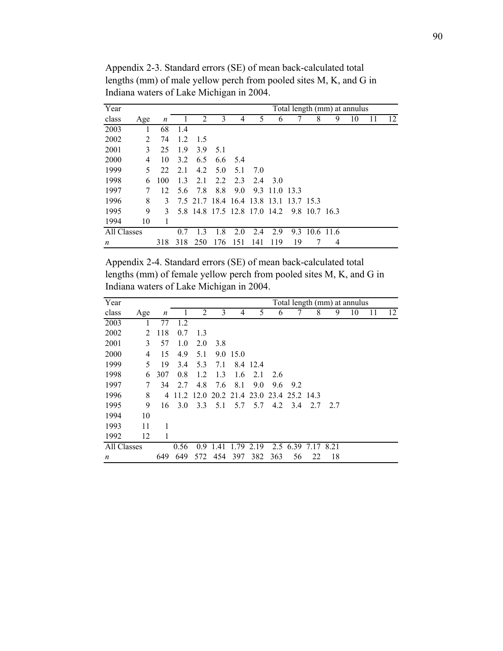| Year        |     |     |     |     |                                        |     |     |      |     |               |   | Total length (mm) at annulus |    |    |
|-------------|-----|-----|-----|-----|----------------------------------------|-----|-----|------|-----|---------------|---|------------------------------|----|----|
| class       | Age | n   |     | 2   | 3                                      | 4   | 5   | 6    |     | 8             | 9 | 10                           | 11 | 12 |
| 2003        |     | 68  | 1.4 |     |                                        |     |     |      |     |               |   |                              |    |    |
| 2002        | 2   | 74  | 1.2 | 1.5 |                                        |     |     |      |     |               |   |                              |    |    |
| 2001        | 3   | 25  | 1.9 | 3.9 | 5.1                                    |     |     |      |     |               |   |                              |    |    |
| 2000        | 4   | 10  | 3.2 | 6.5 | 6.6                                    | 5.4 |     |      |     |               |   |                              |    |    |
| 1999        | 5.  | 22  | 2.1 | 4.2 | 5.0                                    | 5.1 | 7.0 |      |     |               |   |                              |    |    |
| 1998        | 6   | 100 | 1.3 | 2.1 | 2.2                                    | 2.3 | 2.4 | -3.0 |     |               |   |                              |    |    |
| 1997        | 7   | 12  | 5.6 | 7.8 | 8.8                                    | 9.0 | 9.3 | 11.0 | 133 |               |   |                              |    |    |
| 1996        | 8   | 3   |     |     | 7.5 21.7 18.4 16.4 13.8 13.1 13.7 15.3 |     |     |      |     |               |   |                              |    |    |
| 1995        | 9   | 3   |     |     | 5.8 14.8 17.5 12.8 17.0 14.2           |     |     |      |     | 9.8 10.7 16.3 |   |                              |    |    |
| 1994        | 10  | 1   |     |     |                                        |     |     |      |     |               |   |                              |    |    |
| All Classes |     |     | 0.7 | 1.3 | 1.8                                    | 2.0 | 2.4 | 2.9  | 9.3 | 10.6 11.6     |   |                              |    |    |
| n           |     | 318 | 318 | 250 | 176                                    | 151 | 141 | 119  | 19  |               | 4 |                              |    |    |

Appendix 2-3. Standard errors (SE) of mean back-calculated total lengths (mm) of male yellow perch from pooled sites M, K, and G in Indiana waters of Lake Michigan in 2004.

Appendix 2-4. Standard errors (SE) of mean back-calculated total lengths (mm) of female yellow perch from pooled sites M, K, and G in Indiana waters of Lake Michigan in 2004.

| Year        |     |     |      |     |                                         |          |      |     |          |      |      | Total length (mm) at annulus |    |    |
|-------------|-----|-----|------|-----|-----------------------------------------|----------|------|-----|----------|------|------|------------------------------|----|----|
| class       | Age | n   |      | 2   | 3                                       | 4        | 5    | 6   |          | 8    | 9    | 10                           | 11 | 12 |
| 2003        | 1   | 77  | 1.2  |     |                                         |          |      |     |          |      |      |                              |    |    |
| 2002        | 2   | 118 | 0.7  | 1.3 |                                         |          |      |     |          |      |      |                              |    |    |
| 2001        | 3   | 57  | 1.0  | 2.0 | 3.8                                     |          |      |     |          |      |      |                              |    |    |
| 2000        | 4   | 15  | 4.9  | 5.1 |                                         | 9.0 15.0 |      |     |          |      |      |                              |    |    |
| 1999        | 5   | 19  | 3.4  | 5.3 | 7.1                                     | 8.4      | 12.4 |     |          |      |      |                              |    |    |
| 1998        | 6   | 307 | 0.8  | 1.2 | 1.3                                     | 1.6      | 2.1  | 2.6 |          |      |      |                              |    |    |
| 1997        | 7   | 34  | 2.7  | 4.8 | 7.6                                     | 8.1      | 9.0  | 9.6 | 9.2      |      |      |                              |    |    |
| 1996        | 8   | 4   |      |     | 11.2 12.0 20.2 21.4 23.0 23.4 25.2 14.3 |          |      |     |          |      |      |                              |    |    |
| 1995        | 9   | 16  | 3.0  | 3.3 | 5.1                                     | 5.7      | 5.7  | 4.2 | 3.4      | 2.7  | 2.7  |                              |    |    |
| 1994        | 10  |     |      |     |                                         |          |      |     |          |      |      |                              |    |    |
| 1993        | 11  | 1   |      |     |                                         |          |      |     |          |      |      |                              |    |    |
| 1992        | 12  | 1   |      |     |                                         |          |      |     |          |      |      |                              |    |    |
| All Classes |     |     | 0.56 | 0.9 | 1.41                                    | 1.79     | 2.19 |     | 2.5 6.39 | 7.17 | 8.21 |                              |    |    |
| n           |     | 649 | 649  | 572 | 454                                     | 397      | 382  | 363 | 56       | 22   | 18   |                              |    |    |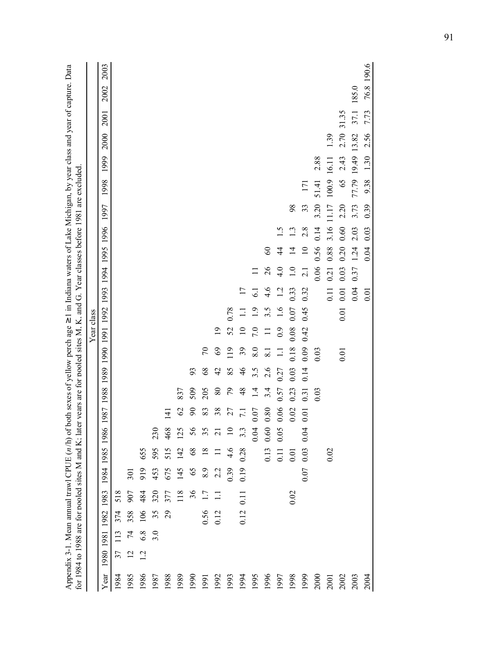|                                                                                  |            | 2003<br>2002<br>2001<br>2000 |      |                 |         |                 |      |               |            |            |                 |               |                     |                         |                |                                             |                |                  |       | 1.39  | 31.35<br>2.70 | 185.0<br>37.1<br>13.82 | 76.8 190.6<br>7.73<br>2.56 |
|----------------------------------------------------------------------------------|------------|------------------------------|------|-----------------|---------|-----------------|------|---------------|------------|------------|-----------------|---------------|---------------------|-------------------------|----------------|---------------------------------------------|----------------|------------------|-------|-------|---------------|------------------------|----------------------------|
|                                                                                  |            | 1999                         |      |                 |         |                 |      |               |            |            |                 |               |                     |                         |                |                                             |                |                  | 2.88  | 16.11 | 2.43          | 77.79 19.49            | 1.30                       |
| er vears are for pooled sites M. K. and G. Year classes before 1981 are excluded |            | 1998                         |      |                 |         |                 |      |               |            |            |                 |               |                     |                         |                |                                             |                | 171              | 51.41 | 100.9 | 65            |                        | 9.38                       |
|                                                                                  |            | 1997                         |      |                 |         |                 |      |               |            |            |                 |               |                     |                         |                |                                             | 98             | 33               | 3.20  | 11.17 | 2.20          | 3.73                   | 0.39                       |
|                                                                                  |            | 1996                         |      |                 |         |                 |      |               |            |            |                 |               |                     |                         |                | $\ddot{1.5}$                                | 1.3            | 2.8              | 0.14  | 3.16  | 0.60          | 2.03                   | 0.03                       |
|                                                                                  |            | 1994 1995                    |      |                 |         |                 |      |               |            |            |                 |               |                     |                         | $\infty$       | $\frac{4}{3}$                               | $\overline{4}$ | $\overline{10}$  | 0.56  | 0.88  | 0.20          | 1.24                   | 0.04                       |
|                                                                                  |            |                              |      |                 |         |                 |      |               |            |            |                 |               |                     |                         | $\frac{26}{5}$ | 4.0                                         | 1.0            | $\overline{2.1}$ | 0.06  | 0.21  | 0.03          | 0.37                   |                            |
|                                                                                  |            | 1991 1992 1993               |      |                 |         |                 |      |               |            |            |                 |               | 17<br>Ξ             | 6.1<br>$\overline{1.9}$ | 4.6<br>3.5     | 1.2<br>1.6                                  | 0.33           | 0.32             |       | 0.11  | 0.01          | 0.04                   | 0.01                       |
|                                                                                  | Year class |                              |      |                 |         |                 |      |               |            |            | $\overline{19}$ | 0.78<br>52    | $\overline{10}$     | 7.0                     | $\equiv$       | $_{0.9}$                                    | 0.07<br>0.08   | 0.45<br>0.42     |       |       | 0.01          |                        |                            |
|                                                                                  |            | 1990                         |      |                 |         |                 |      |               |            | $\sqrt{2}$ | $69$            | 119           | $\mathfrak{z}_9$    | 8.0                     | 8.1            | $\Box$                                      | 0.18           | 0.09             | 0.03  |       | 0.01          |                        |                            |
|                                                                                  |            | 1989                         |      |                 |         |                 |      |               | 93         | $68\,$     | $\overline{4}$  | 85            | $\frac{4}{6}$       | $3.\overline{5}$        | 2.6            | 0.27                                        | 0.03           | 0.14             |       |       |               |                        |                            |
|                                                                                  |            |                              |      |                 |         |                 |      | 837           | 509        | 205        | $\rm 80$        | $\mathcal{L}$ | $48$                | $\overline{14}$         | 3.4            | 0.57                                        | 0.23           | 0.31             | 0.03  |       |               |                        |                            |
|                                                                                  |            | 1987 1988                    |      |                 |         |                 | 141  | $\mathcal{O}$ | $90\,$     | 83         | $38$            | 27            | 7.1<br>0.07<br>0.80 |                         |                | 0.06                                        | 0.02           | 0.01             |       |       |               |                        |                            |
|                                                                                  |            | $\sqrt{2}$<br>1986           |      |                 |         | 23 <sub>0</sub> | 468  | 125           | 56         | 55         | $\overline{c}$  | $\Xi$         | $3.\overline{3}$    | 0.04                    | 0.60           | 0.05                                        |                | 0.04             |       |       |               |                        |                            |
|                                                                                  |            | 1985                         |      |                 | 655     | 595             | 515  | 142           | $\sqrt{8}$ | $18\,$     |                 | 4.6           | 0.28                |                         |                | $\begin{array}{c} 0.13 \\ 0.11 \end{array}$ | 0.01           | 0.03             |       | 0.02  |               |                        |                            |
|                                                                                  |            | 1984                         |      | $\overline{50}$ | 919     | 453             | 675  | 145           | 65         | 8.9        | 2.2             | 0.39          | 0.19                |                         |                |                                             |                | 0.07             |       |       |               |                        |                            |
|                                                                                  |            | 1983                         | 518  | 907             | 484     | 320             | 377  | 118           | 36         | 1.7        | $\Box$          |               | 0.11                |                         |                |                                             | 0.02           |                  |       |       |               |                        |                            |
|                                                                                  |            |                              | 374  | 358             | 106     | 35              | 29   |               |            |            | 0.56<br>0.12    |               | 0.12                |                         |                |                                             |                |                  |       |       |               |                        |                            |
|                                                                                  |            |                              | 113  | 74              | $6.8\,$ | 3.0             |      |               |            |            |                 |               |                     |                         |                |                                             |                |                  |       |       |               |                        |                            |
| for 1984 to 1988 are for pooled sites M and K; lat                               |            | 1980 1981 1982               | 37   | $\overline{2}$  | 12      |                 |      |               |            |            |                 |               |                     |                         |                |                                             |                |                  |       |       |               |                        |                            |
|                                                                                  |            | Year                         | 1984 | 1985            | 1986    | 1987            | 1988 | 1989          | 1990       | 1991       | 1992            | 1993          | 1994                | 1995                    | 1996           | 1997                                        | 1998           | 1999             | 2000  | 2001  | 2002          | 2003                   | 2004                       |

Appendix 3-1. Mean annual trawl CPUE (n/h) of both sexes of yellow perch age  $\geq 1$  in Indiana waters of Lake Michigan, by year class and year of capture. Data Appendix 3-1. Mean annual trawl CPUE (*n* /h) of both sexes of yellow perch age ≥ 1 in Indiana waters of Lake Michigan, by year class and year of capture. Data pooled sites M, K, and G. Year classes before 1981 are excluded.years are for pooled sites M and K; later for 1984 to 1988 are for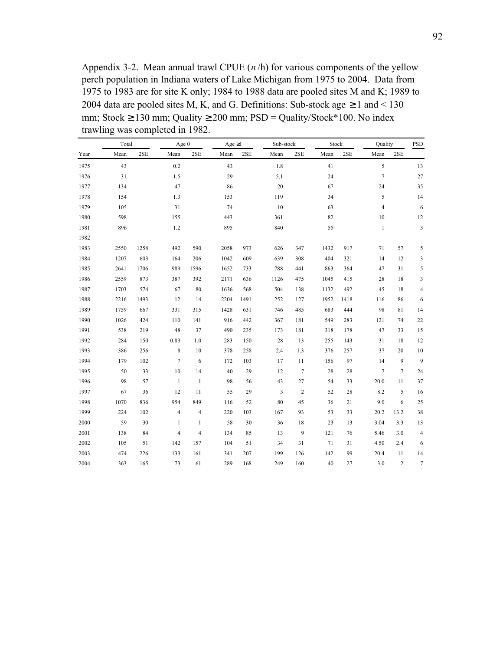Appendix 3-2. Mean annual trawl CPUE (*n* /h) for various components of the yellow perch population in Indiana waters of Lake Michigan from 1975 to 2004. Data from 1975 to 1983 are for site K only; 1984 to 1988 data are pooled sites M and K; 1989 to 2004 data are pooled sites M, K, and G. Definitions: Sub-stock age  $\geq 1$  and  $\leq 130$ mm; Stock  $\geq$  130 mm; Quality  $\geq$  200 mm; PSD = Quality/Stock\*100. No index trawling was completed in 1982.

|      | Total |      | Age 0          |                | Age $\geq$ 1 |      | Sub-stock |                | Stock |      | Quality        |                | <b>PSD</b>               |
|------|-------|------|----------------|----------------|--------------|------|-----------|----------------|-------|------|----------------|----------------|--------------------------|
| Year | Mean  | 2SE  | Mean           | 2SE            | Mean         | 2SE  | Mean      | 2SE            | Mean  | 2SE  | Mean           | 2SE            |                          |
| 1975 | 43    |      | 0.2            |                | 43           |      | 1.8       |                | 41    |      | 5              |                | 13                       |
| 1976 | 31    |      | 1.5            |                | 29           |      | 5.1       |                | 24    |      | $\tau$         |                | 27                       |
| 1977 | 134   |      | 47             |                | 86           |      | 20        |                | 67    |      | 24             |                | 35                       |
| 1978 | 154   |      | 1.3            |                | 153          |      | 119       |                | 34    |      | 5              |                | 14                       |
| 1979 | 105   |      | 31             |                | 74           |      | 10        |                | 63    |      | $\overline{4}$ |                | 6                        |
| 1980 | 598   |      | 155            |                | 443          |      | 361       |                | 82    |      | $10\,$         |                | 12                       |
| 1981 | 896   |      | 1.2            |                | 895          |      | 840       |                | 55    |      | $\mathbf{1}$   |                | 3                        |
| 1982 |       |      |                |                |              |      |           |                |       |      |                |                |                          |
| 1983 | 2550  | 1258 | 492            | 590            | 2058         | 973  | 626       | 347            | 1432  | 917  | 71             | 57             | 5                        |
| 1984 | 1207  | 603  | 164            | 206            | 1042         | 609  | 639       | 308            | 404   | 321  | 14             | 12             | 3                        |
| 1985 | 2641  | 1706 | 989            | 1596           | 1652         | 733  | 788       | 441            | 863   | 364  | 47             | 31             | 5                        |
| 1986 | 2559  | 873  | 387            | 392            | 2171         | 636  | 1126      | 475            | 1045  | 415  | 28             | 18             | 3                        |
| 1987 | 1703  | 574  | 67             | 80             | 1636         | 568  | 504       | 138            | 1132  | 492  | 45             | 18             | $\overline{\mathcal{L}}$ |
| 1988 | 2216  | 1493 | 12             | 14             | 2204         | 1491 | 252       | 127            | 1952  | 1418 | 116            | 86             | 6                        |
| 1989 | 1759  | 667  | 331            | 315            | 1428         | 631  | 746       | 485            | 683   | 444  | 98             | 81             | 14                       |
| 1990 | 1026  | 424  | 110            | 141            | 916          | 442  | 367       | 181            | 549   | 283  | 121            | 74             | $22\,$                   |
| 1991 | 538   | 219  | 48             | 37             | 490          | 235  | 173       | 181            | 318   | 178  | 47             | 33             | 15                       |
| 1992 | 284   | 150  | 0.83           | 1.0            | 283          | 150  | 28        | 13             | 255   | 143  | 31             | 18             | 12                       |
| 1993 | 386   | 256  | 8              | 10             | 378          | 258  | 2.4       | 1.3            | 376   | 257  | 37             | 20             | 10                       |
| 1994 | 179   | 102  | $\tau$         | 6              | 172          | 103  | 17        | 11             | 156   | 97   | 14             | 9              | 9                        |
| 1995 | 50    | 33   | $10\,$         | 14             | 40           | 29   | 12        | $\tau$         | 28    | 28   | 7              | $\overline{7}$ | 24                       |
| 1996 | 98    | 57   | $\mathbf{1}$   | $\mathbf{1}$   | 98           | 56   | 43        | 27             | 54    | 33   | 20.0           | 11             | 37                       |
| 1997 | 67    | 36   | 12             | 11             | 55           | 29   | 3         | $\overline{c}$ | 52    | 28   | 8.2            | 5              | 16                       |
| 1998 | 1070  | 836  | 954            | 849            | 116          | 52   | 80        | 45             | 36    | 21   | 9.0            | 6              | 25                       |
| 1999 | 224   | 102  | $\overline{4}$ | $\overline{4}$ | 220          | 103  | 167       | 93             | 53    | 33   | 20.2           | 13.2           | 38                       |
| 2000 | 59    | 30   | 1              | 1              | 58           | 30   | 36        | 18             | 23    | 13   | 3.04           | 3.3            | 13                       |
| 2001 | 138   | 84   | $\overline{4}$ | 4              | 134          | 85   | 13        | 9              | 121   | 76   | 5.46           | 3.0            | $\overline{4}$           |
| 2002 | 105   | 51   | 142            | 157            | 104          | 51   | 34        | 31             | 71    | 31   | 4.50           | 2.4            | 6                        |
| 2003 | 474   | 226  | 133            | 161            | 341          | 207  | 199       | 126            | 142   | 99   | 20.4           | 11             | 14                       |
| 2004 | 363   | 165  | 73             | 61             | 289          | 168  | 249       | 160            | 40    | 27   | 3.0            | $\overline{2}$ | $\tau$                   |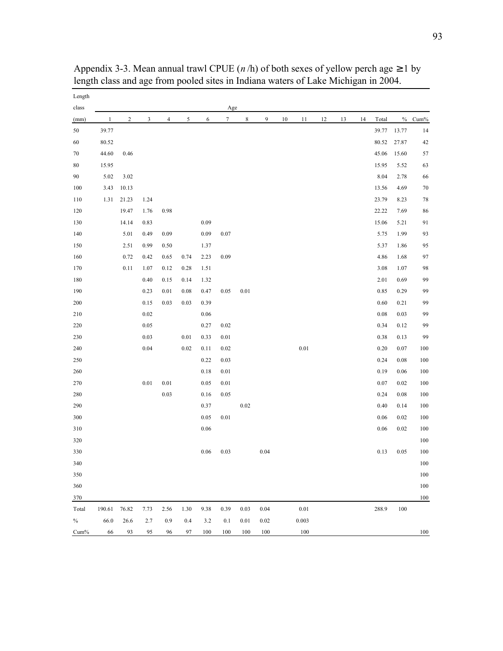| Length<br>class |              |                |      |                |      |          | Age              |          |      |    |          |    |    |    |       |       |         |
|-----------------|--------------|----------------|------|----------------|------|----------|------------------|----------|------|----|----------|----|----|----|-------|-------|---------|
| (mm)            | $\mathbf{1}$ | $\overline{c}$ | 3    | $\overline{4}$ | 5    | 6        | $\boldsymbol{7}$ | 8        | 9    | 10 | 11       | 12 | 13 | 14 | Total | $\%$  | $Cum\%$ |
| 50              | 39.77        |                |      |                |      |          |                  |          |      |    |          |    |    |    | 39.77 | 13.77 | 14      |
| $60\,$          | 80.52        |                |      |                |      |          |                  |          |      |    |          |    |    |    | 80.52 | 27.87 | 42      |
| 70              | 44.60        | 0.46           |      |                |      |          |                  |          |      |    |          |    |    |    | 45.06 | 15.60 | 57      |
| 80              | 15.95        |                |      |                |      |          |                  |          |      |    |          |    |    |    | 15.95 | 5.52  | 63      |
| 90              | 5.02         | 3.02           |      |                |      |          |                  |          |      |    |          |    |    |    | 8.04  | 2.78  | 66      |
| 100             | 3.43         | 10.13          |      |                |      |          |                  |          |      |    |          |    |    |    | 13.56 | 4.69  | $70\,$  |
| 110             | 1.31         | 21.23          | 1.24 |                |      |          |                  |          |      |    |          |    |    |    | 23.79 | 8.23  | $78\,$  |
| 120             |              | 19.47          | 1.76 | 0.98           |      |          |                  |          |      |    |          |    |    |    | 22.22 | 7.69  | 86      |
| 130             |              | 14.14          | 0.83 |                |      | 0.09     |                  |          |      |    |          |    |    |    | 15.06 | 5.21  | $91\,$  |
| 140             |              | 5.01           | 0.49 | 0.09           |      | 0.09     | 0.07             |          |      |    |          |    |    |    | 5.75  | 1.99  | 93      |
| 150             |              | 2.51           | 0.99 | 0.50           |      | 1.37     |                  |          |      |    |          |    |    |    | 5.37  | 1.86  | 95      |
| 160             |              | 0.72           | 0.42 | 0.65           | 0.74 | 2.23     | 0.09             |          |      |    |          |    |    |    | 4.86  | 1.68  | 97      |
| 170             |              | 0.11           | 1.07 | 0.12           | 0.28 | 1.51     |                  |          |      |    |          |    |    |    | 3.08  | 1.07  | 98      |
| 180             |              |                | 0.40 | 0.15           | 0.14 | 1.32     |                  |          |      |    |          |    |    |    | 2.01  | 0.69  | 99      |
| 190             |              |                | 0.23 | 0.01           | 0.08 | 0.47     | 0.05             | $0.01\,$ |      |    |          |    |    |    | 0.85  | 0.29  | 99      |
| 200             |              |                | 0.15 | 0.03           | 0.03 | 0.39     |                  |          |      |    |          |    |    |    | 0.60  | 0.21  | 99      |
| 210             |              |                | 0.02 |                |      | $0.06\,$ |                  |          |      |    |          |    |    |    | 0.08  | 0.03  | 99      |
| 220             |              |                | 0.05 |                |      | 0.27     | 0.02             |          |      |    |          |    |    |    | 0.34  | 0.12  | 99      |
| 230             |              |                | 0.03 |                | 0.01 | 0.33     | 0.01             |          |      |    |          |    |    |    | 0.38  | 0.13  | 99      |
| 240             |              |                | 0.04 |                | 0.02 | 0.11     | 0.02             |          |      |    | $0.01\,$ |    |    |    | 0.20  | 0.07  | 100     |
| $250\,$         |              |                |      |                |      | 0.22     | 0.03             |          |      |    |          |    |    |    | 0.24  | 0.08  | 100     |
| 260             |              |                |      |                |      | 0.18     | 0.01             |          |      |    |          |    |    |    | 0.19  | 0.06  | 100     |
| 270             |              |                | 0.01 | 0.01           |      | 0.05     | 0.01             |          |      |    |          |    |    |    | 0.07  | 0.02  | 100     |
| 280             |              |                |      | $0.03\,$       |      | 0.16     | 0.05             |          |      |    |          |    |    |    | 0.24  | 0.08  | 100     |
| 290             |              |                |      |                |      | 0.37     |                  | 0.02     |      |    |          |    |    |    | 0.40  | 0.14  | 100     |
| 300             |              |                |      |                |      | 0.05     | 0.01             |          |      |    |          |    |    |    | 0.06  | 0.02  | 100     |
| 310             |              |                |      |                |      | $0.06\,$ |                  |          |      |    |          |    |    |    | 0.06  | 0.02  | 100     |
| 320             |              |                |      |                |      |          |                  |          |      |    |          |    |    |    |       |       | 100     |
| 330             |              |                |      |                |      | 0.06     | 0.03             |          | 0.04 |    |          |    |    |    | 0.13  | 0.05  | 100     |
| 340             |              |                |      |                |      |          |                  |          |      |    |          |    |    |    |       |       | $100\,$ |
| 350             |              |                |      |                |      |          |                  |          |      |    |          |    |    |    |       |       | 100     |
| 360             |              |                |      |                |      |          |                  |          |      |    |          |    |    |    |       |       | 100     |
| 370             |              |                |      |                |      |          |                  |          |      |    |          |    |    |    |       |       | 100     |
| Total           | 190.61       | 76.82          | 7.73 | 2.56           | 1.30 | 9.38     | 0.39             | 0.03     | 0.04 |    | 0.01     |    |    |    | 288.9 | 100   |         |
| $\%$            | 66.0         | 26.6           | 2.7  | 0.9            | 0.4  | 3.2      | 0.1              | $0.01\,$ | 0.02 |    | 0.003    |    |    |    |       |       |         |
| $Cum\%$         | 66           | 93             | 95   | 96             | 97   | 100      | 100              | 100      | 100  |    | 100      |    |    |    |       |       | 100     |

Appendix 3-3. Mean annual trawl CPUE ( $n/h$ ) of both sexes of yellow perch age  $\geq 1$  by length class and age from pooled sites in Indiana waters of Lake Michigan in 2004.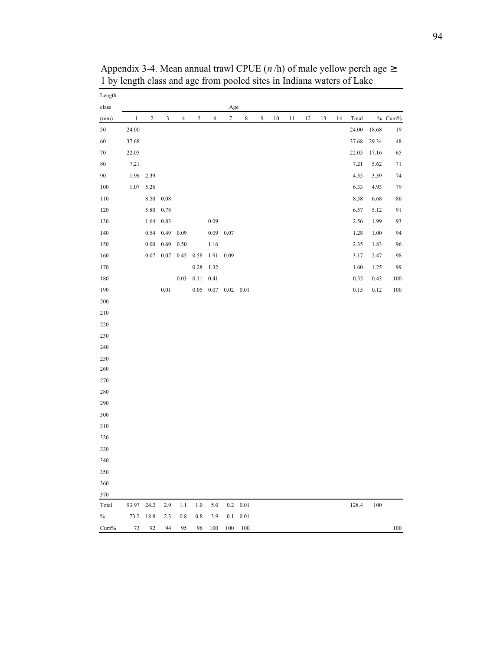| Length  |              |            |          |                |          |            |                  |                  |   |    |    |    |    |    |          |          |          |
|---------|--------------|------------|----------|----------------|----------|------------|------------------|------------------|---|----|----|----|----|----|----------|----------|----------|
| class   |              |            |          |                |          |            | Age              |                  |   |    |    |    |    |    |          |          |          |
| (mm)    | $\mathbf{1}$ | $\sqrt{2}$ | 3        | $\overline{4}$ | 5        | $\sqrt{6}$ | $\boldsymbol{7}$ | $\,$ 8 $\,$      | 9 | 10 | 11 | 12 | 13 | 14 | Total    |          | $%$ Cum% |
| 50      | 24.00        |            |          |                |          |            |                  |                  |   |    |    |    |    |    | 24.00    | 18.68    | 19       |
| 60      | 37.68        |            |          |                |          |            |                  |                  |   |    |    |    |    |    | 37.68    | 29.34    | 48       |
| $70\,$  | 22.05        |            |          |                |          |            |                  |                  |   |    |    |    |    |    | 22.05    | 17.16    | 65       |
| 80      | 7.21         |            |          |                |          |            |                  |                  |   |    |    |    |    |    | 7.21     | 5.62     | 71       |
| 90      | 1.96         | 2.39       |          |                |          |            |                  |                  |   |    |    |    |    |    | 4.35     | 3.39     | 74       |
| 100     | 1.07         | 5.26       |          |                |          |            |                  |                  |   |    |    |    |    |    | 6.33     | 4.93     | 79       |
| 110     |              | 8.50       | $0.08\,$ |                |          |            |                  |                  |   |    |    |    |    |    | $8.58\,$ | 6.68     | 86       |
| 120     |              | 5.80       | 0.78     |                |          |            |                  |                  |   |    |    |    |    |    | 6.57     | 5.12     | 91       |
| 130     |              | 1.64       | 0.83     |                |          | 0.09       |                  |                  |   |    |    |    |    |    | 2.56     | 1.99     | 93       |
| 140     |              | 0.54       | 0.49     | 0.09           |          | 0.09       | 0.07             |                  |   |    |    |    |    |    | 1.28     | $1.00\,$ | 94       |
| 150     |              | $0.00\,$   | 0.69     | 0.50           |          | 1.16       |                  |                  |   |    |    |    |    |    | 2.35     | 1.83     | 96       |
| 160     |              | 0.07       | $0.07\,$ | 0.45           | 0.58     | 1.91       | 0.09             |                  |   |    |    |    |    |    | 3.17     | 2.47     | 98       |
| 170     |              |            |          |                | 0.28     | 1.32       |                  |                  |   |    |    |    |    |    | $1.60\,$ | 1.25     | 99       |
| 180     |              |            |          | 0.03           | 0.11     | 0.41       |                  |                  |   |    |    |    |    |    | 0.55     | 0.43     | 100      |
| 190     |              |            | $0.01\,$ |                | $0.05\,$ |            | $0.07$ 0.02 0.01 |                  |   |    |    |    |    |    | $0.15\,$ | 0.12     | 100      |
| $200\,$ |              |            |          |                |          |            |                  |                  |   |    |    |    |    |    |          |          |          |
| 210     |              |            |          |                |          |            |                  |                  |   |    |    |    |    |    |          |          |          |
| 220     |              |            |          |                |          |            |                  |                  |   |    |    |    |    |    |          |          |          |
| 230     |              |            |          |                |          |            |                  |                  |   |    |    |    |    |    |          |          |          |
| 240     |              |            |          |                |          |            |                  |                  |   |    |    |    |    |    |          |          |          |
| 250     |              |            |          |                |          |            |                  |                  |   |    |    |    |    |    |          |          |          |
| 260     |              |            |          |                |          |            |                  |                  |   |    |    |    |    |    |          |          |          |
| 270     |              |            |          |                |          |            |                  |                  |   |    |    |    |    |    |          |          |          |
| 280     |              |            |          |                |          |            |                  |                  |   |    |    |    |    |    |          |          |          |
| 290     |              |            |          |                |          |            |                  |                  |   |    |    |    |    |    |          |          |          |
| 300     |              |            |          |                |          |            |                  |                  |   |    |    |    |    |    |          |          |          |
| 310     |              |            |          |                |          |            |                  |                  |   |    |    |    |    |    |          |          |          |
| 320     |              |            |          |                |          |            |                  |                  |   |    |    |    |    |    |          |          |          |
| 330     |              |            |          |                |          |            |                  |                  |   |    |    |    |    |    |          |          |          |
| 340     |              |            |          |                |          |            |                  |                  |   |    |    |    |    |    |          |          |          |
| 350     |              |            |          |                |          |            |                  |                  |   |    |    |    |    |    |          |          |          |
| 360     |              |            |          |                |          |            |                  |                  |   |    |    |    |    |    |          |          |          |
| 370     |              |            |          |                |          |            |                  |                  |   |    |    |    |    |    |          |          |          |
| Total   | 93.97 24.2   |            | 2.9      | 1.1            | 1.0      | 5.0        |                  | $0.2 \quad 0.01$ |   |    |    |    |    |    | 128.4    | 100      |          |
| $\%$    | 73.2         | 18.8       | 2.3      | 0.8            | 0.8      | 3.9        | 0.1              | 0.01             |   |    |    |    |    |    |          |          |          |
| Cum%    | 73           | 92         | 94       | 95             | 96       | 100        | 100              | 100              |   |    |    |    |    |    |          |          | $100\,$  |

Appendix 3-4. Mean annual trawl CPUE ( $n/h$ ) of male yellow perch age  $\geq$ 1 by length class and age from pooled sites in Indiana waters of Lake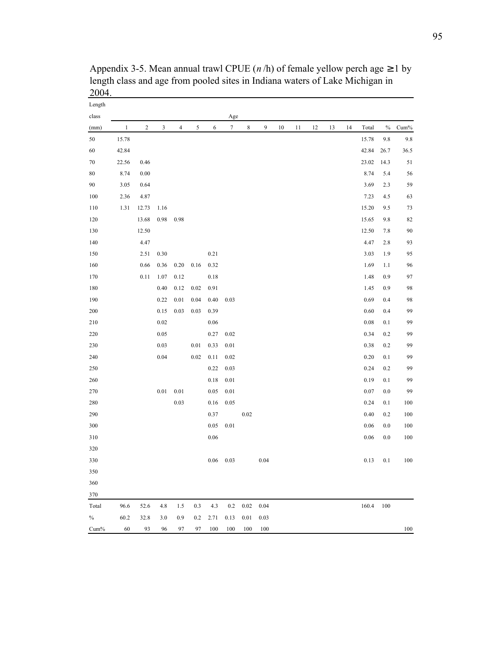| Length  |              |            |          |          |            |      |                  |             |      |        |    |    |    |    |          |      |         |
|---------|--------------|------------|----------|----------|------------|------|------------------|-------------|------|--------|----|----|----|----|----------|------|---------|
| class   |              |            |          |          |            |      | Age              |             |      |        |    |    |    |    |          |      |         |
| (mm)    | $\mathbf{1}$ | $\sqrt{2}$ | 3        | 4        | $\sqrt{5}$ | 6    | $\boldsymbol{7}$ | $\,$ 8 $\,$ | 9    | $10\,$ | 11 | 12 | 13 | 14 | Total    | $\%$ | $Cum\%$ |
| 50      | 15.78        |            |          |          |            |      |                  |             |      |        |    |    |    |    | 15.78    | 9.8  | 9.8     |
| 60      | 42.84        |            |          |          |            |      |                  |             |      |        |    |    |    |    | 42.84    | 26.7 | 36.5    |
| 70      | 22.56        | 0.46       |          |          |            |      |                  |             |      |        |    |    |    |    | 23.02    | 14.3 | 51      |
| 80      | 8.74         | 0.00       |          |          |            |      |                  |             |      |        |    |    |    |    | 8.74     | 5.4  | 56      |
| 90      | 3.05         | 0.64       |          |          |            |      |                  |             |      |        |    |    |    |    | 3.69     | 2.3  | 59      |
| 100     | 2.36         | 4.87       |          |          |            |      |                  |             |      |        |    |    |    |    | 7.23     | 4.5  | 63      |
| 110     | 1.31         | 12.73      | 1.16     |          |            |      |                  |             |      |        |    |    |    |    | 15.20    | 9.5  | 73      |
| 120     |              | 13.68      | 0.98     | 0.98     |            |      |                  |             |      |        |    |    |    |    | 15.65    | 9.8  | 82      |
| 130     |              | 12.50      |          |          |            |      |                  |             |      |        |    |    |    |    | 12.50    | 7.8  | 90      |
| 140     |              | 4.47       |          |          |            |      |                  |             |      |        |    |    |    |    | 4.47     | 2.8  | 93      |
| 150     |              | 2.51       | 0.30     |          |            | 0.21 |                  |             |      |        |    |    |    |    | 3.03     | 1.9  | 95      |
| 160     |              | 0.66       | 0.36     | 0.20     | 0.16       | 0.32 |                  |             |      |        |    |    |    |    | 1.69     | 1.1  | 96      |
| 170     |              | 0.11       | 1.07     | 0.12     |            | 0.18 |                  |             |      |        |    |    |    |    | 1.48     | 0.9  | 97      |
| 180     |              |            | 0.40     | 0.12     | 0.02       | 0.91 |                  |             |      |        |    |    |    |    | 1.45     | 0.9  | 98      |
| 190     |              |            | 0.22     | $0.01\,$ | 0.04       | 0.40 | 0.03             |             |      |        |    |    |    |    | 0.69     | 0.4  | 98      |
| 200     |              |            | $0.15\,$ | 0.03     | 0.03       | 0.39 |                  |             |      |        |    |    |    |    | 0.60     | 0.4  | 99      |
| 210     |              |            | 0.02     |          |            | 0.06 |                  |             |      |        |    |    |    |    | 0.08     | 0.1  | 99      |
| 220     |              |            | 0.05     |          |            | 0.27 | 0.02             |             |      |        |    |    |    |    | 0.34     | 0.2  | 99      |
| 230     |              |            | 0.03     |          | $0.01\,$   | 0.33 | 0.01             |             |      |        |    |    |    |    | 0.38     | 0.2  | 99      |
| 240     |              |            | 0.04     |          | 0.02       | 0.11 | 0.02             |             |      |        |    |    |    |    | 0.20     | 0.1  | 99      |
| 250     |              |            |          |          |            | 0.22 | 0.03             |             |      |        |    |    |    |    | 0.24     | 0.2  | 99      |
| 260     |              |            |          |          |            | 0.18 | 0.01             |             |      |        |    |    |    |    | 0.19     | 0.1  | 99      |
| 270     |              |            | 0.01     | $0.01\,$ |            | 0.05 | 0.01             |             |      |        |    |    |    |    | 0.07     | 0.0  | 99      |
| 280     |              |            |          | 0.03     |            | 0.16 | 0.05             |             |      |        |    |    |    |    | 0.24     | 0.1  | 100     |
| 290     |              |            |          |          |            | 0.37 |                  | 0.02        |      |        |    |    |    |    | 0.40     | 0.2  | 100     |
| 300     |              |            |          |          |            | 0.05 | $0.01\,$         |             |      |        |    |    |    |    | $0.06\,$ | 0.0  | 100     |
| 310     |              |            |          |          |            | 0.06 |                  |             |      |        |    |    |    |    | $0.06\,$ | 0.0  | 100     |
| 320     |              |            |          |          |            |      |                  |             |      |        |    |    |    |    |          |      |         |
| 330     |              |            |          |          |            | 0.06 | 0.03             |             | 0.04 |        |    |    |    |    | 0.13     | 0.1  | 100     |
| 350     |              |            |          |          |            |      |                  |             |      |        |    |    |    |    |          |      |         |
| 360     |              |            |          |          |            |      |                  |             |      |        |    |    |    |    |          |      |         |
| 370     |              |            |          |          |            |      |                  |             |      |        |    |    |    |    |          |      |         |
| Total   | 96.6         | 52.6       | 4.8      | 1.5      | 0.3        | 4.3  | $0.2\,$          | 0.02        | 0.04 |        |    |    |    |    | 160.4    | 100  |         |
| $\%$    | 60.2         | 32.8       | 3.0      | 0.9      | 0.2        | 2.71 | 0.13             | 0.01        | 0.03 |        |    |    |    |    |          |      |         |
| $Cum\%$ | 60           | 93         | 96       | 97       | 97         | 100  | 100              | 100         | 100  |        |    |    |    |    |          |      | 100     |

Appendix 3-5. Mean annual trawl CPUE ( $n/h$ ) of female yellow perch age  $\geq 1$  by length class and age from pooled sites in Indiana waters of Lake Michigan in 2004.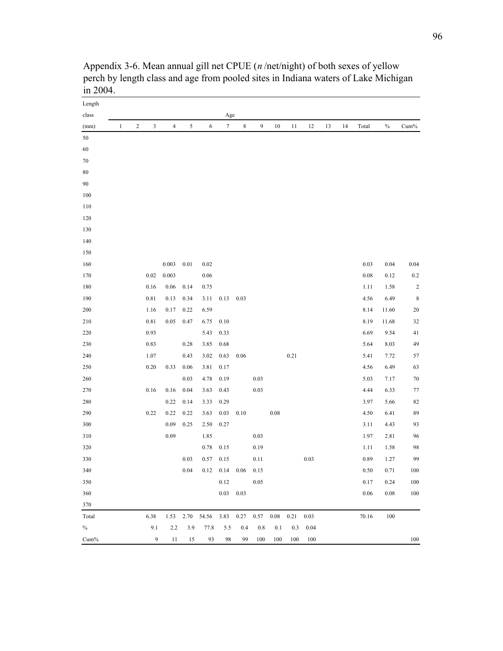| Length |              |            |                |                |            |                                                               |                        |             |      |          |      |      |    |    |          |       |             |
|--------|--------------|------------|----------------|----------------|------------|---------------------------------------------------------------|------------------------|-------------|------|----------|------|------|----|----|----------|-------|-------------|
| class  |              |            |                |                |            |                                                               | Age                    |             |      |          |      |      |    |    |          |       |             |
| (mm)   | $\mathbf{1}$ | $\sqrt{2}$ | $\mathfrak{Z}$ | $\overline{4}$ | $\sqrt{5}$ | 6                                                             | $7\overline{ }$        | $\,$ 8 $\,$ | 9    | 10       | 11   | 12   | 13 | 14 | Total    | $\%$  | Cum%        |
| 50     |              |            |                |                |            |                                                               |                        |             |      |          |      |      |    |    |          |       |             |
| 60     |              |            |                |                |            |                                                               |                        |             |      |          |      |      |    |    |          |       |             |
| $70\,$ |              |            |                |                |            |                                                               |                        |             |      |          |      |      |    |    |          |       |             |
| 80     |              |            |                |                |            |                                                               |                        |             |      |          |      |      |    |    |          |       |             |
| 90     |              |            |                |                |            |                                                               |                        |             |      |          |      |      |    |    |          |       |             |
| 100    |              |            |                |                |            |                                                               |                        |             |      |          |      |      |    |    |          |       |             |
| 110    |              |            |                |                |            |                                                               |                        |             |      |          |      |      |    |    |          |       |             |
| 120    |              |            |                |                |            |                                                               |                        |             |      |          |      |      |    |    |          |       |             |
| 130    |              |            |                |                |            |                                                               |                        |             |      |          |      |      |    |    |          |       |             |
| 140    |              |            |                |                |            |                                                               |                        |             |      |          |      |      |    |    |          |       |             |
| 150    |              |            |                |                |            |                                                               |                        |             |      |          |      |      |    |    |          |       |             |
| 160    |              |            |                | 0.003          | $0.01\,$   | 0.02                                                          |                        |             |      |          |      |      |    |    | 0.03     | 0.04  | 0.04        |
| 170    |              |            | 0.02           | 0.003          |            | 0.06                                                          |                        |             |      |          |      |      |    |    | $0.08\,$ | 0.12  | 0.2         |
| 180    |              |            | 0.16           | $0.06\,$       | 0.14       | 0.75                                                          |                        |             |      |          |      |      |    |    | 1.11     | 1.58  | $\sqrt{2}$  |
| 190    |              |            | 0.81           | 0.13           | 0.34       | 3.11                                                          | 0.13                   | 0.03        |      |          |      |      |    |    | 4.56     | 6.49  | $\,$ 8 $\,$ |
| 200    |              |            | 1.16           | 0.17           | 0.22       | 6.59                                                          |                        |             |      |          |      |      |    |    | 8.14     | 11.60 | 20          |
| 210    |              |            | $0.81\,$       | 0.05           | 0.47       | 6.75                                                          | 0.10                   |             |      |          |      |      |    |    | 8.19     | 11.68 | 32          |
| 220    |              |            | 0.93           |                |            | 5.43                                                          | 0.33                   |             |      |          |      |      |    |    | 6.69     | 9.54  | $41\,$      |
| 230    |              |            | 0.83           |                | 0.28       | 3.85                                                          | 0.68                   |             |      |          |      |      |    |    | 5.64     | 8.03  | 49          |
| 240    |              |            | 1.07           |                | 0.43       | 3.02                                                          | 0.63                   | 0.06        |      |          | 0.21 |      |    |    | 5.41     | 7.72  | 57          |
| 250    |              |            | 0.20           | 0.33           | 0.06       | 3.81                                                          | 0.17                   |             |      |          |      |      |    |    | 4.56     | 6.49  | 63          |
| 260    |              |            |                |                | 0.03       | 4.78                                                          | 0.19                   |             | 0.03 |          |      |      |    |    | 5.03     | 7.17  | $70\,$      |
| 270    |              |            | 0.16           | 0.16           | 0.04       | 3.63                                                          | 0.43                   |             | 0.03 |          |      |      |    |    | 4.44     | 6.33  | $77 \,$     |
| 280    |              |            |                | 0.22           | 0.14       | 3.33                                                          | 0.29                   |             |      |          |      |      |    |    | 3.97     | 5.66  | 82          |
| 290    |              |            | 0.22           | 0.22           | 0.22       | 3.63                                                          | 0.03                   | 0.10        |      | $0.08\,$ |      |      |    |    | 4.50     | 6.41  | 89          |
| 300    |              |            |                | 0.09           | 0.25       | 2.50                                                          | 0.27                   |             |      |          |      |      |    |    | 3.11     | 4.43  | 93          |
| 310    |              |            |                | 0.09           |            | 1.85                                                          |                        |             | 0.03 |          |      |      |    |    | 1.97     | 2.81  | 96          |
| 320    |              |            |                |                |            | 0.78                                                          | 0.15                   |             | 0.19 |          |      |      |    |    | 1.11     | 1.58  | 98          |
| 330    |              |            |                |                | 0.03       | 0.57                                                          | 0.15                   |             | 0.11 |          |      | 0.03 |    |    | 0.89     | 1.27  | 99          |
| 340    |              |            |                |                | 0.04       | $0.12 \quad 0.14$                                             |                        | 0.06        | 0.15 |          |      |      |    |    | $0.50\,$ | 0.71  | 100         |
| 350    |              |            |                |                |            |                                                               | 0.12                   |             | 0.05 |          |      |      |    |    | 0.17     | 0.24  | 100         |
| 360    |              |            |                |                |            |                                                               | $0.03\phantom{00}0.03$ |             |      |          |      |      |    |    | 0.06     | 0.08  | 100         |
| 370    |              |            |                |                |            |                                                               |                        |             |      |          |      |      |    |    |          |       |             |
| Total  |              |            | 6.38           |                |            | 1.53    2.70    54.56    3.83    0.27    0.57    0.08    0.21 |                        |             |      |          |      | 0.03 |    |    | 70.16    | 100   |             |
| $\%$   |              |            | 9.1            | 2.2            | 3.9        | 77.8                                                          | 5.5                    | 0.4         | 0.8  | 0.1      | 0.3  | 0.04 |    |    |          |       |             |
| Cum%   |              |            | 9              | 11             | 15         | 93                                                            | 98                     | 99          | 100  | 100      | 100  | 100  |    |    |          |       | 100         |

Appendix 3-6. Mean annual gill net CPUE (*n* /net/night) of both sexes of yellow perch by length class and age from pooled sites in Indiana waters of Lake Michigan in 2004.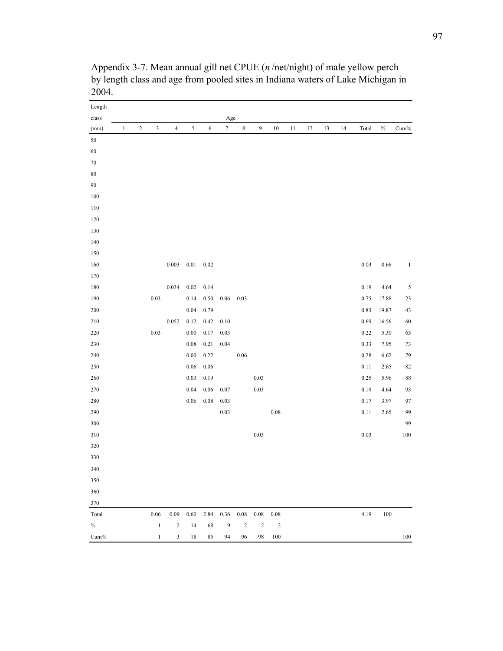| Length  |              |                |              |                |          |          |                  |             |                  |            |    |    |    |    |          |       |              |
|---------|--------------|----------------|--------------|----------------|----------|----------|------------------|-------------|------------------|------------|----|----|----|----|----------|-------|--------------|
| class   |              |                |              |                |          |          | Age              |             |                  |            |    |    |    |    |          |       |              |
| (mm)    | $\mathbf{1}$ | $\overline{c}$ | $\sqrt{3}$   | $\overline{4}$ | 5        | 6        | $\boldsymbol{7}$ | $\,$ 8 $\,$ | $\boldsymbol{9}$ | 10         | 11 | 12 | 13 | 14 | Total    | $\%$  | $Cum\%$      |
| $50\,$  |              |                |              |                |          |          |                  |             |                  |            |    |    |    |    |          |       |              |
| 60      |              |                |              |                |          |          |                  |             |                  |            |    |    |    |    |          |       |              |
| $70\,$  |              |                |              |                |          |          |                  |             |                  |            |    |    |    |    |          |       |              |
| $80\,$  |              |                |              |                |          |          |                  |             |                  |            |    |    |    |    |          |       |              |
| $90\,$  |              |                |              |                |          |          |                  |             |                  |            |    |    |    |    |          |       |              |
| 100     |              |                |              |                |          |          |                  |             |                  |            |    |    |    |    |          |       |              |
| 110     |              |                |              |                |          |          |                  |             |                  |            |    |    |    |    |          |       |              |
| 120     |              |                |              |                |          |          |                  |             |                  |            |    |    |    |    |          |       |              |
| 130     |              |                |              |                |          |          |                  |             |                  |            |    |    |    |    |          |       |              |
| 140     |              |                |              |                |          |          |                  |             |                  |            |    |    |    |    |          |       |              |
| 150     |              |                |              |                |          |          |                  |             |                  |            |    |    |    |    |          |       |              |
| 160     |              |                |              | 0.003          | $0.01\,$ | 0.02     |                  |             |                  |            |    |    |    |    | $0.03\,$ | 0.66  | $\mathbf{1}$ |
| 170     |              |                |              |                |          |          |                  |             |                  |            |    |    |    |    |          |       |              |
| 180     |              |                |              | 0.034          | $0.02\,$ | 0.14     |                  |             |                  |            |    |    |    |    | 0.19     | 4.64  | 5            |
| 190     |              |                | 0.03         |                | 0.14     | 0.50     | $0.06\,$         | 0.03        |                  |            |    |    |    |    | 0.75     | 17.88 | 23           |
| 200     |              |                |              |                | $0.04\,$ | 0.79     |                  |             |                  |            |    |    |    |    | 0.83     | 19.87 | 43           |
| 210     |              |                |              | 0.052          | 0.12     | 0.42     | 0.10             |             |                  |            |    |    |    |    | 0.69     | 16.56 | 60           |
| 220     |              |                | $0.03\,$     |                | $0.00\,$ | 0.17     | 0.03             |             |                  |            |    |    |    |    | 0.22     | 5.30  | 65           |
| 230     |              |                |              |                | $0.08\,$ | 0.21     | 0.04             |             |                  |            |    |    |    |    | 0.33     | 7.95  | 73           |
| 240     |              |                |              |                | $0.00\,$ | 0.22     |                  | $0.06\,$    |                  |            |    |    |    |    | 0.28     | 6.62  | 79           |
| 250     |              |                |              |                | $0.06\,$ | $0.06\,$ |                  |             |                  |            |    |    |    |    | 0.11     | 2.65  | 82           |
| 260     |              |                |              |                | $0.03\,$ | 0.19     |                  |             | $0.03\,$         |            |    |    |    |    | 0.25     | 5.96  | $88\,$       |
| 270     |              |                |              |                | $0.04\,$ | $0.06\,$ | 0.07             |             | 0.03             |            |    |    |    |    | 0.19     | 4.64  | 93           |
| 280     |              |                |              |                | $0.06\,$ | 0.08     | 0.03             |             |                  |            |    |    |    |    | 0.17     | 3.97  | 97           |
| 290     |              |                |              |                |          |          | $0.03\,$         |             |                  | $0.08\,$   |    |    |    |    | $0.11\,$ | 2.65  | 99           |
| 300     |              |                |              |                |          |          |                  |             |                  |            |    |    |    |    |          |       | 99           |
| 310     |              |                |              |                |          |          |                  |             | $0.03\,$         |            |    |    |    |    | $0.03\,$ |       | $100\,$      |
| 320     |              |                |              |                |          |          |                  |             |                  |            |    |    |    |    |          |       |              |
| 330     |              |                |              |                |          |          |                  |             |                  |            |    |    |    |    |          |       |              |
| 340     |              |                |              |                |          |          |                  |             |                  |            |    |    |    |    |          |       |              |
| 350     |              |                |              |                |          |          |                  |             |                  |            |    |    |    |    |          |       |              |
| 360     |              |                |              |                |          |          |                  |             |                  |            |    |    |    |    |          |       |              |
| 370     |              |                |              |                |          |          |                  |             |                  |            |    |    |    |    |          |       |              |
| Total   |              |                | $0.06\,$     | 0.09           | 0.60     | 2.84     | 0.36             | $0.08\,$    | $0.08\,$         | 0.08       |    |    |    |    | 4.19     | 100   |              |
| $\%$    |              |                | $\,1\,$      | $\sqrt{2}$     | 14       | 68       | $\overline{9}$   | $\sqrt{2}$  | $\sqrt{2}$       | $\sqrt{2}$ |    |    |    |    |          |       |              |
| $Cum\%$ |              |                | $\mathbf{1}$ | 3              | 18       | 85       | 94               | 96          | 98               | 100        |    |    |    |    |          |       | $100\,$      |

Appendix 3-7. Mean annual gill net CPUE (*n* /net/night) of male yellow perch by length class and age from pooled sites in Indiana waters of Lake Michigan in 2004.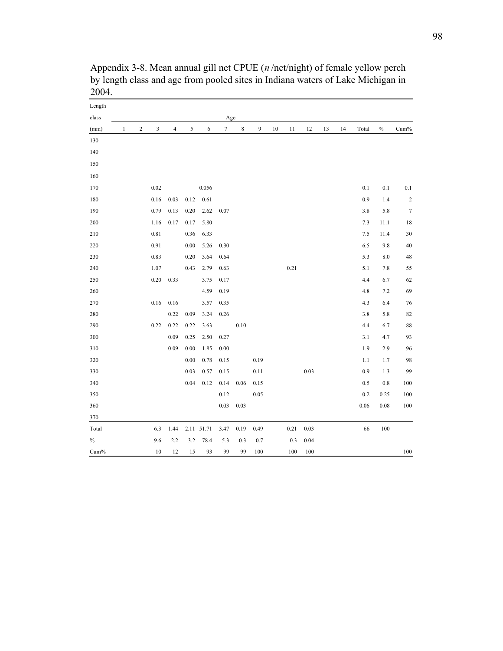| Length |              |                  |      |                |          |            |        |      |      |    |      |      |    |    |       |          |            |
|--------|--------------|------------------|------|----------------|----------|------------|--------|------|------|----|------|------|----|----|-------|----------|------------|
| class  |              |                  |      |                |          |            | Age    |      |      |    |      |      |    |    |       |          |            |
| (mm)   | $\mathbf{1}$ | $\boldsymbol{2}$ | 3    | $\overline{4}$ | 5        | 6          | $\tau$ | 8    | 9    | 10 | 11   | 12   | 13 | 14 | Total | $\%$     | $Cum\%$    |
| 130    |              |                  |      |                |          |            |        |      |      |    |      |      |    |    |       |          |            |
| 140    |              |                  |      |                |          |            |        |      |      |    |      |      |    |    |       |          |            |
| 150    |              |                  |      |                |          |            |        |      |      |    |      |      |    |    |       |          |            |
| 160    |              |                  |      |                |          |            |        |      |      |    |      |      |    |    |       |          |            |
| 170    |              |                  | 0.02 |                |          | 0.056      |        |      |      |    |      |      |    |    | 0.1   | 0.1      | $0.1\,$    |
| 180    |              |                  | 0.16 | 0.03           | 0.12     | 0.61       |        |      |      |    |      |      |    |    | 0.9   | 1.4      | $\sqrt{2}$ |
| 190    |              |                  | 0.79 | 0.13           | 0.20     | 2.62       | 0.07   |      |      |    |      |      |    |    | 3.8   | 5.8      | $\tau$     |
| 200    |              |                  | 1.16 | 0.17           | 0.17     | 5.80       |        |      |      |    |      |      |    |    | 7.3   | 11.1     | 18         |
| 210    |              |                  | 0.81 |                | 0.36     | 6.33       |        |      |      |    |      |      |    |    | 7.5   | 11.4     | 30         |
| 220    |              |                  | 0.91 |                | $0.00\,$ | 5.26       | 0.30   |      |      |    |      |      |    |    | 6.5   | 9.8      | 40         |
| 230    |              |                  | 0.83 |                | 0.20     | 3.64       | 0.64   |      |      |    |      |      |    |    | 5.3   | $8.0\,$  | 48         |
| 240    |              |                  | 1.07 |                | 0.43     | 2.79       | 0.63   |      |      |    | 0.21 |      |    |    | 5.1   | 7.8      | 55         |
| 250    |              |                  | 0.20 | 0.33           |          | 3.75       | 0.17   |      |      |    |      |      |    |    | 4.4   | 6.7      | 62         |
| 260    |              |                  |      |                |          | 4.59       | 0.19   |      |      |    |      |      |    |    | 4.8   | 7.2      | 69         |
| 270    |              |                  | 0.16 | 0.16           |          | 3.57       | 0.35   |      |      |    |      |      |    |    | 4.3   | 6.4      | $76\,$     |
| 280    |              |                  |      | 0.22           | 0.09     | 3.24       | 0.26   |      |      |    |      |      |    |    | 3.8   | 5.8      | 82         |
| 290    |              |                  | 0.22 | 0.22           | 0.22     | 3.63       |        | 0.10 |      |    |      |      |    |    | 4.4   | 6.7      | 88         |
| 300    |              |                  |      | 0.09           | 0.25     | 2.50       | 0.27   |      |      |    |      |      |    |    | 3.1   | 4.7      | 93         |
| 310    |              |                  |      | 0.09           | 0.00     | 1.85       | 0.00   |      |      |    |      |      |    |    | 1.9   | 2.9      | 96         |
| 320    |              |                  |      |                | 0.00     | 0.78       | 0.15   |      | 0.19 |    |      |      |    |    | 1.1   | 1.7      | 98         |
| 330    |              |                  |      |                | 0.03     | 0.57       | 0.15   |      | 0.11 |    |      | 0.03 |    |    | 0.9   | 1.3      | 99         |
| 340    |              |                  |      |                | 0.04     | 0.12       | 0.14   | 0.06 | 0.15 |    |      |      |    |    | 0.5   | $0.8\,$  | 100        |
| 350    |              |                  |      |                |          |            | 0.12   |      | 0.05 |    |      |      |    |    | 0.2   | 0.25     | 100        |
| 360    |              |                  |      |                |          |            | 0.03   | 0.03 |      |    |      |      |    |    | 0.06  | $0.08\,$ | 100        |
| 370    |              |                  |      |                |          |            |        |      |      |    |      |      |    |    |       |          |            |
| Total  |              |                  | 6.3  | 1.44           |          | 2.11 51.71 | 3.47   | 0.19 | 0.49 |    | 0.21 | 0.03 |    |    | 66    | 100      |            |
| $\%$   |              |                  | 9.6  | 2.2            | 3.2      | 78.4       | 5.3    | 0.3  | 0.7  |    | 0.3  | 0.04 |    |    |       |          |            |
| Cum%   |              |                  | 10   | 12             | 15       | 93         | 99     | 99   | 100  |    | 100  | 100  |    |    |       |          | 100        |

Appendix 3-8. Mean annual gill net CPUE (*n* /net/night) of female yellow perch by length class and age from pooled sites in Indiana waters of Lake Michigan in 2004.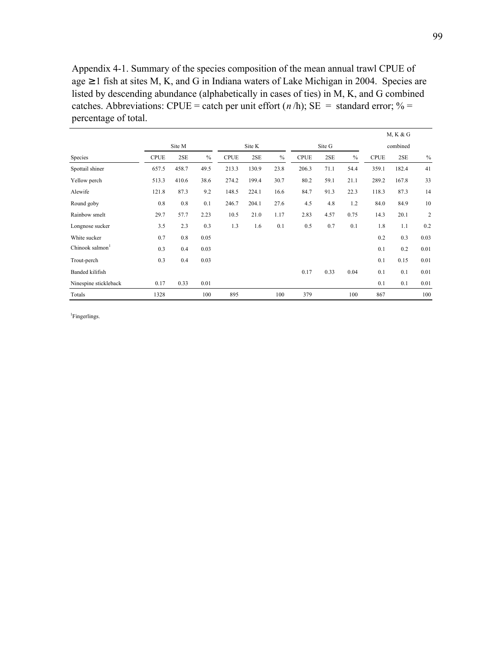Appendix 4-1. Summary of the species composition of the mean annual trawl CPUE of age  $\geq 1$  fish at sites M, K, and G in Indiana waters of Lake Michigan in 2004. Species are listed by descending abundance (alphabetically in cases of ties) in M, K, and G combined catches. Abbreviations: CPUE = catch per unit effort  $(n/h)$ ; SE = standard error; % = percentage of total.

|                       |             |        |      |             |        |      |             |          |      |             | M, K & G |      |
|-----------------------|-------------|--------|------|-------------|--------|------|-------------|----------|------|-------------|----------|------|
|                       |             | Site K |      |             | Site G |      |             | combined |      |             |          |      |
| Species               | <b>CPUE</b> | 2SE    | $\%$ | <b>CPUE</b> | 2SE    | $\%$ | <b>CPUE</b> | 2SE      | $\%$ | <b>CPUE</b> | 2SE      | $\%$ |
| Spottail shiner       | 657.5       | 458.7  | 49.5 | 213.3       | 130.9  | 23.8 | 206.3       | 71.1     | 54.4 | 359.1       | 182.4    | 41   |
| Yellow perch          | 513.3       | 410.6  | 38.6 | 274.2       | 199.4  | 30.7 | 80.2        | 59.1     | 21.1 | 289.2       | 167.8    | 33   |
| Alewife               | 121.8       | 87.3   | 9.2  | 148.5       | 224.1  | 16.6 | 84.7        | 91.3     | 22.3 | 118.3       | 87.3     | 14   |
| Round goby            | 0.8         | 0.8    | 0.1  | 246.7       | 204.1  | 27.6 | 4.5         | 4.8      | 1.2  | 84.0        | 84.9     | 10   |
| Rainbow smelt         | 29.7        | 57.7   | 2.23 | 10.5        | 21.0   | 1.17 | 2.83        | 4.57     | 0.75 | 14.3        | 20.1     | 2    |
| Longnose sucker       | 3.5         | 2.3    | 0.3  | 1.3         | 1.6    | 0.1  | 0.5         | 0.7      | 0.1  | 1.8         | 1.1      | 0.2  |
| White sucker          | 0.7         | 0.8    | 0.05 |             |        |      |             |          |      | 0.2         | 0.3      | 0.03 |
| Chinook salmon        | 0.3         | 0.4    | 0.03 |             |        |      |             |          |      | 0.1         | 0.2      | 0.01 |
| Trout-perch           | 0.3         | 0.4    | 0.03 |             |        |      |             |          |      | 0.1         | 0.15     | 0.01 |
| Banded kilifish       |             |        |      |             |        |      | 0.17        | 0.33     | 0.04 | 0.1         | 0.1      | 0.01 |
| Ninespine stickleback | 0.17        | 0.33   | 0.01 |             |        |      |             |          |      | 0.1         | 0.1      | 0.01 |
| Totals                | 1328        |        | 100  | 895         |        | 100  | 379         |          | 100  | 867         |          | 100  |

<sup>1</sup>Fingerlings.